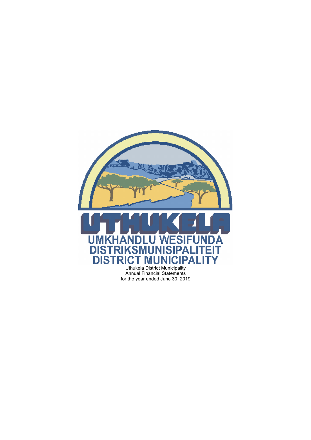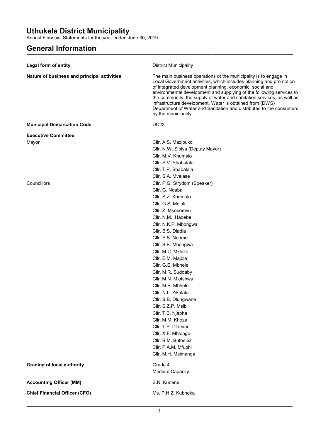Annual Financial Statements for the year ended June 30, 2019

### **General Information**

| Legal form of entity                        | <b>District Municipality</b>                                                                                                                                                                                                                                                                                                                                                                                                                                                                                    |
|---------------------------------------------|-----------------------------------------------------------------------------------------------------------------------------------------------------------------------------------------------------------------------------------------------------------------------------------------------------------------------------------------------------------------------------------------------------------------------------------------------------------------------------------------------------------------|
| Nature of business and principal activities | The main business operations ot the municipality is to engage in<br>Local Government activities, which includes planning and promotion<br>of integrated development planning, economic, social and<br>environmental development and supplying of the following services to<br>the community: the supply of water and sanitation services, as well as<br>infrastructure development. Water is obtained from (DWS)<br>Department of Water and Sanitation and distributed to the consumers<br>by the municipality. |
| <b>Municipal Demarcation Code</b>           | <b>DC23</b>                                                                                                                                                                                                                                                                                                                                                                                                                                                                                                     |
| <b>Executive Committee</b>                  |                                                                                                                                                                                                                                                                                                                                                                                                                                                                                                                 |
| Mayor                                       | Cllr. A.S. Mazibuko                                                                                                                                                                                                                                                                                                                                                                                                                                                                                             |
|                                             | Cllr. N.W. Sibiya (Deputy Mayor)                                                                                                                                                                                                                                                                                                                                                                                                                                                                                |
|                                             | Cllr. M.V. Khumalo                                                                                                                                                                                                                                                                                                                                                                                                                                                                                              |
|                                             | Cllr. S.V. Shabalala                                                                                                                                                                                                                                                                                                                                                                                                                                                                                            |
|                                             | Cllr. T.P. Shabalala                                                                                                                                                                                                                                                                                                                                                                                                                                                                                            |
|                                             | Cllr. S.A. Myelase                                                                                                                                                                                                                                                                                                                                                                                                                                                                                              |
| Councillors                                 | Cllr. P.G. Strydom (Speaker)                                                                                                                                                                                                                                                                                                                                                                                                                                                                                    |
|                                             | Cllr. G. Ndaba                                                                                                                                                                                                                                                                                                                                                                                                                                                                                                  |
|                                             | Cllr. S.Z. Khumalo                                                                                                                                                                                                                                                                                                                                                                                                                                                                                              |
|                                             | Cllr. G.S. Mdluli                                                                                                                                                                                                                                                                                                                                                                                                                                                                                               |
|                                             | Cllr. Z. Msobomvu                                                                                                                                                                                                                                                                                                                                                                                                                                                                                               |
|                                             | Cllr. N.M. Hadebe                                                                                                                                                                                                                                                                                                                                                                                                                                                                                               |
|                                             | Cllr. N.K.P. Mbongwa                                                                                                                                                                                                                                                                                                                                                                                                                                                                                            |
|                                             | Cllr. B.S. Dladla                                                                                                                                                                                                                                                                                                                                                                                                                                                                                               |
|                                             | Cllr. E.S. Ndomu                                                                                                                                                                                                                                                                                                                                                                                                                                                                                                |
|                                             | Cllr. S.E. Mbongwa                                                                                                                                                                                                                                                                                                                                                                                                                                                                                              |
|                                             | Cllr. M.C. Mkhize                                                                                                                                                                                                                                                                                                                                                                                                                                                                                               |
|                                             | Cllr. E.M. Majola                                                                                                                                                                                                                                                                                                                                                                                                                                                                                               |
|                                             | Cllr. G.E. Mbhele                                                                                                                                                                                                                                                                                                                                                                                                                                                                                               |
|                                             | Cllr. M.R. Suddaby                                                                                                                                                                                                                                                                                                                                                                                                                                                                                              |
|                                             | Cllr. M.N. Mlotshwa                                                                                                                                                                                                                                                                                                                                                                                                                                                                                             |
|                                             | Cllr. M.B. Mbhele                                                                                                                                                                                                                                                                                                                                                                                                                                                                                               |
|                                             | Cllr. N.L. Zikalala                                                                                                                                                                                                                                                                                                                                                                                                                                                                                             |
|                                             | Cllr. S.B. Dlungwane                                                                                                                                                                                                                                                                                                                                                                                                                                                                                            |
|                                             | Cllr. S.Z.P. Msibi                                                                                                                                                                                                                                                                                                                                                                                                                                                                                              |
|                                             | Cllr. T.B. Njapha<br>Cllr. M.M. Khoza                                                                                                                                                                                                                                                                                                                                                                                                                                                                           |
|                                             | Cllr. T.P. Dlamini                                                                                                                                                                                                                                                                                                                                                                                                                                                                                              |
|                                             | Cllr. X.F. Mhlongo                                                                                                                                                                                                                                                                                                                                                                                                                                                                                              |
|                                             | Cllr. S.M. Buthelezi                                                                                                                                                                                                                                                                                                                                                                                                                                                                                            |
|                                             | Cllr. P.A.M. Mfuphi                                                                                                                                                                                                                                                                                                                                                                                                                                                                                             |
|                                             | Cllr. M.H. Msimanga                                                                                                                                                                                                                                                                                                                                                                                                                                                                                             |
| <b>Grading of local authority</b>           | Grade 4                                                                                                                                                                                                                                                                                                                                                                                                                                                                                                         |
|                                             | <b>Medium Capacity</b>                                                                                                                                                                                                                                                                                                                                                                                                                                                                                          |
| <b>Accounting Officer (MM)</b>              | S.N. Kunene                                                                                                                                                                                                                                                                                                                                                                                                                                                                                                     |
| <b>Chief Financial Officer (CFO)</b>        | Ms. P.H.Z. Kubheka                                                                                                                                                                                                                                                                                                                                                                                                                                                                                              |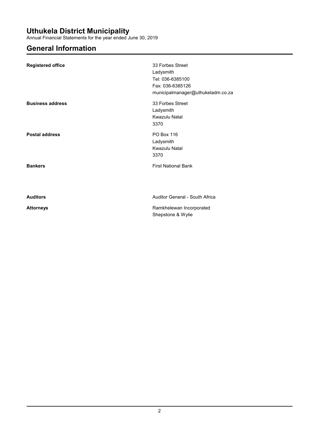Annual Financial Statements for the year ended June 30, 2019

## **General Information**

| <b>Registered office</b> | 33 Forbes Street<br>Ladysmith<br>Tel: 036-6385100<br>Fax: 036-6385126<br>municipalmanager@uthukeladm.co.za |
|--------------------------|------------------------------------------------------------------------------------------------------------|
| <b>Business address</b>  | 33 Forbes Street<br>Ladysmith<br>Kwazulu Natal<br>3370                                                     |
| <b>Postal address</b>    | <b>PO Box 116</b><br>Ladysmith<br>Kwazulu Natal<br>3370                                                    |
| <b>Bankers</b>           | <b>First National Bank</b>                                                                                 |
| <b>Auditors</b>          | <b>Auditor General - South Africa</b>                                                                      |
| <b>Attorneys</b>         | Ramkhelewan Incorporated<br>Shepstone & Wylie                                                              |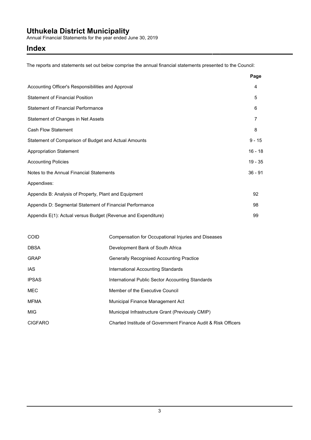Annual Financial Statements for the year ended June 30, 2019

### **Index**

The reports and statements set out below comprise the annual financial statements presented to the Council:

|                                                               | Page      |
|---------------------------------------------------------------|-----------|
| Accounting Officer's Responsibilities and Approval            | 4         |
| <b>Statement of Financial Position</b>                        | 5         |
| <b>Statement of Financial Performance</b>                     | 6         |
| Statement of Changes in Net Assets                            | 7         |
| <b>Cash Flow Statement</b>                                    | 8         |
| Statement of Comparison of Budget and Actual Amounts          | $9 - 15$  |
| <b>Appropriation Statement</b>                                | $16 - 18$ |
| <b>Accounting Policies</b>                                    | $19 - 35$ |
| Notes to the Annual Financial Statements                      | $36 - 91$ |
| Appendixes:                                                   |           |
| Appendix B: Analysis of Property, Plant and Equipment         | 92        |
| Appendix D: Segmental Statement of Financial Performance      | 98        |
| Appendix E(1): Actual versus Budget (Revenue and Expenditure) | 99        |

| <b>COID</b>    | Compensation for Occupational Injuries and Diseases           |
|----------------|---------------------------------------------------------------|
| <b>DBSA</b>    | Development Bank of South Africa                              |
| <b>GRAP</b>    | <b>Generally Recognised Accounting Practice</b>               |
| IAS.           | International Accounting Standards                            |
| <b>IPSAS</b>   | International Public Sector Accounting Standards              |
| <b>MEC</b>     | Member of the Executive Council                               |
| <b>MFMA</b>    | Municipal Finance Management Act                              |
| <b>MIG</b>     | Municipal Infrastructure Grant (Previously CMIP)              |
| <b>CIGFARO</b> | Charted Institude of Government Finance Audit & Risk Officers |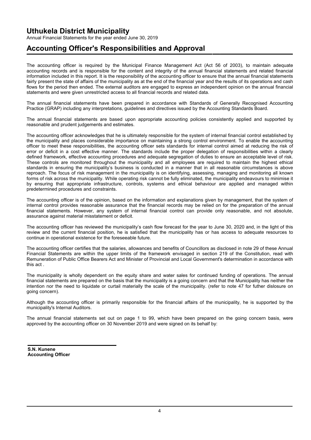Annual Financial Statements for the year ended June 30, 2019

### **Accounting Officer's Responsibilities and Approval**

The accounting officer is required by the Municipal Finance Management Act (Act 56 of 2003), to maintain adequate accounting records and is responsible for the content and integrity of the annual financial statements and related financial information included in this report. It is the responsibility of the accounting officer to ensure that the annual financial statements fairly present the state of affairs of the municipality as at the end of the financial year and the results of its operations and cash flows for the period then ended. The external auditors are engaged to express an independent opinion on the annual financial statements and were given unrestricted access to all financial records and related data.

The annual financial statements have been prepared in accordance with Standards of Generally Recognised Accounting Practice (GRAP) including any interpretations, guidelines and directives issued by the Accounting Standards Board.

The annual financial statements are based upon appropriate accounting policies consistently applied and supported by reasonable and prudent judgements and estimates.

The accounting officer acknowledges that he is ultimately responsible for the system of internal financial control established by the municipality and places considerable importance on maintaining a strong control environment. To enable the accounting officer to meet these responsibilities, the accounting officer sets standards for internal control aimed at reducing the risk of error or deficit in a cost effective manner. The standards include the proper delegation of responsibilities within a clearly defined framework, effective accounting procedures and adequate segregation of duties to ensure an acceptable level of risk. These controls are monitored throughout the municipality and all employees are required to maintain the highest ethical standards in ensuring the municipality's business is conducted in a manner that in all reasonable circumstances is above reproach. The focus of risk management in the municipality is on identifying, assessing, managing and monitoring all known forms of risk across the municipality. While operating risk cannot be fully eliminated, the municipality endeavours to minimise it by ensuring that appropriate infrastructure, controls, systems and ethical behaviour are applied and managed within predetermined procedures and constraints.

The accounting officer is of the opinion, based on the information and explanations given by management, that the system of internal control provides reasonable assurance that the financial records may be relied on for the preparation of the annual financial statements. However, any system of internal financial control can provide only reasonable, and not absolute, assurance against material misstatement or deficit.

The accounting officer has reviewed the municipality's cash flow forecast for the year to June 30, 2020 and, in the light of this review and the current financial position, he is satisfied that the municipality has or has access to adequate resources to continue in operational existence for the foreseeable future.

The accounting officer certifies that the salaries, allowances and benefits of Councillors as disclosed in note 29 of these Annual Financial Statements are within the upper limits of the framework envisaged in section 219 of the Constitution, read with Remuneration of Public Office Bearers Act and Minister of Provincial and Local Government's determination in accordance with this act .

The municipality is wholly dependent on the equity share and water sales for continued funding of operations. The annual financial statements are prepared on the basis that the municipality is a going concern and that the Municipality has neither the intention nor the need to liquidate or curtail materially the scale of the municipality. (refer to note 47 for futher dislosure on going concern).

Although the accounting officer is primarily responsible for the financial affairs of the municipality, he is supported by the municipality's Internal Auditors.

The annual financial statements set out on page 1 to 99, which have been prepared on the going concern basis, were approved by the accounting officer on 30 November 2019 and were signed on its behalf by:

**S.N. Kunene Accounting Officer**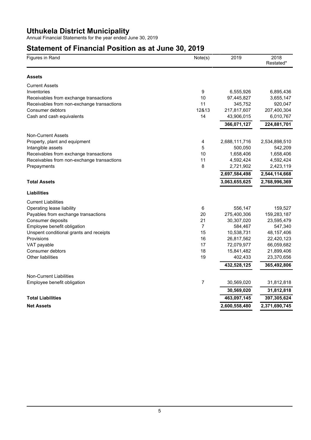Annual Financial Statements for the year ended June 30, 2019

# **Statement of Financial Position as at June 30, 2019**

| Figures in Rand                            | Note(s)        | 2019          | 2018<br>Restated* |
|--------------------------------------------|----------------|---------------|-------------------|
| <b>Assets</b>                              |                |               |                   |
| <b>Current Assets</b>                      |                |               |                   |
| Inventories                                | 9              | 6,555,926     | 6,895,436         |
| Receivables from exchange transactions     | 10             | 97,445,827    | 3,655,147         |
| Receivables from non-exchange transactions | 11             | 345,752       | 920,047           |
| Consumer debtors                           | 12&13          | 217,817,607   | 207,400,304       |
| Cash and cash equivalents                  | 14             | 43,906,015    | 6,010,767         |
|                                            |                | 366,071,127   | 224,881,701       |
| <b>Non-Current Assets</b>                  |                |               |                   |
| Property, plant and equipment              | 4              | 2,688,111,716 | 2,534,898,510     |
| Intangible assets                          | 5              | 500,050       | 542,209           |
| Receivables from exchange transactions     | 10             | 1,658,406     | 1,658,406         |
| Receivables from non-exchange transactions | 11             | 4,592,424     | 4,592,424         |
| Prepayments                                | 8              | 2,721,902     | 2,423,119         |
|                                            |                | 2,697,584,498 | 2,544,114,668     |
| <b>Total Assets</b>                        |                | 3,063,655,625 | 2,768,996,369     |
| Liabilities                                |                |               |                   |
| <b>Current Liabilities</b>                 |                |               |                   |
| Operating lease liability                  | 6              | 556,147       | 159,527           |
| Payables from exchange transactions        | 20             | 275,400,306   | 159,283,187       |
| Consumer deposits                          | 21             | 30,307,020    | 23,595,479        |
| Employee benefit obligation                | $\overline{7}$ | 584,467       | 547,340           |
| Unspent conditional grants and receipts    | 15             | 10,538,731    | 48,157,406        |
| Provisions                                 | 16             | 26,817,562    | 22,420,123        |
| VAT payable                                | 17             | 72,079,977    | 66,059,682        |
| Consumer debtors                           | 18             | 15,841,482    | 21,899,406        |
| <b>Other liabilities</b>                   | 19             | 402,433       | 23,370,656        |
|                                            |                | 432,528,125   | 365,492,806       |
| <b>Non-Current Liabilities</b>             |                |               |                   |
| Employee benefit obligation                | $\overline{7}$ | 30,569,020    | 31,812,818        |
|                                            |                | 30,569,020    | 31,812,818        |
| <b>Total Liabilities</b>                   |                | 463,097,145   | 397,305,624       |
| <b>Net Assets</b>                          |                | 2,600,558,480 | 2,371,690,745     |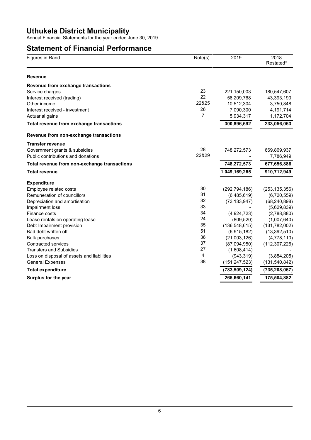Annual Financial Statements for the year ended June 30, 2019

### **Statement of Financial Performance**

| Figures in Rand                              | Note(s)        | 2019            | 2018<br>Restated* |
|----------------------------------------------|----------------|-----------------|-------------------|
| <b>Revenue</b>                               |                |                 |                   |
| Revenue from exchange transactions           |                |                 |                   |
| Service charges                              | 23             | 221,150,003     | 180,547,607       |
| Interest received (trading)                  | 22             | 56,209,768      | 43,393,190        |
| Other income                                 | 22&25          | 10,512,304      | 3,750,848         |
| Interest received - investment               | 26             | 7,090,300       | 4,191,714         |
| Actuarial gains                              | 7              | 5,934,317       | 1,172,704         |
| Total revenue from exchange transactions     |                | 300,896,692     | 233,056,063       |
| Revenue from non-exchange transactions       |                |                 |                   |
| <b>Transfer revenue</b>                      |                |                 |                   |
| Government grants & subsidies                | 28             | 748,272,573     | 669,869,937       |
| Public contributions and donations           | 22&29          |                 | 7,786,949         |
| Total revenue from non-exchange transactions |                | 748,272,573     | 677,656,886       |
| <b>Total revenue</b>                         |                | 1,049,169,265   | 910,712,949       |
| <b>Expenditure</b>                           |                |                 |                   |
| Employee related costs                       | 30             | (292, 794, 186) | (253, 135, 356)   |
| Remuneration of councillors                  | 31             | (6,485,619)     | (6,720,559)       |
| Depreciation and amortisation                | 32             | (73, 133, 947)  | (68, 240, 898)    |
| Impairment loss                              | 33             |                 | (5,629,839)       |
| Finance costs                                | 34             | (4,924,723)     | (2,788,880)       |
| Lease rentals on operating lease             | 24             | (809, 520)      | (1,007,640)       |
| Debt Impairment provision                    | 35             | (136, 548, 615) | (131, 782, 002)   |
| Bad debt written off                         | 51             | (6,915,182)     | (13, 392, 510)    |
| <b>Bulk purchases</b>                        | 36             | (21,003,126)    | (4,778,110)       |
| Contracted services                          | 37             | (87,094,950)    | (112, 307, 226)   |
| <b>Transfers and Subsidies</b>               | 27             | (1,608,414)     |                   |
| Loss on disposal of assets and liabilities   | $\overline{4}$ | (943, 319)      | (3,884,205)       |
| <b>General Expenses</b>                      | 38             | (151, 247, 523) | (131, 540, 842)   |
| <b>Total expenditure</b>                     |                | (783, 509, 124) | (735, 208, 067)   |
| Surplus for the year                         |                | 265,660,141     | 175,504,882       |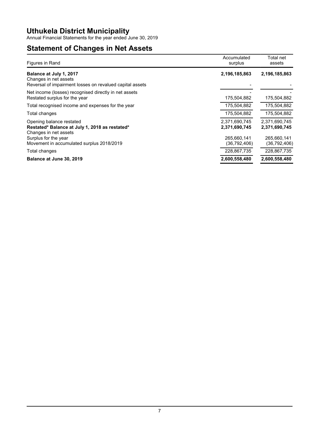Annual Financial Statements for the year ended June 30, 2019

# **Statement of Changes in Net Assets**

| Figures in Rand                                                                                              | Accumulated<br>surplus         | Total net<br>assets            |
|--------------------------------------------------------------------------------------------------------------|--------------------------------|--------------------------------|
| Balance at July 1, 2017<br>Changes in net assets<br>Reversal of impairment losses on revalued capital assets | 2,196,185,863                  | 2,196,185,863                  |
| Net income (losses) recognised directly in net assets<br>Restated surplus for the year                       | 175,504,882                    | 175,504,882                    |
| Total recognised income and expenses for the year                                                            | 175,504,882                    | 175,504,882                    |
| Total changes                                                                                                | 175,504,882                    | 175,504,882                    |
| Opening balance restated<br>Restated* Balance at July 1, 2018 as restated*<br>Changes in net assets          | 2,371,690,745<br>2,371,690,745 | 2,371,690,745<br>2,371,690,745 |
| Surplus for the year<br>Movement in accumulated surplus 2018/2019                                            | 265,660,141<br>(36, 792, 406)  | 265,660,141<br>(36, 792, 406)  |
| Total changes                                                                                                | 228,867,735                    | 228,867,735                    |
| Balance at June 30, 2019                                                                                     | 2,600,558,480                  | 2,600,558,480                  |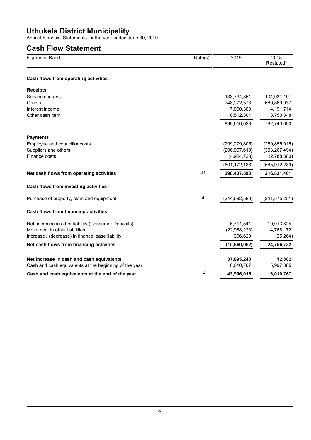Annual Financial Statements for the year ended June 30, 2019

### **Cash Flow Statement**

| Figures in Rand                                        | Note(s) | 2019            | 2018<br>Restated* |
|--------------------------------------------------------|---------|-----------------|-------------------|
| Cash flows from operating activities                   |         |                 |                   |
| <b>Receipts</b>                                        |         |                 |                   |
| Service charges                                        |         | 133,734,851     | 104,931,191       |
| Grants                                                 |         | 748,272,573     | 669,869,937       |
| Interest income                                        |         | 7,090,300       | 4,191,714         |
| Other cash item                                        |         | 10,512,304      | 3,750,848         |
|                                                        |         | 899,610,028     | 782,743,690       |
| <b>Payments</b>                                        |         |                 |                   |
| Employee and councillor costs                          |         | (299, 279, 805) | (259, 855, 915)   |
| Suppliers and others                                   |         | (296, 967, 610) | (303, 267, 494)   |
| Finance costs                                          |         | (4,924,723)     | (2,788,880)       |
|                                                        |         | (601, 172, 138) | (565,912,289)     |
| Net cash flows from operating activities               | 41      | 298,437,890     | 216,831,401       |
| Cash flows from investing activities                   |         |                 |                   |
| Purchase of property, plant and equipment              | 4       | (244, 682, 580) | (241, 575, 251)   |
| <b>Cash flows from financing activities</b>            |         |                 |                   |
| Nett increase in other liability (Consumer Deposits)   |         | 6,711,541       | 10,013,824        |
| Movement in other liabilities                          |         | (22,968,223)    | 14,768,172        |
| Increase / (decrease) in finance lease liability       |         | 396,620         | (25, 264)         |
| Net cash flows from financing activities               |         | (15,860,062)    | 24,756,732        |
| Net increase in cash and cash equivalents              |         | 37,895,248      | 12,882            |
| Cash and cash equivalents at the beginning of the year |         | 6,010,767       | 5,997,885         |
| Cash and cash equivalents at the end of the year       | 14      | 43,906,015      | 6,010,767         |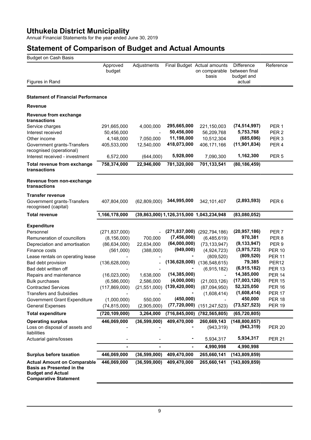Annual Financial Statements for the year ended June 30, 2019

| <b>Budget on Cash Basis</b>                                                                                                 |                    |                |                             |                                                                     |                                           |                   |
|-----------------------------------------------------------------------------------------------------------------------------|--------------------|----------------|-----------------------------|---------------------------------------------------------------------|-------------------------------------------|-------------------|
| Figures in Rand                                                                                                             | Approved<br>budget | Adjustments    |                             | Final Budget Actual amounts<br>on comparable between final<br>basis | <b>Difference</b><br>budget and<br>actual | Reference         |
|                                                                                                                             |                    |                |                             |                                                                     |                                           |                   |
| <b>Statement of Financial Performance</b>                                                                                   |                    |                |                             |                                                                     |                                           |                   |
| <b>Revenue</b>                                                                                                              |                    |                |                             |                                                                     |                                           |                   |
| Revenue from exchange<br>transactions                                                                                       |                    |                |                             |                                                                     |                                           |                   |
| Service charges                                                                                                             | 291,665,000        | 4,000,000      | 295,665,000                 | 221,150,003                                                         | (74, 514, 997)                            | PER <sub>1</sub>  |
| Interest received                                                                                                           | 50,456,000         |                | 50,456,000                  | 56,209,768                                                          | 5,753,768                                 | PER <sub>2</sub>  |
| Other income                                                                                                                | 4,148,000          | 7,050,000      | 11,198,000                  | 10,512,304                                                          | (685, 696)                                | PER <sub>3</sub>  |
| Government grants-Transfers<br>recognised (operational)                                                                     | 405,533,000        | 12,540,000     | 418,073,000                 | 406,171,166                                                         | (11, 901, 834)                            | PER <sub>4</sub>  |
| Interest received - investment                                                                                              | 6,572,000          | (644,000)      | 5,928,000                   | 7,090,300                                                           | 1,162,300                                 | PER <sub>5</sub>  |
| <b>Total revenue from exchange</b><br>transactions                                                                          | 758,374,000        | 22,946,000     | 781,320,000                 | 701,133,541                                                         | (80, 186, 459)                            |                   |
| Revenue from non-exchange<br>transactions                                                                                   |                    |                |                             |                                                                     |                                           |                   |
| <b>Transfer revenue</b>                                                                                                     |                    |                |                             |                                                                     |                                           |                   |
| Government grants-Transfers<br>recognised (capital)                                                                         | 407,804,000        | (62,809,000)   | 344,995,000                 | 342,101,407                                                         | (2,893,593)                               | PER <sub>6</sub>  |
| <b>Total revenue</b>                                                                                                        | 1,166,178,000      |                |                             | (39,863,000) 1,126,315,000 1,043,234,948                            | (83,080,052)                              |                   |
| <b>Expenditure</b>                                                                                                          |                    |                |                             |                                                                     |                                           |                   |
| Personnel                                                                                                                   | (271, 837, 000)    |                | (271, 837, 000)             | (292, 794, 186)                                                     | (20, 957, 186)                            | PER <sub>7</sub>  |
| Remuneration of councillors                                                                                                 | (8, 156, 000)      | 700,000        | (7,456,000)                 | (6, 485, 619)                                                       | 970,381                                   | PER <sub>8</sub>  |
| Depreciation and amortisation                                                                                               | (86, 634, 000)     | 22,634,000     | (64,000,000)                | (73, 133, 947)                                                      | (9, 133, 947)                             | PER <sub>9</sub>  |
| Finance costs                                                                                                               | (561,000)          | (388,000)      | (949,000)                   | (4,924,723)                                                         | (3,975,723)                               | <b>PER 10</b>     |
| Lease rentals on operating lease                                                                                            |                    |                |                             | (809, 520)                                                          | (809, 520)                                | <b>PER 11</b>     |
| Bad debt provision                                                                                                          | (136, 628, 000)    |                | (136, 628, 000)             | (136, 548, 615)                                                     | 79,385                                    | PER <sub>12</sub> |
| Bad debt written off                                                                                                        |                    |                |                             | (6,915,182)                                                         | (6,915,182)                               | <b>PER 13</b>     |
| Repairs and maintenance                                                                                                     | (16,023,000)       | 1,638,000      | (14, 385, 000)              |                                                                     | 14,385,000                                | <b>PER 14</b>     |
| <b>Bulk purchases</b>                                                                                                       | (6,586,000)        | 2,586,000      | (4,000,000)                 | (21,003,126)                                                        | (17,003,126)                              | <b>PER 15</b>     |
| <b>Contracted Services</b>                                                                                                  | (117, 869, 000)    | (21, 551, 000) | (139, 420, 000)             | (87,094,950)                                                        | 52,325,050                                | <b>PER 16</b>     |
| <b>Transfers and Subsidies</b>                                                                                              |                    |                |                             | (1,608,414)                                                         | (1,608,414)                               | <b>PER 17</b>     |
| Government Grant Expenditure                                                                                                | (1,000,000)        | 550,000        | (450,000)<br>(77, 720, 000) |                                                                     | 450,000                                   | <b>PER 18</b>     |
| <b>General Expenses</b>                                                                                                     | (74, 815, 000)     | (2,905,000)    |                             | (151, 247, 523)                                                     | (73, 527, 523)                            | <b>PER 19</b>     |
| <b>Total expenditure</b>                                                                                                    | (720, 109, 000)    | 3,264,000      | (716, 845, 000)             | (782, 565, 805)                                                     | (65, 720, 805)                            |                   |
| <b>Operating surplus</b><br>Loss on disposal of assets and<br>liabilities                                                   | 446,069,000        | (36, 599, 000) | 409,470,000                 | 260,669,143<br>(943, 319)                                           | (148, 800, 857)<br>(943, 319)             | <b>PER 20</b>     |
| Actuarial gains/losses                                                                                                      |                    |                |                             | 5,934,317                                                           | 5,934,317                                 | <b>PER 21</b>     |
|                                                                                                                             | $\blacksquare$     | ä,             | $\blacksquare$              | 4,990,998                                                           | 4,990,998                                 |                   |
| <b>Surplus before taxation</b>                                                                                              | 446,069,000        | (36, 599, 000) | 409,470,000                 | 265,660,141                                                         | (143, 809, 859)                           |                   |
| <b>Actual Amount on Comparable</b><br>Basis as Presented in the<br><b>Budget and Actual</b><br><b>Comparative Statement</b> | 446,069,000        | (36, 599, 000) | 409,470,000                 | 265,660,141                                                         | (143,809,859)                             |                   |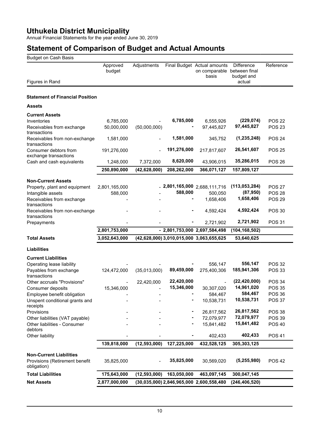Annual Financial Statements for the year ended June 30, 2019

| <b>Budget on Cash Basis</b>                    |                    |                |             |                                                                     |                                 |               |
|------------------------------------------------|--------------------|----------------|-------------|---------------------------------------------------------------------|---------------------------------|---------------|
|                                                | Approved<br>budget | Adjustments    |             | Final Budget Actual amounts<br>on comparable between final<br>basis | <b>Difference</b><br>budget and | Reference     |
| Figures in Rand                                |                    |                |             |                                                                     | actual                          |               |
| <b>Statement of Financial Position</b>         |                    |                |             |                                                                     |                                 |               |
| <b>Assets</b>                                  |                    |                |             |                                                                     |                                 |               |
| <b>Current Assets</b>                          |                    |                |             |                                                                     |                                 |               |
| Inventories                                    | 6,785,000          |                | 6,785,000   | 6,555,926                                                           | (229, 074)                      | <b>POS 22</b> |
| Receivables from exchange<br>transactions      | 50,000,000         | (50,000,000)   |             | 97,445,827                                                          | 97,445,827                      | <b>POS 23</b> |
| Receivables from non-exchange<br>transactions  | 1,581,000          |                | 1,581,000   | 345,752                                                             | (1, 235, 248)                   | <b>POS 24</b> |
| Consumer debtors from<br>exchange transactions | 191,276,000        |                | 191,276,000 | 217,817,607                                                         | 26,541,607                      | <b>POS 25</b> |
| Cash and cash equivalents                      | 1,248,000          | 7,372,000      | 8,620,000   | 43,906,015                                                          | 35,286,015                      | <b>POS 26</b> |
|                                                | 250,890,000        | (42, 628, 000) | 208,262,000 | 366,071,127                                                         | 157,809,127                     |               |
| <b>Non-Current Assets</b>                      |                    |                |             |                                                                     |                                 |               |
| Property, plant and equipment                  | 2,801,165,000      |                |             | 2,801,165,000 2,688,111,716                                         | (113, 053, 284)                 | <b>POS 27</b> |
| Intangible assets                              | 588,000            |                | 588,000     | 500,050                                                             | (87, 950)                       | <b>POS 28</b> |
| Receivables from exchange<br>transactions      |                    |                |             | 1,658,406                                                           | 1,658,406                       | <b>POS 29</b> |
| Receivables from non-exchange<br>transactions  |                    |                |             | 4,592,424                                                           | 4,592,424                       | <b>POS 30</b> |
| Prepayments                                    |                    |                |             | 2,721,902                                                           | 2,721,902                       | <b>POS 31</b> |
|                                                | 2,801,753,000      |                |             | - 2,801,753,000 2,697,584,498                                       | (104, 168, 502)                 |               |
| <b>Total Assets</b>                            | 3,052,643,000      |                |             | (42,628,000) 3,010,015,000 3,063,655,625                            | 53,640,625                      |               |
| <b>Liabilities</b>                             |                    |                |             |                                                                     |                                 |               |
| <b>Current Liabilities</b>                     |                    |                |             |                                                                     |                                 |               |
| Operating lease liability                      |                    |                |             | 556,147                                                             | 556,147                         | <b>POS 32</b> |
| Payables from exchange                         | 124,472,000        | (35,013,000)   | 89,459,000  | 275,400,306                                                         | 185,941,306                     | <b>POS 33</b> |
| transactions<br>Other accruals "Provisions"    |                    | 22,420,000     | 22,420,000  |                                                                     | (22, 420, 000)                  | <b>POS 34</b> |
| Consumer deposits                              | 15,346,000         |                | 15,346,000  | 30,307,020                                                          | 14,961,020                      | <b>POS 35</b> |
| Employee benefit obligation                    |                    |                |             | 584,467                                                             | 584,467                         | <b>POS 36</b> |
| Unspent conditional grants and<br>receipts     |                    |                |             | 10,538,731                                                          | 10,538,731                      | <b>POS 37</b> |
| Provisions                                     |                    |                |             | 26,817,562                                                          | 26,817,562                      | <b>POS 38</b> |
| Other liabilities (VAT payable)                |                    |                |             | 72,079,977                                                          | 72,079,977                      | <b>POS 39</b> |
| Other liabilities - Consumer<br>debtors        |                    |                |             | 15,841,482                                                          | 15,841,482                      | <b>POS 40</b> |
| Other liability                                |                    |                |             | 402,433                                                             | 402,433                         | <b>POS 41</b> |
|                                                | 139,818,000        | (12, 593, 000) | 127,225,000 | 432,528,125                                                         | 305,303,125                     |               |
| <b>Non-Current Liabilities</b>                 |                    |                |             |                                                                     |                                 |               |
| Provisions (Retirement benefit<br>obligation)  | 35,825,000         |                | 35,825,000  | 30,569,020                                                          | (5, 255, 980)                   | <b>POS 42</b> |
| <b>Total Liabilities</b>                       | 175,643,000        | (12, 593, 000) | 163,050,000 | 463,097,145                                                         | 300,047,145                     |               |
| <b>Net Assets</b>                              | 2,877,000,000      |                |             | (30,035,000) 2,846,965,000 2,600,558,480                            | (246, 406, 520)                 |               |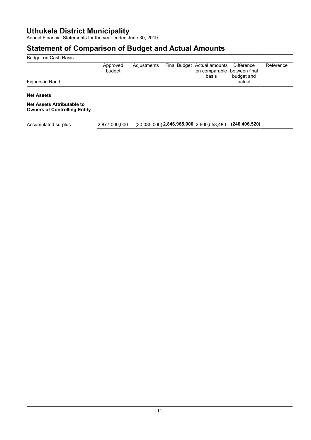Annual Financial Statements for the year ended June 30, 2019

| <b>Budget on Cash Basis</b>                                              |                    |             |                                                       |                                                  |           |
|--------------------------------------------------------------------------|--------------------|-------------|-------------------------------------------------------|--------------------------------------------------|-----------|
|                                                                          | Approved<br>budget | Adjustments | Final Budget Actual amounts<br>on comparable<br>basis | <b>Difference</b><br>between final<br>budget and | Reference |
| Figures in Rand                                                          |                    |             |                                                       | actual                                           |           |
| <b>Net Assets</b>                                                        |                    |             |                                                       |                                                  |           |
| <b>Net Assets Attributable to</b><br><b>Owners of Controlling Entity</b> |                    |             |                                                       |                                                  |           |
| Accumulated surplus                                                      | 2,877,000,000      |             | $(30,035,000)$ 2,846,965,000 2,600,558,480            | (246, 406, 520)                                  |           |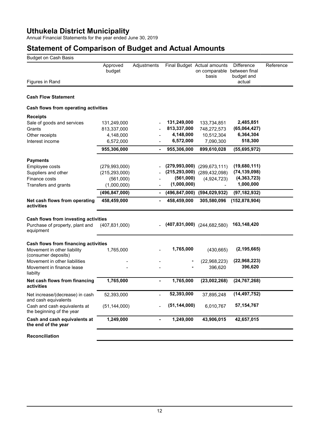Annual Financial Statements for the year ended June 30, 2019

| <b>Budget on Cash Basis</b>                                            |                    |                          |                 |                                                                     |                                           |           |
|------------------------------------------------------------------------|--------------------|--------------------------|-----------------|---------------------------------------------------------------------|-------------------------------------------|-----------|
| Figures in Rand                                                        | Approved<br>budget | Adjustments              |                 | Final Budget Actual amounts<br>on comparable between final<br>basis | <b>Difference</b><br>budget and<br>actual | Reference |
|                                                                        |                    |                          |                 |                                                                     |                                           |           |
| <b>Cash Flow Statement</b>                                             |                    |                          |                 |                                                                     |                                           |           |
| Cash flows from operating activities                                   |                    |                          |                 |                                                                     |                                           |           |
| <b>Receipts</b>                                                        |                    |                          |                 |                                                                     |                                           |           |
| Sale of goods and services                                             | 131,249,000        |                          | 131,249,000     | 133,734,851                                                         | 2,485,851                                 |           |
| Grants                                                                 | 813,337,000        |                          | 813,337,000     | 748,272,573                                                         | (65,064,427)                              |           |
| Other receipts                                                         | 4,148,000          |                          | 4,148,000       | 10,512,304                                                          | 6,364,304                                 |           |
| Interest income                                                        | 6,572,000          |                          | 6,572,000       | 7,090,300                                                           | 518,300                                   |           |
|                                                                        | 955,306,000        | $\blacksquare$           | 955,306,000     | 899,610,028                                                         | (55,695,972)                              |           |
| <b>Payments</b>                                                        |                    |                          |                 |                                                                     |                                           |           |
| Employee costs                                                         | (279, 993, 000)    |                          | (279, 993, 000) | (299, 673, 111)                                                     | (19,680,111)                              |           |
| Suppliers and other                                                    | (215, 293, 000)    |                          | (215, 293, 000) | (289, 432, 098)                                                     | (74, 139, 098)                            |           |
| Finance costs                                                          | (561,000)          |                          | (561,000)       | (4,924,723)                                                         | (4, 363, 723)                             |           |
| Transfers and grants                                                   | (1,000,000)        |                          | (1,000,000)     |                                                                     | 1,000,000                                 |           |
|                                                                        | (496, 847, 000)    | $\blacksquare$           | (496, 847, 000) | (594, 029, 932)                                                     | (97, 182, 932)                            |           |
| Net cash flows from operating<br>activities                            | 458,459,000        |                          | 458,459,000     | 305,580,096                                                         | (152, 878, 904)                           |           |
| Cash flows from investing activities                                   |                    |                          |                 |                                                                     |                                           |           |
| Purchase of property, plant and<br>equipment                           | (407, 831, 000)    |                          |                 | $(407,831,000)$ $(244,682,580)$                                     | 163,148,420                               |           |
| Cash flows from financing activities                                   |                    |                          |                 |                                                                     |                                           |           |
| Movement in other liability<br>(consumer deposits)                     | 1,765,000          |                          | 1,765,000       | (430, 665)                                                          | (2, 195, 665)                             |           |
| Movement in other liabilities<br>Movement in finance lease<br>liabilty |                    |                          |                 | (22,968,223)<br>396,620                                             | (22, 968, 223)<br>396,620                 |           |
| Net cash flows from financing<br>activities                            | 1,765,000          | $\blacksquare$           | 1,765,000       | (23,002,268)                                                        | (24, 767, 268)                            |           |
| Net increase/(decrease) in cash<br>and cash equivalents                | 52,393,000         |                          | 52,393,000      | 37,895,248                                                          | (14, 497, 752)                            |           |
| Cash and cash equivalents at<br>the beginning of the year              | (51, 144, 000)     |                          | (51, 144, 000)  | 6,010,767                                                           | 57, 154, 767                              |           |
| Cash and cash equivalents at<br>the end of the year                    | 1,249,000          | $\overline{\phantom{0}}$ | 1,249,000       | 43,906,015                                                          | 42,657,015                                |           |
| Reconciliation                                                         |                    |                          |                 |                                                                     |                                           |           |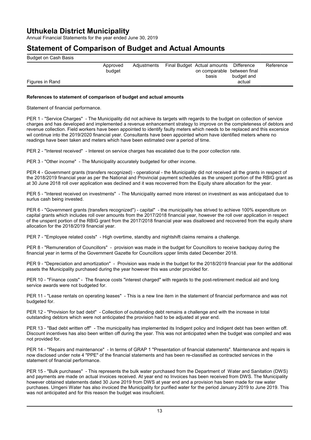Annual Financial Statements for the year ended June 30, 2019

### **Statement of Comparison of Budget and Actual Amounts**

| Budget on Cash Basis |                    |             |                                                                                                              |  |
|----------------------|--------------------|-------------|--------------------------------------------------------------------------------------------------------------|--|
|                      | Approved<br>budget | Adjustments | Final Budget Actual amounts<br>Difference<br>Reference<br>on comparable between final<br>budget and<br>basis |  |
| Figures in Rand      |                    |             | actual                                                                                                       |  |
|                      |                    |             |                                                                                                              |  |

#### **References to statement of comparison of budget and actual amounts**

Statement of financial performance.

PER 1 - "Service Charges" - The Municipality did not achieve its targets with regards to the budget on collection of service charges and has developed and implemented a revenue enhancement strategy to improve on the completeness of debtors and revenue collection. Field workers have been appointed to identify faulty meters which needs to be replaced and this excersice wil continue into the 2019/2020 financial year. Consultants have been appointed whom have identified meters where no readings have been taken and meters which have been estimated over a period of time.

PER 2 - "Interest received" - Interest on service charges has escalated due to the poor collection rate.

PER 3 - "Other income" - The Municipality accurately budgeted for other income.

PER 4 - Government grants (transfers recognized) - operational - the Municipality did not received all the grants in respect of the 2018/2019 financial year as per the National and Provincial payment schedules as the unspent portion of the RBIG grant as at 30 June 2018 roll over application was declined and it was recoverred from the Equity share allocation for the year.

PER 5 - "Interest received on investments" - The Municipality earned more interest on investment as was anticipataed due to surlus cash being invested.

PER 6 - "Government grants (transfers recognized") - capital" - the municipality has strived to achieve 100% expenditure on capital grants which includes roll over amounts from the 2017/2018 financial year, however the roll over application in respect of the unspent portion of the RBIG grant from the 2017/2018 financial year was disallowed and recovered from the equity share allocation for the 2018/2019 financial year.

PER 7 - "Employee related costs" - High overtime, standby and nightshift claims remains a challenge.

PER 8 - "Remuneration of Councillors" - provision was made in the budget for Councillors to receive backpay during the financial year in terms of the Government Gazette for Councillors upper limits dated December 2018.

PER 9 - "Depreciation and amortization" - Provision was made in the budget for the 2018/2019 financial year for the additional assets the Municipality purchased during the year however this was under provided for.

PER 10 - "Finance costs" - The finance costs "interest charged" with regards to the post-retirement medical aid and long service awards were not budgeted for.

PER 11 - "Lease rentals on operating leases" - This is a new line item in the statement of financial performance and was not budgeted for.

PER 12 - "Provision for bad debt" - Collection of outstanding debt remains a challenge and with the increase in total outstanding debtors which were not anticipated the provision had to be adjusted at year end.

PER 13 - "Bad debt written off" - The municipality has implemented its Indigent policy and Indigent debt has been written off. Discount incentives has also been written off during the year. This was not anticipated when the budget was compiled and was not provided for.

PER 14 - "Repairs and maintenance" - In terms of GRAP 1 "Presentation of financial statements". Maintenance and repairs is now disclosed under note 4 "PPE" of the financial statements and has been re-classified as contracted services in the statement of financial performance.

PER 15 - "Bulk purchases" - This represents the bulk water purchased from the Department of Water and Sanitation (DWS) and payments are made on actual invoices received. At year end no Invoices has been received from DWS. The Municipality however obtained statements dated 30 June 2019 from DWS at year end and a provision has been made for raw water purchases. Umgeni Water has also invoiced the Municipality for purified water for the period January 2019 to June 2019. This was not anticipated and for this reason the budget was insuficient.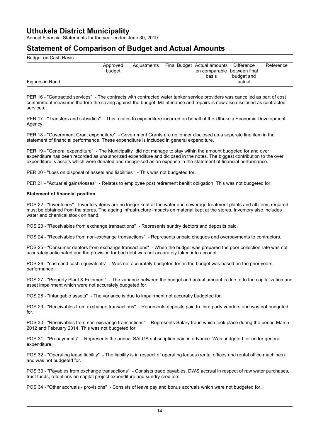Annual Financial Statements for the year ended June 30, 2019

### **Statement of Comparison of Budget and Actual Amounts**

| Budget on Cash Basis |                    |             |                                                                                |                      |           |
|----------------------|--------------------|-------------|--------------------------------------------------------------------------------|----------------------|-----------|
| Figures in Rand      | Approved<br>budget | Adjustments | Final Budget Actual amounts Difference<br>on comparable between final<br>basis | budget and<br>actual | Reference |
|                      |                    |             |                                                                                |                      |           |

PER 16 - "Contracted services" - The contracts with contracted water tanker service providers was cancelled as part of cost containment measures therfore the saving against the budget. Maintenance and repairs is now also disclosed as contracted services.

PER 17 - "Transfers and subsidies" - This relates to expenditure incurred on behalf of the Uthukela Economic Development Agency.

PER 18 - "Government Grant expenditure" - Government Grants are no longer disclosed as a seperate line item in the statement of financial performance. These expenditure is included in general expenditure.

PER 19 - "General expenditure" - The Municipality did not manage to stay within the amount budgeted for and over expenditure has been recorded as unauthorized expenditure and diclosed in the notes. The biggest contribution to the over expenditure is assets which were donated and recognised as an expense in the statement of financial performance.

PER 20 - "Loss on disposal of assets and liabilities" - This was not budgeted for.

PER 21 - "Actuarial gains/losses" - Relates to employee post retirement benifit obligation. This was not budgeted for.

#### **Statement of financial position**.

POS 22 - "Inventories" - Inventory items are no longer kept at the water and sewerage treatment plants and all items required must be obtained from the stores. The ageing infrastructure impacts on material kept at the stores. Inventory also includes water and chemical stock on hand.

POS 23 - "Receivables from exchange transactions" - Represents sundry debtors and deposits paid.

POS 24 - "Receivables from non-exchange transactions" - Represents unpaid cheques and overpayments to contractors.

POS 25 - "Consumer debtors from exchange transactions" - When the budget was prepared the poor collection rate was not accurately anticipated and the provision for bad debt was not accurately taken into account.

POS 26 - "cash and cash equivalents" - Was not accurately budgeted for as the budget was based on the prior years performance.

POS 27 - "Property Plant & Euipment" - The variance between the budget and actual amount is due to to the capitalization and asset impairment which were not accurately budgeted for.

POS 28 - "Intangable assets" - The variance is due to impairment not accuratly budgeted for.

POS 29 - "Receivables from exchange transactions" - Represents deposits paid to third party vendors and was not budgeted for.

POS 30 - "Receivables from non-exchange transactions" - Represents Salary fraud which took place during the period March 2012 and February 2014. This was not budgeted for.

POS 31 - "Prepayments" - Represents the annual SALGA subscription paid in advance. Was budgeted for under general expenditure.

POS 32 - "Operating lease liability" - The liability is in respect of operating leases (rental offices and rental office machines) and was not budgeted for.

POS 33 - "Payables from exchange transactions" - Consists trade payables, DWS accrual in respect of raw water purchases, trust funds, retentions on capital project expenditure and sundry creditors.

POS 34 - "Other accruals - provisions" - Consists of leave pay and bonus accruals which were not budgeted for.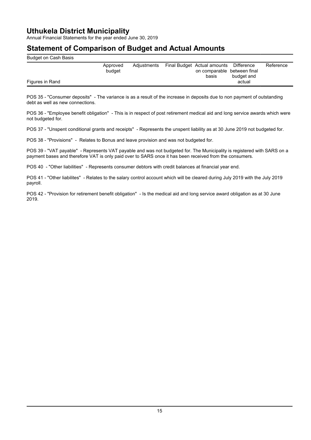Annual Financial Statements for the year ended June 30, 2019

## **Statement of Comparison of Budget and Actual Amounts**

| Budget on Cash Basis |                    |             |                                                                     |                                    |           |
|----------------------|--------------------|-------------|---------------------------------------------------------------------|------------------------------------|-----------|
| Figures in Rand      | Approved<br>budget | Adjustments | Final Budget Actual amounts<br>on comparable between final<br>basis | Difference<br>budget and<br>actual | Reference |
|                      |                    |             |                                                                     |                                    |           |

POS 35 - "Consumer deposits" - The variance is as a result of the increase in deposits due to non payment of outstanding debt as well as new connections.

POS 36 - "Employee benefit obligation" - This is in respect of post retirement medical aid and long service awards which were not budgeted for.

POS 37 - "Unspent conditional grants and receipts" - Represents the unspent liability as at 30 June 2019 not budgeted for.

POS 38 - "Provisions" - Relates to Bonus and leave provision and was not budgeted for.

POS 39 - "VAT payable" - Represents VAT payable and was not budgeted for. The Municipality is registered with SARS on a payment bases and therefore VAT is only paid over to SARS once it has been received from the consumers.

POS 40 - "Other liabilities" - Represents consumer debtors with credit balances at financial year end.

POS 41 - "Other liabilites" - Relates to the salary control account which will be cleared during July 2019 with the July 2019 payroll.

POS 42 - "Provision for retirement benefit obligation" - Is the medical aid and long service award obligation as at 30 June 2019.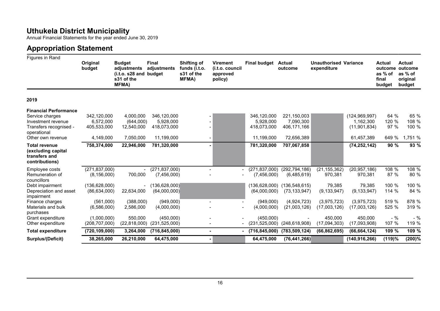Annual Financial Statements for the year ended June 30, 2019

# **Appropriation Statement**

| Figures in Rand                                                               |                                  |                                                                               |                                |                                                                   |                                                           |                                |                                     |                                             |                           |                                                        |                                                           |
|-------------------------------------------------------------------------------|----------------------------------|-------------------------------------------------------------------------------|--------------------------------|-------------------------------------------------------------------|-----------------------------------------------------------|--------------------------------|-------------------------------------|---------------------------------------------|---------------------------|--------------------------------------------------------|-----------------------------------------------------------|
|                                                                               | Original<br>budget               | <b>Budget</b><br>adjustments<br>(i.t.o. s28 and budget<br>s31 of the<br>MFMA) | <b>Final</b><br>adjustments    | <b>Shifting of</b><br>funds (i.t.o.<br>s31 of the<br><b>MFMA)</b> | <b>Virement</b><br>(i.t.o. council<br>approved<br>policy) | <b>Final budget</b>            | <b>Actual</b><br>outcome            | <b>Unauthorised Variance</b><br>expenditure |                           | <b>Actual</b><br>outcome<br>as % of<br>final<br>budget | <b>Actual</b><br>outcome<br>as % of<br>original<br>budget |
| 2019                                                                          |                                  |                                                                               |                                |                                                                   |                                                           |                                |                                     |                                             |                           |                                                        |                                                           |
| <b>Financial Performance</b>                                                  |                                  |                                                                               |                                |                                                                   |                                                           |                                |                                     |                                             |                           |                                                        |                                                           |
| Service charges                                                               | 342.120.000                      | 4.000.000                                                                     | 346,120,000                    |                                                                   |                                                           | 346,120,000                    | 221,150,003                         |                                             | (124, 969, 997)           | 64 %                                                   | 65 %                                                      |
| Investment revenue                                                            | 6,572,000                        | (644,000)                                                                     | 5,928,000                      |                                                                   |                                                           | 5,928,000                      | 7,090,300                           |                                             | 1,162,300                 | 120 %                                                  | 108 %                                                     |
| Transfers recognised -<br>operational                                         | 405,533,000                      | 12,540,000                                                                    | 418,073,000                    |                                                                   |                                                           | 418,073,000                    | 406,171,166                         |                                             | (11, 901, 834)            | 97 %                                                   | 100 %                                                     |
| Other own revenue                                                             | 4,149,000                        | 7,050,000                                                                     | 11,199,000                     |                                                                   |                                                           | 11,199,000                     | 72,656,389                          |                                             | 61,457,389                | 649 %                                                  | 1,751 %                                                   |
| <b>Total revenue</b><br>(excluding capital<br>transfers and<br>contributions) | 758,374,000                      | 22,946,000                                                                    | 781,320,000                    |                                                                   |                                                           | 781,320,000                    | 707,067,858                         |                                             | (74, 252, 142)            | 90%                                                    | 93 %                                                      |
| Employee costs<br>Remuneration of<br>councillors                              | (271, 837, 000)<br>(8, 156, 000) | 700,000                                                                       | (271, 837, 000)<br>(7,456,000) |                                                                   |                                                           | (271, 837, 000)<br>(7,456,000) | (292, 794, 186)<br>(6,485,619)      | (21, 155, 362)<br>970,381                   | (20, 957, 186)<br>970,381 | 108 %<br>87 %                                          | 108 %<br>80 %                                             |
| Debt impairment                                                               | (136, 628, 000)                  |                                                                               | (136, 628, 000)                |                                                                   |                                                           |                                | $(136, 628, 000)$ $(136, 548, 615)$ | 79,385                                      | 79,385                    | 100 %                                                  | 100 %                                                     |
| Depreciation and asset<br>impairment                                          | (86, 634, 000)                   | 22,634,000                                                                    | (64,000,000)                   |                                                                   |                                                           | (64,000,000)                   | (73, 133, 947)                      | (9, 133, 947)                               | (9, 133, 947)             | 114 %                                                  | 84 %                                                      |
| Finance charges                                                               | (561,000)                        | (388,000)                                                                     | (949,000)                      | $\overline{\phantom{a}}$                                          |                                                           | (949,000)                      | (4,924,723)                         | (3,975,723)                                 | (3,975,723)               | 519 %                                                  | 878 %                                                     |
| Materials and bulk<br>purchases                                               | (6,586,000)                      | 2,586,000                                                                     | (4,000,000)                    |                                                                   |                                                           | (4,000,000)                    | (21,003,126)                        | (17,003,126)                                | (17,003,126)              | 525 %                                                  | 319 %                                                     |
| Grant expenditure                                                             | (1,000,000)                      | 550,000                                                                       | (450,000)                      |                                                                   |                                                           | (450.000)                      |                                     | 450.000                                     | 450.000                   | $-$ %                                                  | $-$ %                                                     |
| Other expenditure                                                             | (208, 707, 000)                  | (22, 818, 000)                                                                | (231, 525, 000)                |                                                                   |                                                           | (231, 525, 000)                | (248, 618, 908)                     | (17,094,303)                                | (17,093,908)              | 107 %                                                  | 119 %                                                     |
| <b>Total expenditure</b>                                                      | (720,109,000)                    | 3,264,000                                                                     | (716, 845, 000)                |                                                                   |                                                           | (716, 845, 000)                | (783, 509, 124)                     | (66, 862, 695)                              | (66, 664, 124)            | 109 %                                                  | 109 %                                                     |
| Surplus/(Deficit)                                                             | 38,265,000                       | 26,210,000                                                                    | 64,475,000                     |                                                                   |                                                           | 64,475,000                     | (76, 441, 266)                      |                                             | (140, 916, 266)           | (119)%                                                 | (200)%                                                    |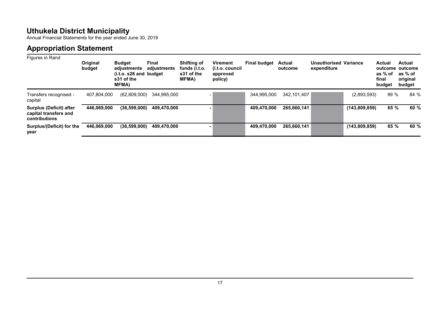Annual Financial Statements for the year ended June 30, 2019

# **Appropriation Statement**

| Figures in Rand                                                          | Original<br>budget | <b>Budget</b><br>adjustments<br>(i.t. o. s28 and budget)<br>s31 of the<br><b>MFMA</b> | <b>Final</b><br>adjustments | Shifting of<br>funds (i.t.o.<br>s31 of the<br><b>MFMA</b> ) | Virement<br>(i.t.o. council<br>approved<br>policy) | <b>Final budget</b> | <b>Actual</b><br>outcome | <b>Unauthorised Variance</b><br>expenditure |                 | <b>Actual</b><br>as % of<br>final<br>budget | Actual<br>outcome outcome<br>as % of<br>original<br>budget |
|--------------------------------------------------------------------------|--------------------|---------------------------------------------------------------------------------------|-----------------------------|-------------------------------------------------------------|----------------------------------------------------|---------------------|--------------------------|---------------------------------------------|-----------------|---------------------------------------------|------------------------------------------------------------|
| Transfers recognised -<br>capital                                        | 407.804.000        | (62,809,000)                                                                          | 344.995.000                 |                                                             |                                                    | 344,995,000         | 342,101,407              |                                             | (2,893,593)     | 99 %                                        | 84 %                                                       |
| <b>Surplus (Deficit) after</b><br>capital transfers and<br>contributions | 446.069.000        | (36,599,000)                                                                          | 409.470.000                 |                                                             |                                                    | 409.470.000         | 265,660,141              |                                             | (143,809,859)   | 65 %                                        | 60 %                                                       |
| Surplus/(Deficit) for the<br>year                                        | 446,069,000        | (36,599,000)                                                                          | 409,470,000                 |                                                             |                                                    | 409,470,000         | 265,660,141              |                                             | (143, 809, 859) | 65 %                                        | 60 %                                                       |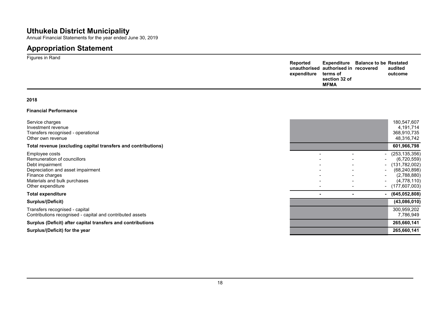Annual Financial Statements for the year ended June 30, 2019

# **Appropriation Statement**

| Figures in Rand | Reported<br>unauthorised authorised in recovered<br>expenditure | <b>Expenditure</b> Balance to be Restated<br>terms of<br>section 32 of | audited<br>outcome |
|-----------------|-----------------------------------------------------------------|------------------------------------------------------------------------|--------------------|
|                 |                                                                 | <b>MFMA</b>                                                            |                    |

#### **2018**

#### **Financial Performance**

| Service charges<br>Investment revenue<br>Transfers recognised - operational<br>Other own revenue                                                                              |  | 180,547,607<br>4,191,714<br>368,910,735<br>48,316,742                                                                       |
|-------------------------------------------------------------------------------------------------------------------------------------------------------------------------------|--|-----------------------------------------------------------------------------------------------------------------------------|
| Total revenue (excluding capital transfers and contributions)                                                                                                                 |  | 601,966,798                                                                                                                 |
| Employee costs<br>Remuneration of councillors<br>Debt impairment<br>Depreciation and asset impairment<br>Finance charges<br>Materials and bulk purchases<br>Other expenditure |  | $-(253, 135, 356)$<br>(6,720,559)<br>$-$ (131,782,002)<br>(68, 240, 898)<br>(2,788,880)<br>(4,778,110)<br>$-$ (177,607,003) |
| <b>Total expenditure</b>                                                                                                                                                      |  | $-$ (645,052,808)                                                                                                           |
| <b>Surplus/(Deficit)</b>                                                                                                                                                      |  | (43,086,010)                                                                                                                |
| Transfers recognised - capital<br>Contributions recognised - capital and contributed assets                                                                                   |  | 300,959,202<br>7,786,949                                                                                                    |
| Surplus (Deficit) after capital transfers and contributions                                                                                                                   |  | 265,660,141                                                                                                                 |
| Surplus/(Deficit) for the year                                                                                                                                                |  | 265,660,141                                                                                                                 |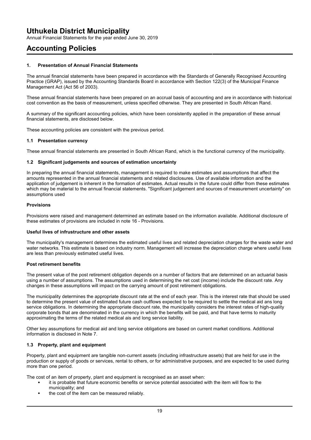Annual Financial Statements for the year ended June 30, 2019

# **Accounting Policies**

#### **1. Presentation of Annual Financial Statements**

The annual financial statements have been prepared in accordance with the Standards of Generally Recognised Accounting Practice (GRAP), issued by the Accounting Standards Board in accordance with Section 122(3) of the Municipal Finance Management Act (Act 56 of 2003).

These annual financial statements have been prepared on an accrual basis of accounting and are in accordance with historical cost convention as the basis of measurement, unless specified otherwise. They are presented in South African Rand.

A summary of the significant accounting policies, which have been consistently applied in the preparation of these annual financial statements, are disclosed below.

These accounting policies are consistent with the previous period.

#### **1.1 Presentation currency**

These annual financial statements are presented in South African Rand, which is the functional currency of the municipality.

#### **1.2 Significant judgements and sources of estimation uncertainty**

In preparing the annual financial statements, management is required to make estimates and assumptions that affect the amounts represented in the annual financial statements and related disclosures. Use of available information and the application of judgement is inherent in the formation of estimates. Actual results in the future could differ from these estimates which may be material to the annual financial statements. "Significant judgement and sources of measurement uncertainty" on assumptions used

#### **Provisions**

Provisions were raised and management determined an estimate based on the information available. Additional disclosure of these estimates of provisions are included in note 16 - Provisions.

#### **Useful lives of infrustructure and other assets**

The municipality's management determines the estimated useful lives and related depreciation charges for the waste water and water networks. This estimate is based on industry norm. Management will increase the depreciation charge where useful lives are less than previously estimated useful lives.

#### **Post retirement benefits**

The present value of the post retirement obligation depends on a number of factors that are determined on an actuarial basis using a number of assumptions. The assumptions used in determining the net cost (income) include the discount rate. Any changes in these assumptions will impact on the carrying amount of post retirement obligations.

The municipality determines the appropriate discount rate at the end of each year. This is the interest rate that should be used to determine the present value of estimated future cash outflows expected to be required to settle the medical aid ans long service obligations. In determining the appropriate discount rate, the municipality considers the interest rates of high-quality corporate bonds that are denominated in the currency in which the benefits will be paid, and that have terms to maturity approximating the terms of the related medical ais and long service liability.

Other key assumptions for medical aid and long service obligations are based on current market conditions. Additional information is disclosed in Note 7.

#### **1.3 Property, plant and equipment**

Property, plant and equipment are tangible non-current assets (including infrastructure assets) that are held for use in the production or supply of goods or services, rental to others, or for administrative purposes, and are expected to be used during more than one period.

The cost of an item of property, plant and equipment is recognised as an asset when:

- it is probable that future economic benefits or service potential associated with the item will flow to the municipality; and
- the cost of the item can be measured reliably.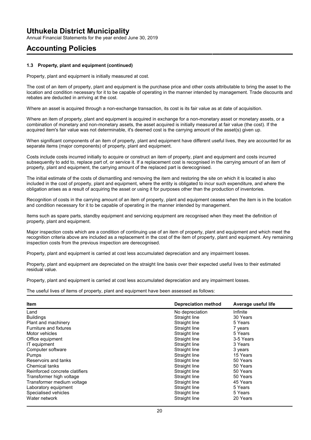Annual Financial Statements for the year ended June 30, 2019

## **Accounting Policies**

#### **1.3 Property, plant and equipment (continued)**

Property, plant and equipment is initially measured at cost.

The cost of an item of property, plant and equipment is the purchase price and other costs attributable to bring the asset to the location and condition necessary for it to be capable of operating in the manner intended by management. Trade discounts and rebates are deducted in arriving at the cost.

Where an asset is acquired through a non-exchange transaction, its cost is its fair value as at date of acquisition.

Where an item of property, plant and equipment is acquired in exchange for a non-monetary asset or monetary assets, or a combination of monetary and non-monetary assets, the asset acquired is initially measured at fair value (the cost). If the acquired item's fair value was not determinable, it's deemed cost is the carrying amount of the asset(s) given up.

When significant components of an item of property, plant and equipment have different useful lives, they are accounted for as separate items (major components) of property, plant and equipment.

Costs include costs incurred initially to acquire or construct an item of property, plant and equipment and costs incurred subsequently to add to, replace part of, or service it. If a replacement cost is recognised in the carrying amount of an item of property, plant and equipment, the carrying amount of the replaced part is derecognised.

The initial estimate of the costs of dismantling and removing the item and restoring the site on which it is located is also included in the cost of property, plant and equipment, where the entity is obligated to incur such expenditure, and where the obligation arises as a result of acquiring the asset or using it for purposes other than the production of inventories.

Recognition of costs in the carrying amount of an item of property, plant and equipment ceases when the item is in the location and condition necessary for it to be capable of operating in the manner intended by management.

Items such as spare parts, standby equipment and servicing equipment are recognised when they meet the definition of property, plant and equipment.

Major inspection costs which are a condition of continuing use of an item of property, plant and equipment and which meet the recognition criteria above are included as a replacement in the cost of the item of property, plant and equipment. Any remaining inspection costs from the previous inspection are derecognised.

Property, plant and equipment is carried at cost less accumulated depreciation and any impairment losses.

Property, plant and equipment are depreciated on the straight line basis over their expected useful lives to their estimated residual value.

Property, plant and equipment is carried at cost less accumulated depreciation and any impairment losses.

The useful lives of items of property, plant and equipment have been assessed as follows:

| <b>Item</b>                    | <b>Depreciation method</b> | Average useful life |
|--------------------------------|----------------------------|---------------------|
| Land                           | No depreciation            | Infinite            |
| <b>Buildings</b>               | Straight line              | 30 Years            |
| Plant and machinery            | Straight line              | 5 Years             |
| <b>Furniture and fixtures</b>  | Straight line              | 7 years             |
| Motor vehicles                 | Straight line              | 5 Years             |
| Office equipment               | Straight line              | 3-5 Years           |
| IT equipment                   | Straight line              | 3 Years             |
| Computer software              | Straight line              | 3 years             |
| <b>Pumps</b>                   | Straight line              | 15 Years            |
| Reservoirs and tanks           | Straight line              | 50 Years            |
| Chemical tanks                 | Straight line              | 50 Years            |
| Reinforced concrete clatifiers | Straight line              | 50 Years            |
| Transformer high voltage       | Straight line              | 50 Years            |
| Transformer medium voltage     | Straight line              | 45 Years            |
| Laboratory equipment           | Straight line              | 5 Years             |
| Specialised vehicles           | Straight line              | 5 Years             |
| Water network                  | Straight line              | 20 Years            |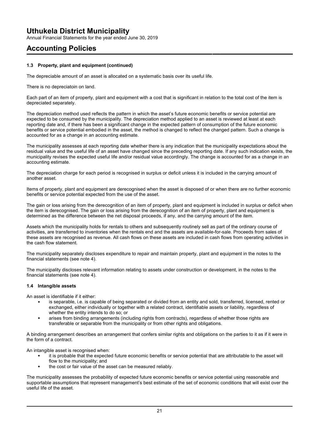Annual Financial Statements for the year ended June 30, 2019

# **Accounting Policies**

#### **1.3 Property, plant and equipment (continued)**

The depreciable amount of an asset is allocated on a systematic basis over its useful life.

There is no depreciatoin on land.

Each part of an item of property, plant and equipment with a cost that is significant in relation to the total cost of the item is depreciated separately.

The depreciation method used reflects the pattern in which the asset's future economic benefits or service potential are expected to be consumed by the municipality. The depreciation method applied to an asset is reviewed at least at each reporting date and, if there has been a significant change in the expected pattern of consumption of the future economic benefits or service potential embodied in the asset, the method is changed to reflect the changed pattern. Such a change is accounted for as a change in an accounting estimate.

The municipality assesses at each reporting date whether there is any indication that the municipality expectations about the residual value and the useful life of an asset have changed since the preceding reporting date. If any such indication exists, the municipality revises the expected useful life and/or residual value accordingly. The change is accounted for as a change in an accounting estimate.

The depreciation charge for each period is recognised in surplus or deficit unless it is included in the carrying amount of another asset.

Items of property, plant and equipment are derecognised when the asset is disposed of or when there are no further economic benefits or service potential expected from the use of the asset.

The gain or loss arising from the derecognition of an item of property, plant and equipment is included in surplus or deficit when the item is derecognised. The gain or loss arising from the derecognition of an item of property, plant and equipment is determined as the difference between the net disposal proceeds, if any, and the carrying amount of the item.

Assets which the municipality holds for rentals to others and subsequently routinely sell as part of the ordinary course of activities, are transferred to inventories when the rentals end and the assets are available-for-sale. Proceeds from sales of these assets are recognised as revenue. All cash flows on these assets are included in cash flows from operating activities in the cash flow statement.

The municipality separately discloses expenditure to repair and maintain property, plant and equipment in the notes to the financial statements (see note 4).

The municipality discloses relevant information relating to assets under construction or development, in the notes to the financial statements (see note 4).

#### **1.4 Intangible assets**

An asset is identifiable if it either:

- is separable, i.e. is capable of being separated or divided from an entity and sold, transferred, licensed, rented or exchanged, either individually or together with a related contract, identifiable assets or liability, regardless of whether the entity intends to do so; or
- arises from binding arrangements (including rights from contracts), regardless of whether those rights are transferable or separable from the municipality or from other rights and obligations.

A binding arrangement describes an arrangement that confers similar rights and obligations on the parties to it as if it were in the form of a contract.

An intangible asset is recognised when:

- it is probable that the expected future economic benefits or service potential that are attributable to the asset will flow to the municipality; and
- the cost or fair value of the asset can be measured reliably.

The municipality assesses the probability of expected future economic benefits or service potential using reasonable and supportable assumptions that represent management's best estimate of the set of economic conditions that will exist over the useful life of the asset.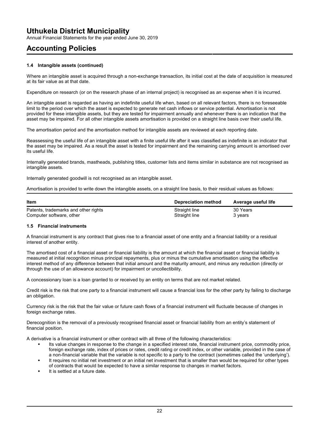Annual Financial Statements for the year ended June 30, 2019

# **Accounting Policies**

#### **1.4 Intangible assets (continued)**

Where an intangible asset is acquired through a non-exchange transaction, its initial cost at the date of acquisition is measured at its fair value as at that date.

Expenditure on research (or on the research phase of an internal project) is recognised as an expense when it is incurred.

An intangible asset is regarded as having an indefinite useful life when, based on all relevant factors, there is no foreseeable limit to the period over which the asset is expected to generate net cash inflows or service potential. Amortisation is not provided for these intangible assets, but they are tested for impairment annually and whenever there is an indication that the asset may be impaired. For all other intangible assets amortisation is provided on a straight line basis over their useful life.

The amortisation period and the amortisation method for intangible assets are reviewed at each reporting date.

Reassessing the useful life of an intangible asset with a finite useful life after it was classified as indefinite is an indicator that the asset may be impaired. As a result the asset is tested for impairment and the remaining carrying amount is amortised over its useful life.

Internally generated brands, mastheads, publishing titles, customer lists and items similar in substance are not recognised as intangible assets.

Internally generated goodwill is not recognised as an intangible asset.

Amortisation is provided to write down the intangible assets, on a straight line basis, to their residual values as follows:

| <b>Item</b>                          | Depreciation method | Average useful life |
|--------------------------------------|---------------------|---------------------|
| Patents, trademarks and other rights | Straight line       | 30 Years            |
| Computer software, other             | Straight line       | 3 vears             |

#### **1.5 Financial instruments**

A financial instrument is any contract that gives rise to a financial asset of one entity and a financial liability or a residual interest of another entity.

The amortised cost of a financial asset or financial liability is the amount at which the financial asset or financial liability is measured at initial recognition minus principal repayments, plus or minus the cumulative amortisation using the effective interest method of any difference between that initial amount and the maturity amount, and minus any reduction (directly or through the use of an allowance account) for impairment or uncollectibility.

A concessionary loan is a loan granted to or received by an entity on terms that are not market related.

Credit risk is the risk that one party to a financial instrument will cause a financial loss for the other party by failing to discharge an obligation.

Currency risk is the risk that the fair value or future cash flows of a financial instrument will fluctuate because of changes in foreign exchange rates.

Derecognition is the removal of a previously recognised financial asset or financial liability from an entity's statement of financial position.

A derivative is a financial instrument or other contract with all three of the following characteristics:

- Its value changes in response to the change in a specified interest rate, financial instrument price, commodity price, foreign exchange rate, index of prices or rates, credit rating or credit index, or other variable, provided in the case of a non-financial variable that the variable is not specific to a party to the contract (sometimes called the 'underlying').
- It requires no initial net investment or an initial net investment that is smaller than would be required for other types of contracts that would be expected to have a similar response to changes in market factors.
- It is settled at a future date.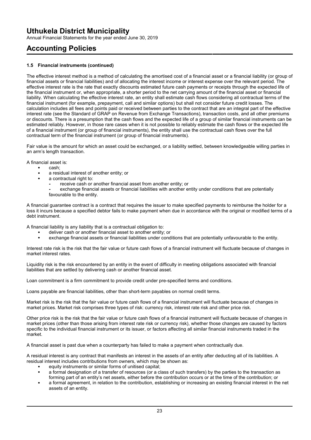Annual Financial Statements for the year ended June 30, 2019

# **Accounting Policies**

#### **1.5 Financial instruments (continued)**

The effective interest method is a method of calculating the amortised cost of a financial asset or a financial liability (or group of financial assets or financial liabilities) and of allocating the interest income or interest expense over the relevant period. The effective interest rate is the rate that exactly discounts estimated future cash payments or receipts through the expected life of the financial instrument or, when appropriate, a shorter period to the net carrying amount of the financial asset or financial liability. When calculating the effective interest rate, an entity shall estimate cash flows considering all contractual terms of the financial instrument (for example, prepayment, call and similar options) but shall not consider future credit losses. The calculation includes all fees and points paid or received between parties to the contract that are an integral part of the effective interest rate (see the Standard of GRAP on Revenue from Exchange Transactions), transaction costs, and all other premiums or discounts. There is a presumption that the cash flows and the expected life of a group of similar financial instruments can be estimated reliably. However, in those rare cases when it is not possible to reliably estimate the cash flows or the expected life of a financial instrument (or group of financial instruments), the entity shall use the contractual cash flows over the full contractual term of the financial instrument (or group of financial instruments).

Fair value is the amount for which an asset could be exchanged, or a liability settled, between knowledgeable willing parties in an arm's length transaction.

A financial asset is:

- cash;
- a residual interest of another entity; or
- a contractual right to:
	- **-** receive cash or another financial asset from another entity; or
	- **-** exchange financial assets or financial liabilities with another entity under conditions that are potentially favourable to the entity.

A financial guarantee contract is a contract that requires the issuer to make specified payments to reimburse the holder for a loss it incurs because a specified debtor fails to make payment when due in accordance with the original or modified terms of a debt instrument.

A financial liability is any liability that is a contractual obligation to:

- deliver cash or another financial asset to another entity; or
- exchange financial assets or financial liabilities under conditions that are potentially unfavourable to the entity.

Interest rate risk is the risk that the fair value or future cash flows of a financial instrument will fluctuate because of changes in market interest rates.

Liquidity risk is the risk encountered by an entity in the event of difficulty in meeting obligations associated with financial liabilities that are settled by delivering cash or another financial asset.

Loan commitment is a firm commitment to provide credit under pre-specified terms and conditions.

Loans payable are financial liabilities, other than short-term payables on normal credit terms.

Market risk is the risk that the fair value or future cash flows of a financial instrument will fluctuate because of changes in market prices. Market risk comprises three types of risk: currency risk, interest rate risk and other price risk.

Other price risk is the risk that the fair value or future cash flows of a financial instrument will fluctuate because of changes in market prices (other than those arising from interest rate risk or currency risk), whether those changes are caused by factors specific to the individual financial instrument or its issuer, or factors affecting all similar financial instruments traded in the market.

A financial asset is past due when a counterparty has failed to make a payment when contractually due.

A residual interest is any contract that manifests an interest in the assets of an entity after deducting all of its liabilities. A residual interest includes contributions from owners, which may be shown as:

- equity instruments or similar forms of unitised capital;
- a formal designation of a transfer of resources (or a class of such transfers) by the parties to the transaction as forming part of an entity's net assets, either before the contribution occurs or at the time of the contribution; or
- a formal agreement, in relation to the contribution, establishing or increasing an existing financial interest in the net assets of an entity.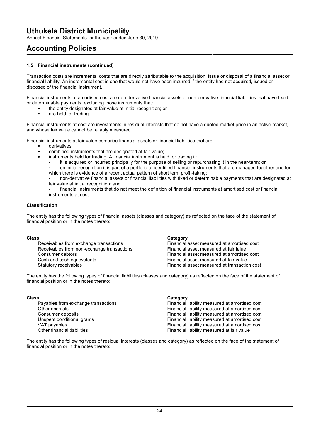Annual Financial Statements for the year ended June 30, 2019

# **Accounting Policies**

#### **1.5 Financial instruments (continued)**

Transaction costs are incremental costs that are directly attributable to the acquisition, issue or disposal of a financial asset or financial liability. An incremental cost is one that would not have been incurred if the entity had not acquired, issued or disposed of the financial instrument.

Financial instruments at amortised cost are non-derivative financial assets or non-derivative financial liabilities that have fixed or determinable payments, excluding those instruments that:

- the entity designates at fair value at initial recognition; or
- are held for trading.

Financial instruments at cost are investments in residual interests that do not have a quoted market price in an active market, and whose fair value cannot be reliably measured.

Financial instruments at fair value comprise financial assets or financial liabilities that are:

- derivatives;
- combined instruments that are designated at fair value;
- instruments held for trading. A financial instrument is held for trading if:
	- **-** it is acquired or incurred principally for the purpose of selling or repurchasing it in the near-term; or
	- **-** on initial recognition it is part of a portfolio of identified financial instruments that are managed together and for which there is evidence of a recent actual pattern of short term profit-taking;
	- **-** non-derivative financial assets or financial liabilities with fixed or determinable payments that are designated at fair value at initial recognition; and
	- **-** financial instruments that do not meet the definition of financial instruments at amortised cost or financial instruments at cost.

#### **Classification**

The entity has the following types of financial assets (classes and category) as reflected on the face of the statement of financial position or in the notes thereto:

**Class Class**<br>**Receivables from exchange transactions Category Category** Receivables from non-exchange transactions<br>Consumer debtors Consumer debtors **Consumer debtors**<br>Cash and cash equevalents **Financial asset measured at fair value**<br>Financial asset measured at fair value

Financial asset measured at amortised cost<br>Financial asset measured at fair falue Financial asset measured at fair value Statutory receivables Financial asset measured at transaction cost

The entity has the following types of financial liabilities (classes and category) as reflected on the face of the statement of financial position or in the notes thereto:

#### **Class Category**

Payables from exchange transactions Financial liability measured at amortised cost<br>Other accruals Financial liability measured at amortised cost Other accruals **Other accruals**<br>Consumer deposits **Financial liability measured at amortised cost**<br>Financial liability measured at amortised cost Financial liability measured at amortised cost Unspent conditional grants Financial liability measured at amortised cost VAT payables **The Contract of the Contract of Contract** Financial liability measured at amortised cost<br>
Other financial :iabilities **Financial liability measured at fair value** Financial liability measured at fair value

The entity has the following types of residual interests (classes and category) as reflected on the face of the statement of financial position or in the notes thereto: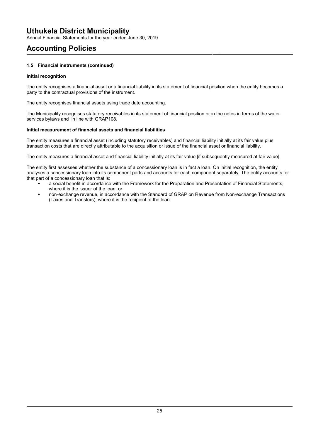Annual Financial Statements for the year ended June 30, 2019

# **Accounting Policies**

#### **1.5 Financial instruments (continued)**

#### **Initial recognition**

The entity recognises a financial asset or a financial liability in its statement of financial position when the entity becomes a party to the contractual provisions of the instrument.

The entity recognises financial assets using trade date accounting.

The Municipality recognises statutory receivables in its statement of financial position or in the notes in terms of the water services bylaws and in line with GRAP108.

#### **Initial measurement of financial assets and financial liabilities**

The entity measures a financial asset (including statutory receivables) and financial liability initially at its fair value plus transaction costs that are directly attributable to the acquisition or issue of the financial asset or financial liability.

The entity measures a financial asset and financial liability initially at its fair value [if subsequently measured at fair value].

The entity first assesses whether the substance of a concessionary loan is in fact a loan. On initial recognition, the entity analyses a concessionary loan into its component parts and accounts for each component separately. The entity accounts for that part of a concessionary loan that is:

- a social benefit in accordance with the Framework for the Preparation and Presentation of Financial Statements, where it is the issuer of the loan; or
- non-exchange revenue, in accordance with the Standard of GRAP on Revenue from Non-exchange Transactions (Taxes and Transfers), where it is the recipient of the loan.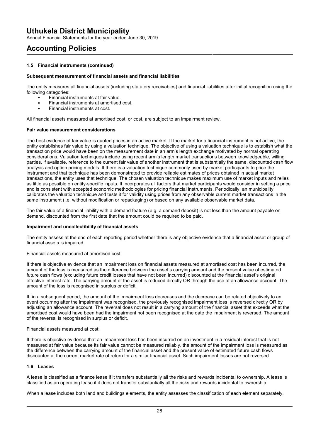Annual Financial Statements for the year ended June 30, 2019

# **Accounting Policies**

#### **1.5 Financial instruments (continued)**

#### **Subsequent measurement of financial assets and financial liabilities**

The entity measures all financial assets (including statutory receivables) and financial liabilities after initial recognition using the following categories:

- Financial instruments at fair value.
- Financial instruments at amortised cost.
- Financial instruments at cost.

All financial assets measured at amortised cost, or cost, are subject to an impairment review.

#### **Fair value measurement considerations**

The best evidence of fair value is quoted prices in an active market. If the market for a financial instrument is not active, the entity establishes fair value by using a valuation technique. The objective of using a valuation technique is to establish what the transaction price would have been on the measurement date in an arm's length exchange motivated by normal operating considerations. Valuation techniques include using recent arm's length market transactions between knowledgeable, willing parties, if available, reference to the current fair value of another instrument that is substantially the same, discounted cash flow analysis and option pricing models. If there is a valuation technique commonly used by market participants to price the instrument and that technique has been demonstrated to provide reliable estimates of prices obtained in actual market transactions, the entity uses that technique. The chosen valuation technique makes maximum use of market inputs and relies as little as possible on entity-specific inputs. It incorporates all factors that market participants would consider in setting a price and is consistent with accepted economic methodologies for pricing financial instruments. Periodically, an municipality calibrates the valuation technique and tests it for validity using prices from any observable current market transactions in the same instrument (i.e. without modification or repackaging) or based on any available observable market data.

The fair value of a financial liability with a demand feature (e.g. a demand deposit) is not less than the amount payable on demand, discounted from the first date that the amount could be required to be paid.

#### **Impairment and uncollectibility of financial assets**

The entity assess at the end of each reporting period whether there is any objective evidence that a financial asset or group of financial assets is impaired.

Financial assets measured at amortised cost:

If there is objective evidence that an impairment loss on financial assets measured at amortised cost has been incurred, the amount of the loss is measured as the difference between the asset's carrying amount and the present value of estimated future cash flows (excluding future credit losses that have not been incurred) discounted at the financial asset's original effective interest rate. The carrying amount of the asset is reduced directly OR through the use of an allowance account. The amount of the loss is recognised in surplus or deficit.

If, in a subsequent period, the amount of the impairment loss decreases and the decrease can be related objectively to an event occurring after the impairment was recognised, the previously recognised impairment loss is reversed directly OR by adjusting an allowance account. The reversal does not result in a carrying amount of the financial asset that exceeds what the amortised cost would have been had the impairment not been recognised at the date the impairment is reversed. The amount of the reversal is recognised in surplus or deficit.

Financial assets measured at cost:

If there is objective evidence that an impairment loss has been incurred on an investment in a residual interest that is not measured at fair value because its fair value cannot be measured reliably, the amount of the impairment loss is measured as the difference between the carrying amount of the financial asset and the present value of estimated future cash flows discounted at the current market rate of return for a similar financial asset. Such impairment losses are not reversed.

#### **1.6 Leases**

A lease is classified as a finance lease if it transfers substantially all the risks and rewards incidental to ownership. A lease is classified as an operating lease if it does not transfer substantially all the risks and rewards incidental to ownership.

When a lease includes both land and buildings elements, the entity assesses the classification of each element separately.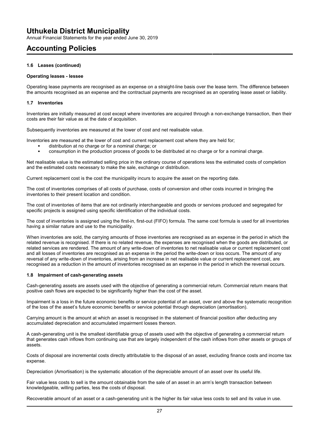Annual Financial Statements for the year ended June 30, 2019

## **Accounting Policies**

#### **1.6 Leases (continued)**

#### **Operating leases - lessee**

Operating lease payments are recognised as an expense on a straight-line basis over the lease term. The difference between the amounts recognised as an expense and the contractual payments are recognised as an operating lease asset or liability.

#### **1.7 Inventories**

Inventories are initially measured at cost except where inventories are acquired through a non-exchange transaction, then their costs are their fair value as at the date of acquisition.

Subsequently inventories are measured at the lower of cost and net realisable value.

Inventories are measured at the lower of cost and current replacement cost where they are held for;

- distribution at no charge or for a nominal charge; or
- consumption in the production process of goods to be distributed at no charge or for a nominal charge.

Net realisable value is the estimated selling price in the ordinary course of operations less the estimated costs of completion and the estimated costs necessary to make the sale, exchange or distribution.

Current replacement cost is the cost the municipality incurs to acquire the asset on the reporting date.

The cost of inventories comprises of all costs of purchase, costs of conversion and other costs incurred in bringing the inventories to their present location and condition.

The cost of inventories of items that are not ordinarily interchangeable and goods or services produced and segregated for specific projects is assigned using specific identification of the individual costs.

The cost of inventories is assigned using the first-in, first-out (FIFO) formula. The same cost formula is used for all inventories having a similar nature and use to the municipality.

When inventories are sold, the carrying amounts of those inventories are recognised as an expense in the period in which the related revenue is recognised. If there is no related revenue, the expenses are recognised when the goods are distributed, or related services are rendered. The amount of any write-down of inventories to net realisable value or current replacement cost and all losses of inventories are recognised as an expense in the period the write-down or loss occurs. The amount of any reversal of any write-down of inventories, arising from an increase in net realisable value or current replacement cost, are recognised as a reduction in the amount of inventories recognised as an expense in the period in which the reversal occurs.

#### **1.8 Impairment of cash-generating assets**

Cash-generating assets are assets used with the objective of generating a commercial return. Commercial return means that positive cash flows are expected to be significantly higher than the cost of the asset.

Impairment is a loss in the future economic benefits or service potential of an asset, over and above the systematic recognition of the loss of the asset's future economic benefits or service potential through depreciation (amortisation).

Carrying amount is the amount at which an asset is recognised in the statement of financial position after deducting any accumulated depreciation and accumulated impairment losses thereon.

A cash-generating unit is the smallest identifiable group of assets used with the objective of generating a commercial return that generates cash inflows from continuing use that are largely independent of the cash inflows from other assets or groups of assets.

Costs of disposal are incremental costs directly attributable to the disposal of an asset, excluding finance costs and income tax expense.

Depreciation (Amortisation) is the systematic allocation of the depreciable amount of an asset over its useful life.

Fair value less costs to sell is the amount obtainable from the sale of an asset in an arm's length transaction between knowledgeable, willing parties, less the costs of disposal.

Recoverable amount of an asset or a cash-generating unit is the higher its fair value less costs to sell and its value in use.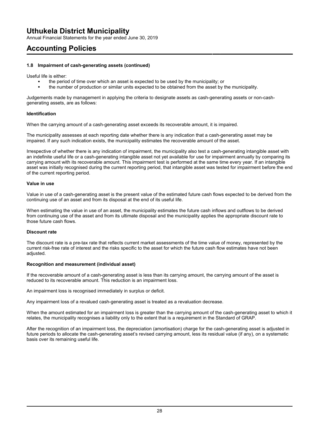Annual Financial Statements for the year ended June 30, 2019

# **Accounting Policies**

#### **1.8 Impairment of cash-generating assets (continued)**

Useful life is either:

- the period of time over which an asset is expected to be used by the municipality; or
- the number of production or similar units expected to be obtained from the asset by the municipality.

Judgements made by management in applying the criteria to designate assets as cash-generating assets or non-cashgenerating assets, are as follows:

#### **Identification**

When the carrying amount of a cash-generating asset exceeds its recoverable amount, it is impaired.

The municipality assesses at each reporting date whether there is any indication that a cash-generating asset may be impaired. If any such indication exists, the municipality estimates the recoverable amount of the asset.

Irrespective of whether there is any indication of impairment, the municipality also test a cash-generating intangible asset with an indefinite useful life or a cash-generating intangible asset not yet available for use for impairment annually by comparing its carrying amount with its recoverable amount. This impairment test is performed at the same time every year. If an intangible asset was initially recognised during the current reporting period, that intangible asset was tested for impairment before the end of the current reporting period.

#### **Value in use**

Value in use of a cash-generating asset is the present value of the estimated future cash flows expected to be derived from the continuing use of an asset and from its disposal at the end of its useful life.

When estimating the value in use of an asset, the municipality estimates the future cash inflows and outflows to be derived from continuing use of the asset and from its ultimate disposal and the municipality applies the appropriate discount rate to those future cash flows.

#### **Discount rate**

The discount rate is a pre-tax rate that reflects current market assessments of the time value of money, represented by the current risk-free rate of interest and the risks specific to the asset for which the future cash flow estimates have not been adiusted.

#### **Recognition and measurement (individual asset)**

If the recoverable amount of a cash-generating asset is less than its carrying amount, the carrying amount of the asset is reduced to its recoverable amount. This reduction is an impairment loss.

An impairment loss is recognised immediately in surplus or deficit.

Any impairment loss of a revalued cash-generating asset is treated as a revaluation decrease.

When the amount estimated for an impairment loss is greater than the carrying amount of the cash-generating asset to which it relates, the municipality recognises a liability only to the extent that is a requirement in the Standard of GRAP.

After the recognition of an impairment loss, the depreciation (amortisation) charge for the cash-generating asset is adjusted in future periods to allocate the cash-generating asset's revised carrying amount, less its residual value (if any), on a systematic basis over its remaining useful life.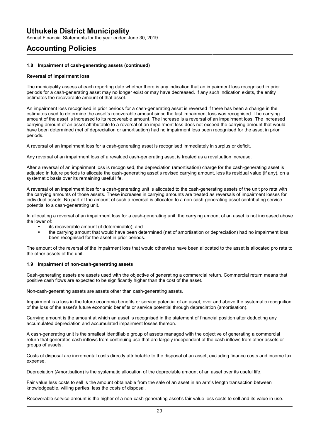Annual Financial Statements for the year ended June 30, 2019

## **Accounting Policies**

#### **1.8 Impairment of cash-generating assets (continued)**

#### **Reversal of impairment loss**

The municipality assess at each reporting date whether there is any indication that an impairment loss recognised in prior periods for a cash-generating asset may no longer exist or may have decreased. If any such indication exists, the entity estimates the recoverable amount of that asset.

An impairment loss recognised in prior periods for a cash-generating asset is reversed if there has been a change in the estimates used to determine the asset's recoverable amount since the last impairment loss was recognised. The carrying amount of the asset is increased to its recoverable amount. The increase is a reversal of an impairment loss. The increased carrying amount of an asset attributable to a reversal of an impairment loss does not exceed the carrying amount that would have been determined (net of depreciation or amortisation) had no impairment loss been recognised for the asset in prior periods.

A reversal of an impairment loss for a cash-generating asset is recognised immediately in surplus or deficit.

Any reversal of an impairment loss of a revalued cash-generating asset is treated as a revaluation increase.

After a reversal of an impairment loss is recognised, the depreciation (amortisation) charge for the cash-generating asset is adjusted in future periods to allocate the cash-generating asset's revised carrying amount, less its residual value (if any), on a systematic basis over its remaining useful life.

A reversal of an impairment loss for a cash-generating unit is allocated to the cash-generating assets of the unit pro rata with the carrying amounts of those assets. These increases in carrying amounts are treated as reversals of impairment losses for individual assets. No part of the amount of such a reversal is allocated to a non-cash-generating asset contributing service potential to a cash-generating unit.

In allocating a reversal of an impairment loss for a cash-generating unit, the carrying amount of an asset is not increased above the lower of:

- its recoverable amount (if determinable); and
- the carrying amount that would have been determined (net of amortisation or depreciation) had no impairment loss been recognised for the asset in prior periods.

The amount of the reversal of the impairment loss that would otherwise have been allocated to the asset is allocated pro rata to the other assets of the unit.

#### **1.9 Impairment of non-cash-generating assets**

Cash-generating assets are assets used with the objective of generating a commercial return. Commercial return means that positive cash flows are expected to be significantly higher than the cost of the asset.

Non-cash-generating assets are assets other than cash-generating assets.

Impairment is a loss in the future economic benefits or service potential of an asset, over and above the systematic recognition of the loss of the asset's future economic benefits or service potential through depreciation (amortisation).

Carrying amount is the amount at which an asset is recognised in the statement of financial position after deducting any accumulated depreciation and accumulated impairment losses thereon.

A cash-generating unit is the smallest identifiable group of assets managed with the objective of generating a commercial return that generates cash inflows from continuing use that are largely independent of the cash inflows from other assets or groups of assets.

Costs of disposal are incremental costs directly attributable to the disposal of an asset, excluding finance costs and income tax expense.

Depreciation (Amortisation) is the systematic allocation of the depreciable amount of an asset over its useful life.

Fair value less costs to sell is the amount obtainable from the sale of an asset in an arm's length transaction between knowledgeable, willing parties, less the costs of disposal.

Recoverable service amount is the higher of a non-cash-generating asset's fair value less costs to sell and its value in use.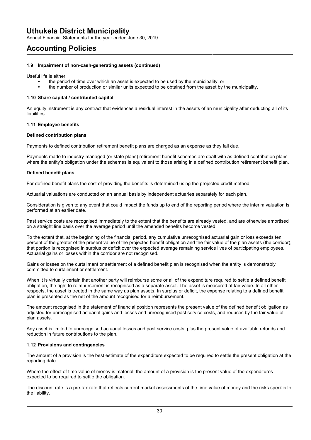Annual Financial Statements for the year ended June 30, 2019

## **Accounting Policies**

#### **1.9 Impairment of non-cash-generating assets (continued)**

Useful life is either:

- the period of time over which an asset is expected to be used by the municipality; or
- the number of production or similar units expected to be obtained from the asset by the municipality.

#### **1.10 Share capital / contributed capital**

An equity instrument is any contract that evidences a residual interest in the assets of an municipality after deducting all of its liabilities.

#### **1.11 Employee benefits**

#### **Defined contribution plans**

Payments to defined contribution retirement benefit plans are charged as an expense as they fall due.

Payments made to industry-managed (or state plans) retirement benefit schemes are dealt with as defined contribution plans where the entity's obligation under the schemes is equivalent to those arising in a defined contribution retirement benefit plan.

#### **Defined benefit plans**

For defined benefit plans the cost of providing the benefits is determined using the projected credit method.

Actuarial valuations are conducted on an annual basis by independent actuaries separately for each plan.

Consideration is given to any event that could impact the funds up to end of the reporting period where the interim valuation is performed at an earlier date.

Past service costs are recognised immediately to the extent that the benefits are already vested, and are otherwise amortised on a straight line basis over the average period until the amended benefits become vested.

To the extent that, at the beginning of the financial period, any cumulative unrecognised actuarial gain or loss exceeds ten percent of the greater of the present value of the projected benefit obligation and the fair value of the plan assets (the corridor), that portion is recognised in surplus or deficit over the expected average remaining service lives of participating employees. Actuarial gains or losses within the corridor are not recognised.

Gains or losses on the curtailment or settlement of a defined benefit plan is recognised when the entity is demonstrably committed to curtailment or settlement.

When it is virtually certain that another party will reimburse some or all of the expenditure required to settle a defined benefit obligation, the right to reimbursement is recognised as a separate asset. The asset is measured at fair value. In all other respects, the asset is treated in the same way as plan assets. In surplus or deficit, the expense relating to a defined benefit plan is presented as the net of the amount recognised for a reimbursement.

The amount recognised in the statement of financial position represents the present value of the defined benefit obligation as adjusted for unrecognised actuarial gains and losses and unrecognised past service costs, and reduces by the fair value of plan assets.

Any asset is limited to unrecognised actuarial losses and past service costs, plus the present value of available refunds and reduction in future contributions to the plan.

#### **1.12 Provisions and contingencies**

The amount of a provision is the best estimate of the expenditure expected to be required to settle the present obligation at the reporting date.

Where the effect of time value of money is material, the amount of a provision is the present value of the expenditures expected to be required to settle the obligation.

The discount rate is a pre-tax rate that reflects current market assessments of the time value of money and the risks specific to the liability.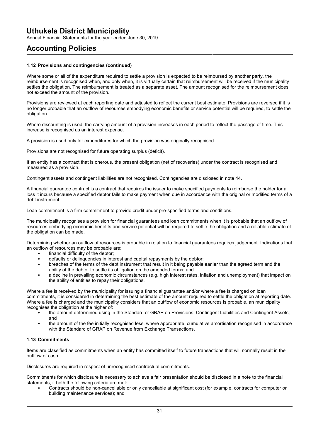Annual Financial Statements for the year ended June 30, 2019

## **Accounting Policies**

#### **1.12 Provisions and contingencies (continued)**

Where some or all of the expenditure required to settle a provision is expected to be reimbursed by another party, the reimbursement is recognised when, and only when, it is virtually certain that reimbursement will be received if the municipality settles the obligation. The reimbursement is treated as a separate asset. The amount recognised for the reimbursement does not exceed the amount of the provision.

Provisions are reviewed at each reporting date and adjusted to reflect the current best estimate. Provisions are reversed if it is no longer probable that an outflow of resources embodying economic benefits or service potential will be required, to settle the obligation.

Where discounting is used, the carrying amount of a provision increases in each period to reflect the passage of time. This increase is recognised as an interest expense.

A provision is used only for expenditures for which the provision was originally recognised.

Provisions are not recognised for future operating surplus (deficit).

If an entity has a contract that is onerous, the present obligation (net of recoveries) under the contract is recognised and measured as a provision.

Contingent assets and contingent liabilities are not recognised. Contingencies are disclosed in note 44.

A financial guarantee contract is a contract that requires the issuer to make specified payments to reimburse the holder for a loss it incurs because a specified debtor fails to make payment when due in accordance with the original or modified terms of a debt instrument.

Loan commitment is a firm commitment to provide credit under pre-specified terms and conditions.

The municipality recognises a provision for financial guarantees and loan commitments when it is probable that an outflow of resources embodying economic benefits and service potential will be required to settle the obligation and a reliable estimate of the obligation can be made.

Determining whether an outflow of resources is probable in relation to financial guarantees requires judgement. Indications that an outflow of resources may be probable are:

- financial difficulty of the debtor;
- defaults or delinquencies in interest and capital repayments by the debtor;
- breaches of the terms of the debt instrument that result in it being payable earlier than the agreed term and the ability of the debtor to settle its obligation on the amended terms; and
- a decline in prevailing economic circumstances (e.g. high interest rates, inflation and unemployment) that impact on the ability of entities to repay their obligations.

Where a fee is received by the municipality for issuing a financial guarantee and/or where a fee is charged on loan commitments, it is considered in determining the best estimate of the amount required to settle the obligation at reporting date. Where a fee is charged and the municipality considers that an outflow of economic resources is probable, an municipality recognises the obligation at the higher of:

- the amount determined using in the Standard of GRAP on Provisions, Contingent Liabilities and Contingent Assets; and
- the amount of the fee initially recognised less, where appropriate, cumulative amortisation recognised in accordance with the Standard of GRAP on Revenue from Exchange Transactions.

#### **1.13 Commitments**

Items are classified as commitments when an entity has committed itself to future transactions that will normally result in the outflow of cash.

Disclosures are required in respect of unrecognised contractual commitments.

Commitments for which disclosure is necessary to achieve a fair presentation should be disclosed in a note to the financial statements, if both the following criteria are met:

 Contracts should be non-cancellable or only cancellable at significant cost (for example, contracts for computer or building maintenance services); and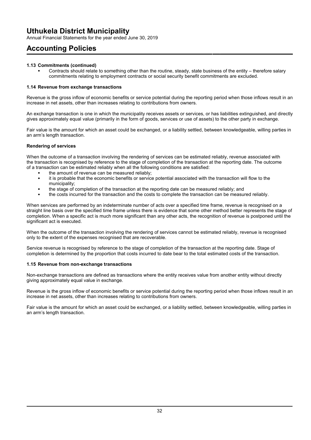Annual Financial Statements for the year ended June 30, 2019

# **Accounting Policies**

#### **1.13 Commitments (continued)**

 Contracts should relate to something other than the routine, steady, state business of the entity – therefore salary commitments relating to employment contracts or social security benefit commitments are excluded.

#### **1.14 Revenue from exchange transactions**

Revenue is the gross inflow of economic benefits or service potential during the reporting period when those inflows result in an increase in net assets, other than increases relating to contributions from owners.

An exchange transaction is one in which the municipality receives assets or services, or has liabilities extinguished, and directly gives approximately equal value (primarily in the form of goods, services or use of assets) to the other party in exchange.

Fair value is the amount for which an asset could be exchanged, or a liability settled, between knowledgeable, willing parties in an arm's length transaction.

#### **Rendering of services**

When the outcome of a transaction involving the rendering of services can be estimated reliably, revenue associated with the transaction is recognised by reference to the stage of completion of the transaction at the reporting date. The outcome of a transaction can be estimated reliably when all the following conditions are satisfied:

- the amount of revenue can be measured reliably;
- it is probable that the economic benefits or service potential associated with the transaction will flow to the municipality;
- the stage of completion of the transaction at the reporting date can be measured reliably; and
- the costs incurred for the transaction and the costs to complete the transaction can be measured reliably.

When services are performed by an indeterminate number of acts over a specified time frame, revenue is recognised on a straight line basis over the specified time frame unless there is evidence that some other method better represents the stage of completion. When a specific act is much more significant than any other acts, the recognition of revenue is postponed until the significant act is executed.

When the outcome of the transaction involving the rendering of services cannot be estimated reliably, revenue is recognised only to the extent of the expenses recognised that are recoverable.

Service revenue is recognised by reference to the stage of completion of the transaction at the reporting date. Stage of completion is determined by the proportion that costs incurred to date bear to the total estimated costs of the transaction.

#### **1.15 Revenue from non-exchange transactions**

Non-exchange transactions are defined as transactions where the entity receives value from another entity without directly giving approximately equal value in exchange.

Revenue is the gross inflow of economic benefits or service potential during the reporting period when those inflows result in an increase in net assets, other than increases relating to contributions from owners.

Fair value is the amount for which an asset could be exchanged, or a liability settled, between knowledgeable, willing parties in an arm's length transaction.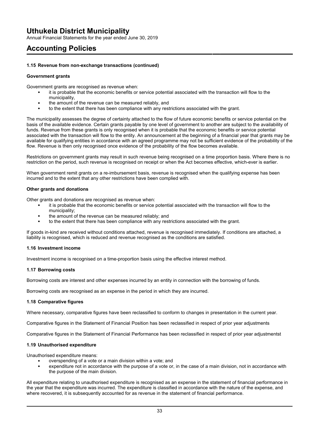Annual Financial Statements for the year ended June 30, 2019

# **Accounting Policies**

#### **1.15 Revenue from non-exchange transactions (continued)**

#### **Government grants**

Government grants are recognised as revenue when:

- it is probable that the economic benefits or service potential associated with the transaction will flow to the municipality,
- the amount of the revenue can be measured reliably, and
- to the extent that there has been compliance with any restrictions associated with the grant.

The municipality assesses the degree of certainty attached to the flow of future economic benefits or service potential on the basis of the available evidence. Certain grants payable by one level of government to another are subject to the availability of funds. Revenue from these grants is only recognised when it is probable that the economic benefits or service potential associated with the transaction will flow to the entity. An announcement at the beginning of a financial year that grants may be available for qualifying entities in accordance with an agreed programme may not be sufficient evidence of the probability of the flow. Revenue is then only recognised once evidence of the probability of the flow becomes available.

Restrictions on government grants may result in such revenue being recognised on a time proportion basis. Where there is no restriction on the period, such revenue is recognised on receipt or when the Act becomes effective, which-ever is earlier.

When government remit grants on a re-imbursement basis, revenue is recognised when the qualifying expense has been incurred and to the extent that any other restrictions have been complied with.

#### **Other grants and donations**

Other grants and donations are recognised as revenue when:

- it is probable that the economic benefits or service potential associated with the transaction will flow to the municipality;
- the amount of the revenue can be measured reliably; and
- to the extent that there has been compliance with any restrictions associated with the grant.

If goods in-kind are received without conditions attached, revenue is recognised immediately. If conditions are attached, a liability is recognised, which is reduced and revenue recognised as the conditions are satisfied.

#### **1.16 Investment income**

Investment income is recognised on a time-proportion basis using the effective interest method.

#### **1.17 Borrowing costs**

Borrowing costs are interest and other expenses incurred by an entity in connection with the borrowing of funds.

Borrowing costs are recognised as an expense in the period in which they are incurred.

#### **1.18 Comparative figures**

Where necessary, comparative figures have been reclassified to conform to changes in presentation in the current year.

Comparative figures in the Statement of Financial Position has been reclassified in respect of prior year adjustments

Comparative figures in the Statement of Financial Performance has been reclassified in respect of prior year adjustmentst

#### **1.19 Unauthorised expenditure**

Unauthorised expenditure means:

- overspending of a vote or a main division within a vote; and
- expenditure not in accordance with the purpose of a vote or, in the case of a main division, not in accordance with the purpose of the main division.

All expenditure relating to unauthorised expenditure is recognised as an expense in the statement of financial performance in the year that the expenditure was incurred. The expenditure is classified in accordance with the nature of the expense, and where recovered, it is subsequently accounted for as revenue in the statement of financial performance.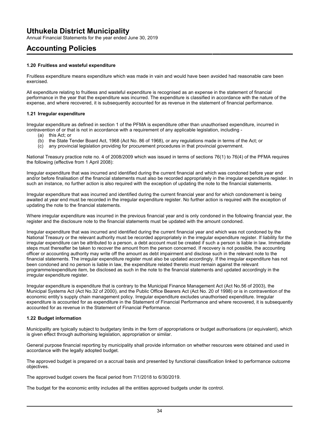Annual Financial Statements for the year ended June 30, 2019

# **Accounting Policies**

#### **1.20 Fruitless and wasteful expenditure**

Fruitless expenditure means expenditure which was made in vain and would have been avoided had reasonable care been exercised.

All expenditure relating to fruitless and wasteful expenditure is recognised as an expense in the statement of financial performance in the year that the expenditure was incurred. The expenditure is classified in accordance with the nature of the expense, and where recovered, it is subsequently accounted for as revenue in the statement of financial performance.

#### **1.21 Irregular expenditure**

Irregular expenditure as defined in section 1 of the PFMA is expenditure other than unauthorised expenditure, incurred in contravention of or that is not in accordance with a requirement of any applicable legislation, including -

- (a) this Act; or
- (b) the State Tender Board Act, 1968 (Act No. 86 of 1968), or any regulations made in terms of the Act; or
- (c) any provincial legislation providing for procurement procedures in that provincial government.

National Treasury practice note no. 4 of 2008/2009 which was issued in terms of sections 76(1) to 76(4) of the PFMA requires the following (effective from 1 April 2008):

Irregular expenditure that was incurred and identified during the current financial and which was condoned before year end and/or before finalisation of the financial statements must also be recorded appropriately in the irregular expenditure register. In such an instance, no further action is also required with the exception of updating the note to the financial statements.

Irregular expenditure that was incurred and identified during the current financial year and for which condonement is being awaited at year end must be recorded in the irregular expenditure register. No further action is required with the exception of updating the note to the financial statements.

Where irregular expenditure was incurred in the previous financial year and is only condoned in the following financial year, the register and the disclosure note to the financial statements must be updated with the amount condoned.

Irregular expenditure that was incurred and identified during the current financial year and which was not condoned by the National Treasury or the relevant authority must be recorded appropriately in the irregular expenditure register. If liability for the irregular expenditure can be attributed to a person, a debt account must be created if such a person is liable in law. Immediate steps must thereafter be taken to recover the amount from the person concerned. If recovery is not possible, the accounting officer or accounting authority may write off the amount as debt impairment and disclose such in the relevant note to the financial statements. The irregular expenditure register must also be updated accordingly. If the irregular expenditure has not been condoned and no person is liable in law, the expenditure related thereto must remain against the relevant programme/expenditure item, be disclosed as such in the note to the financial statements and updated accordingly in the irregular expenditure register.

Irregular expenditure is expenditure that is contrary to the Municipal Finance Management Act (Act No.56 of 2003), the Municipal Systems Act (Act No.32 of 2000), and the Public Office Bearers Act (Act No. 20 of 1998) or is in contravention of the economic entity's supply chain management policy. Irregular expenditure excludes unauthorised expenditure. Irregular expenditure is accounted for as expenditure in the Statement of Financial Performance and where recovered, it is subsequently accounted for as revenue in the Statement of Financial Performance.

#### **1.22 Budget information**

Municipality are typically subject to budgetary limits in the form of appropriations or budget authorisations (or equivalent), which is given effect through authorising legislation, appropriation or similar.

General purpose financial reporting by municipality shall provide information on whether resources were obtained and used in accordance with the legally adopted budget.

The approved budget is prepared on a accrual basis and presented by functional classification linked to performance outcome objectives.

The approved budget covers the fiscal period from 7/1/2018 to 6/30/2019.

The budget for the economic entity includes all the entities approved budgets under its control.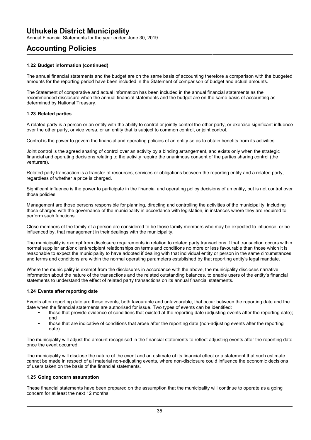Annual Financial Statements for the year ended June 30, 2019

## **Accounting Policies**

#### **1.22 Budget information (continued)**

The annual financial statements and the budget are on the same basis of accounting therefore a comparison with the budgeted amounts for the reporting period have been included in the Statement of comparison of budget and actual amounts.

The Statement of comparative and actual information has been included in the annual financial statements as the recommended disclosure when the annual financial statements and the budget are on the same basis of accounting as determined by National Treasury.

#### **1.23 Related parties**

A related party is a person or an entity with the ability to control or jointly control the other party, or exercise significant influence over the other party, or vice versa, or an entity that is subject to common control, or joint control.

Control is the power to govern the financial and operating policies of an entity so as to obtain benefits from its activities.

Joint control is the agreed sharing of control over an activity by a binding arrangement, and exists only when the strategic financial and operating decisions relating to the activity require the unanimous consent of the parties sharing control (the venturers).

Related party transaction is a transfer of resources, services or obligations between the reporting entity and a related party, regardless of whether a price is charged.

Significant influence is the power to participate in the financial and operating policy decisions of an entity, but is not control over those policies.

Management are those persons responsible for planning, directing and controlling the activities of the municipality, including those charged with the governance of the municipality in accordance with legislation, in instances where they are required to perform such functions.

Close members of the family of a person are considered to be those family members who may be expected to influence, or be influenced by, that management in their dealings with the municipality.

The municipality is exempt from disclosure requirements in relation to related party transactions if that transaction occurs within normal supplier and/or client/recipient relationships on terms and conditions no more or less favourable than those which it is reasonable to expect the municipality to have adopted if dealing with that individual entity or person in the same circumstances and terms and conditions are within the normal operating parameters established by that reporting entity's legal mandate.

Where the municipality is exempt from the disclosures in accordance with the above, the municipality discloses narrative information about the nature of the transactions and the related outstanding balances, to enable users of the entity's financial statements to understand the effect of related party transactions on its annual financial statements.

#### **1.24 Events after reporting date**

Events after reporting date are those events, both favourable and unfavourable, that occur between the reporting date and the date when the financial statements are authorised for issue. Two types of events can be identified:

- those that provide evidence of conditions that existed at the reporting date (adjusting events after the reporting date); and
- those that are indicative of conditions that arose after the reporting date (non-adjusting events after the reporting date).

The municipality will adjust the amount recognised in the financial statements to reflect adjusting events after the reporting date once the event occurred.

The municipality will disclose the nature of the event and an estimate of its financial effect or a statement that such estimate cannot be made in respect of all material non-adjusting events, where non-disclosure could influence the economic decisions of users taken on the basis of the financial statements.

#### **1.25 Going concern assumption**

These financial statements have been prepared on the assumption that the municipality will continue to operate as a going concern for at least the next 12 months.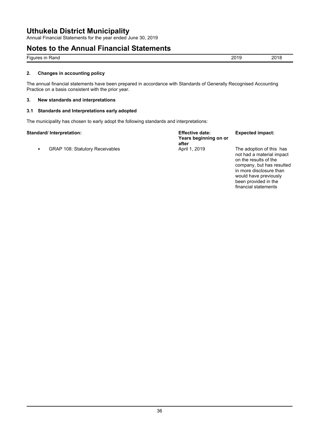Annual Financial Statements for the year ended June 30, 2019

### **Notes to the Annual Financial Statements**

| $- \cdot$<br>≺and<br>ın<br><b>Liquic</b><br>. | $ -$ | 2010<br>. | 201<br>–∾<br>. .<br>-- - |
|-----------------------------------------------|------|-----------|--------------------------|
|                                               |      |           |                          |

#### **2. Changes in accounting policy**

The annual financial statements have been prepared in accordance with Standards of Generally Recognised Accounting Practice on a basis consistent with the prior year.

#### **3. New standards and interpretations**

#### **3.1 Standards and Interpretations early adopted**

The municipality has chosen to early adopt the following standards and interpretations:

#### **Standard/ Interpretation: Effective date:**

• GRAP 108: Statutory Receivables **April 1, 2019** The adoption of this has

**Years beginning on or after**<br>April 1, 2019

**Expected impact:**

not had a material impact on the results of the company, but has resulted in more disclosure than would have previously been provided in the financial statements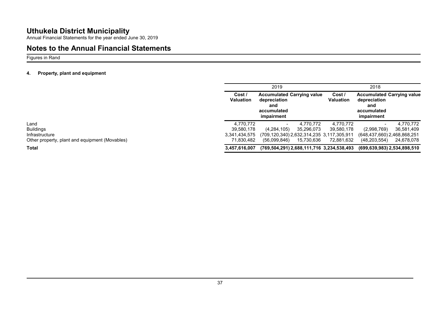Annual Financial Statements for the year ended June 30, 2019

### **Notes to the Annual Financial Statements**

Figures in Rand

#### **4. Property, plant and equipment**

| 2019                       |                                   |             | 2018                              |                                                                                       |            |
|----------------------------|-----------------------------------|-------------|-----------------------------------|---------------------------------------------------------------------------------------|------------|
| Cost /<br><b>Valuation</b> | depreciation<br>and<br>impairment |             | Cost /<br><b>Valuation</b>        | <b>Accumulated Carrying value</b><br>depreciation<br>and<br>accumulated<br>impairment |            |
| 4.770.772                  |                                   | 4.770.772   | 4.770.772                         |                                                                                       | 4.770.772  |
| 39,580,178                 | (4, 284, 105)                     | 35,296,073  | 39,580,178                        | (2,998,769)                                                                           | 36,581,409 |
| 3,341,434,575              |                                   |             |                                   | (648,437,660) 2,468,868,251                                                           |            |
| 71,830,482                 | (56,099,846)                      | 15,730,636  | 72,881,632                        | (48, 203, 554)                                                                        | 24,678,078 |
| 3,457,616,007              |                                   |             |                                   | (699, 639, 983) 2, 534, 898, 510                                                      |            |
|                            |                                   | accumulated | <b>Accumulated Carrying value</b> | (769,504,291) 2,688,111,716 3,234,538,493                                             |            |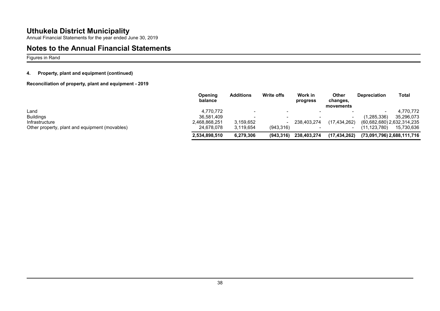Annual Financial Statements for the year ended June 30, 2019

### **Notes to the Annual Financial Statements**

Figures in Rand

#### **4. Property, plant and equipment (continued)**

**Reconciliation of property, plant and equipment - 2019**

|                                                | Opening<br>balance | <b>Additions</b>         | <b>Write offs</b> | Work in<br>progress | Other<br>changes,<br>movements | <b>Depreciation</b>        | <b>Total</b> |
|------------------------------------------------|--------------------|--------------------------|-------------------|---------------------|--------------------------------|----------------------------|--------------|
| ∟and                                           | 4.770.772          | $\overline{\phantom{0}}$ | $\sim$            |                     | $\sim$                         |                            | 4.770.772    |
| <b>Buildings</b>                               | 36.581.409         | $\overline{\phantom{0}}$ |                   |                     |                                | (1,285,336)                | 35,296,073   |
| Infrastructure                                 | 2,468,868,251      | 3.159.652                |                   | 238.403.274         | (17.434.262)                   | (60,682,680) 2,632,314,235 |              |
| Other property, plant and equipment (movables) | 24.678.078         | 3.119.654                | (943, 316)        |                     |                                | (11,123,780)               | 15,730,636   |
|                                                | 2,534,898,510      | 6,279,306                | (943, 316)        | 238,403,274         | (17, 434, 262)                 | (73,091,796) 2,688,111,716 |              |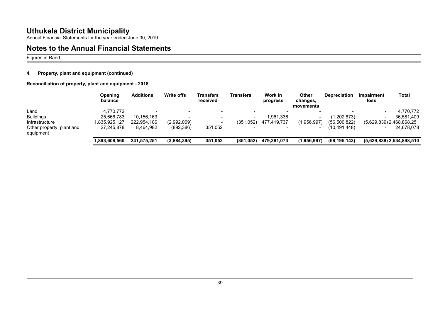Annual Financial Statements for the year ended June 30, 2019

### **Notes to the Annual Financial Statements**

Figures in Rand

#### **4. Property, plant and equipment (continued)**

**Reconciliation of property, plant and equipment - 2018**

|                                        | <b>Opening</b><br>balance | <b>Additions</b> | <b>Write offs</b>        | Transfers<br>received    | Transfers                | Work in<br>progress | <b>Other</b><br>changes,<br>movements | <b>Depreciation</b> | Impairment<br>loss | Total                       |
|----------------------------------------|---------------------------|------------------|--------------------------|--------------------------|--------------------------|---------------------|---------------------------------------|---------------------|--------------------|-----------------------------|
| Land                                   | 4.770.772                 | -                | $\overline{\phantom{a}}$ | $\overline{\phantom{a}}$ | $\overline{\phantom{a}}$ | $\qquad \qquad$     |                                       |                     |                    | 4,770,772                   |
| <b>Buildings</b>                       | 25.666.783                | 10.156.163       |                          |                          |                          | 1.961.336           |                                       | (1,202,873)         |                    | 36.581.409                  |
| Infrastructure                         | .835.925.127              | 222.954.106      | (2,992,009)              |                          | (351.052)                | 477,419,737         | (1,956,997                            | (56,500,822)        |                    | (5,629,839) 2,468,868,251   |
| Other property, plant and<br>equipment | 27.245.878                | 8.464.982        | (892, 386)               | 351,052                  |                          |                     |                                       | (10, 491, 448)      |                    | 24.678.078                  |
|                                        | 1.893.608.560             | 241.575.251      | (3,884,395)              | 351,052                  | (351, 052)               | 479,381,073         | (1,956,997                            | (68, 195, 143)      |                    | $(5,629,839)$ 2,534,898,510 |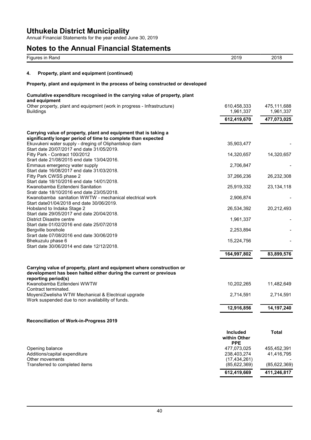Annual Financial Statements for the year ended June 30, 2019

# **Notes to the Annual Financial Statements**

| Figures in Rand                                                                                                                                                     | 2019                                          | 2018                          |
|---------------------------------------------------------------------------------------------------------------------------------------------------------------------|-----------------------------------------------|-------------------------------|
| Property, plant and equipment (continued)<br>4.                                                                                                                     |                                               |                               |
| Property, plant and equipment in the process of being constructed or developed                                                                                      |                                               |                               |
| Cumulative expenditure recognised in the carrying value of property, plant                                                                                          |                                               |                               |
| and equipment<br>Other property, plant and equipment (work in progress - Infrastructure)<br><b>Buildings</b>                                                        | 610,458,333<br>1,961,337                      | 475,111,688<br>1,961,337      |
|                                                                                                                                                                     | 612,419,670                                   | 477,073,025                   |
| Carrying value of property, plant and equipment that is taking a                                                                                                    |                                               |                               |
| significantly longer period of time to complete than expected<br>Ekuvukeni water supply - dreging of Oliphantskop dam<br>Start date 20/07/2017 end date 31/05/2019. | 35,903,477                                    |                               |
| Fitty Park - Contract 100/2012                                                                                                                                      | 14,320,657                                    | 14,320,657                    |
| Srart date 21/08/2015 end date 13/04/2016.<br>Emmaus emergency water supply                                                                                         | 2,706,847                                     |                               |
| Start date 16/08/2017 end date 31/03/2018.<br>Fitty Park CWSS phase 2                                                                                               | 37,266,236                                    | 26,232,308                    |
| Start date 18/10/2016 end date 14/01/2018.<br>Kwanobamba Ezitendeni Sanitation                                                                                      | 25,919,332                                    | 23, 134, 118                  |
| Sratr date 18/10/2016 end date 23/05/2018.<br>Kwanobamba sanitation WWTW - mechanical electrical work                                                               | 2,906,874                                     |                               |
| Start date01/04/2018 end date 30/06/2019.<br>Hobsland to Indaka Stage 2                                                                                             | 26,534,392                                    | 20,212,493                    |
| Start date 29/05/2017 end date 20/04/2018.<br>District Disastre centre                                                                                              | 1,961,337                                     |                               |
| Start date 01/02/2016 end date 25/07/2018<br>Bergville borehole                                                                                                     | 2,253,894                                     |                               |
| Srart date 07/08/2016 end date 30/06/2019<br>Bhekuzulu phase 6                                                                                                      | 15,224,756                                    |                               |
| Start date 30/06/2014 end date 12/12/2018.                                                                                                                          | 164,997,802                                   | 83,899,576                    |
|                                                                                                                                                                     |                                               |                               |
| Carrying value of property, plant and equipment where construction or<br>development has been halted either during the current or previous<br>reporting period(s)   |                                               |                               |
| Kwanobamba Ezitendeni WWTW<br>Contract terminated.                                                                                                                  | 10,202,265                                    | 11,482,649                    |
| Moyeni/Zwelisha WTW Mechanical & Electrical upgrade<br>Work suspended due to non availability of funds.                                                             | 2,714,591                                     | 2,714,591                     |
|                                                                                                                                                                     | 12,916,856                                    | 14,197,240                    |
| <b>Reconciliation of Work-in-Progress 2019</b>                                                                                                                      |                                               |                               |
|                                                                                                                                                                     | <b>Included</b><br>within Other<br><b>PPE</b> | <b>Total</b>                  |
| Opening balance<br>Additions/capital expenditure<br>Other movements                                                                                                 | 477,073,025<br>238,403,274<br>(17, 434, 261)  | 455,452,391<br>41,416,795     |
| Transferred to completed items                                                                                                                                      | (85, 622, 369)<br>612,419,669                 | (85, 622, 369)<br>411,246,817 |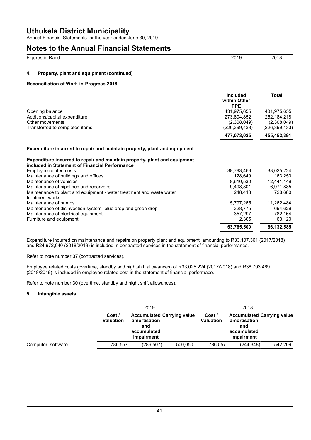Annual Financial Statements for the year ended June 30, 2019

### **Notes to the Annual Financial Statements**

| <u>.</u><br>$ -$<br>vane.<br>. . | ~~ |  |
|----------------------------------|----|--|
|                                  |    |  |

#### **4. Property, plant and equipment (continued)**

#### **Reconciliation of Work-in-Progress 2018**

| Opening balance<br>Additions/capital expenditure<br>Other movements<br>Transferred to completed items                       | <b>Included</b><br>within Other<br><b>PPE</b><br>431,975,655<br>273,804,852<br>(2,308,049)<br>(226, 399, 433) | <b>Total</b><br>431,975,655<br>252,184,218<br>(2,308,049)<br>(226,399,433) |
|-----------------------------------------------------------------------------------------------------------------------------|---------------------------------------------------------------------------------------------------------------|----------------------------------------------------------------------------|
|                                                                                                                             | 477,073,025                                                                                                   | 455,452,391                                                                |
| Expenditure incurred to repair and maintain property, plant and equipment                                                   |                                                                                                               |                                                                            |
| Expenditure incurred to repair and maintain property, plant and equipment<br>included in Statement of Financial Performance |                                                                                                               |                                                                            |
| Employee related costs                                                                                                      | 38,793,469                                                                                                    | 33,025,224                                                                 |
| Maintenance of buildings and offices                                                                                        | 128,649                                                                                                       | 163,250                                                                    |
| Maintenance of vehicles                                                                                                     | 8,610,530                                                                                                     | 12,441,149                                                                 |
| Maintenance of pipelines and reservoirs                                                                                     | 9,498,801                                                                                                     | 6,971,885                                                                  |
| Maintenance to plant and equipment - water treatment and waste water<br>treatment works                                     | 248,418                                                                                                       | 728,680                                                                    |
| Maintenance of pumps                                                                                                        | 5,797,265                                                                                                     | 11,262,484                                                                 |
| Maintenance of disinvection system "blue drop and green drop"                                                               | 328,775                                                                                                       | 694,629                                                                    |
| Maintenance of electrical equipment                                                                                         | 357,297                                                                                                       | 782,164                                                                    |
| Furniture and equipment                                                                                                     | 2,305                                                                                                         | 63,120                                                                     |

Expenditure incurred on maintenance and repairs on property plant and equipment amounting to R33,107,361 (2017/2018) and R24,972,040 (2018/2019) is included in contracted services in the statement of financial performance.

**63,765,509 66,132,585**

Refer to note number 37 (contracted services).

Employee related costs (overtime, standby and nightshift allowances) of R33,025,224 (2017/2018) and R38,793,469 (2018/2019) is included in employee related cost in the statement of financial performace.

Refer to note number 30 (overtime, standby and night shift allowances).

#### **5. Intangible assets**

|                   | 2019                       |                                                  |                                   | 2018                       |                                                  |                                   |  |
|-------------------|----------------------------|--------------------------------------------------|-----------------------------------|----------------------------|--------------------------------------------------|-----------------------------------|--|
|                   | Cost /<br><b>Valuation</b> | amortisation<br>and<br>accumulated<br>impairment | <b>Accumulated Carrying value</b> | Cost /<br><b>Valuation</b> | amortisation<br>and<br>accumulated<br>impairment | <b>Accumulated Carrying value</b> |  |
| Computer software | 786.557                    | (286,507)                                        | 500,050                           | 786.557                    | (244, 348)                                       | 542,209                           |  |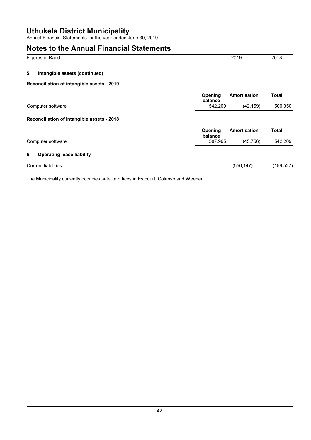Annual Financial Statements for the year ended June 30, 2019

# **Notes to the Annual Financial Statements**

| Figures<br>≺and<br>ın | 0010<br>ن ري | 2018 |
|-----------------------|--------------|------|
|                       |              |      |

### **5. Intangible assets (continued)**

### **Reconciliation of intangible assets - 2019**

|                                            | Opening            | Amortisation | Total      |
|--------------------------------------------|--------------------|--------------|------------|
| Computer software                          | balance<br>542,209 | (42, 159)    | 500,050    |
| Reconciliation of intangible assets - 2018 |                    |              |            |
|                                            | Opening<br>balance | Amortisation | Total      |
| Computer software                          | 587,965            | (45, 756)    | 542,209    |
| <b>Operating lease liability</b><br>6.     |                    |              |            |
| <b>Current liabilities</b>                 |                    | (556, 147)   | (159, 527) |

The Municipality currently occupies satelite offices in Estcourt, Colenso and Weenen.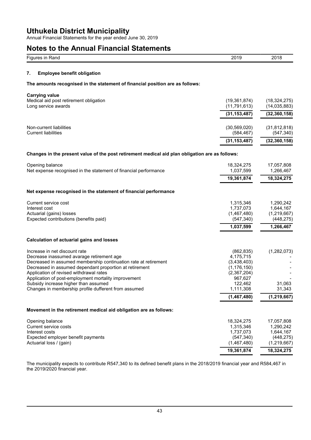Annual Financial Statements for the year ended June 30, 2019

## **Notes to the Annual Financial Statements**

| Figures in Rand                                                                                                                                                                                                                                                                                                                                                                                             | 2019                                                                                                                     | 2018                                                                              |
|-------------------------------------------------------------------------------------------------------------------------------------------------------------------------------------------------------------------------------------------------------------------------------------------------------------------------------------------------------------------------------------------------------------|--------------------------------------------------------------------------------------------------------------------------|-----------------------------------------------------------------------------------|
| 7.<br><b>Employee benefit obligation</b>                                                                                                                                                                                                                                                                                                                                                                    |                                                                                                                          |                                                                                   |
| The amounts recognised in the statement of financial position are as follows:                                                                                                                                                                                                                                                                                                                               |                                                                                                                          |                                                                                   |
| <b>Carrying value</b>                                                                                                                                                                                                                                                                                                                                                                                       |                                                                                                                          |                                                                                   |
| Medical aid post retirement obligation<br>Long service awards                                                                                                                                                                                                                                                                                                                                               | (19, 361, 874)<br>(11, 791, 613)                                                                                         | (18, 324, 275)<br>(14, 035, 883)                                                  |
|                                                                                                                                                                                                                                                                                                                                                                                                             | (31, 153, 487)                                                                                                           | (32, 360, 158)                                                                    |
| Non-current liabilities<br><b>Current liabilities</b>                                                                                                                                                                                                                                                                                                                                                       | (30, 569, 020)<br>(584, 467)                                                                                             | (31, 812, 818)<br>(547, 340)                                                      |
|                                                                                                                                                                                                                                                                                                                                                                                                             | (31, 153, 487)                                                                                                           | (32, 360, 158)                                                                    |
| Changes in the present value of the post retirement medical aid plan obligation are as follows:                                                                                                                                                                                                                                                                                                             |                                                                                                                          |                                                                                   |
| Opening balance<br>Net expense recognised in the statement of financial performance                                                                                                                                                                                                                                                                                                                         | 18,324,275<br>1,037,599                                                                                                  | 17,057,808<br>1,266,467                                                           |
|                                                                                                                                                                                                                                                                                                                                                                                                             | 19,361,874                                                                                                               | 18,324,275                                                                        |
| Net expense recognised in the statement of financial performance                                                                                                                                                                                                                                                                                                                                            |                                                                                                                          |                                                                                   |
| Current service cost<br>Interest cost<br>Actuarial (gains) losses<br>Expected contributions (benefits paid)                                                                                                                                                                                                                                                                                                 | 1,315,346<br>1,737,073<br>(1,467,480)<br>(547, 340)                                                                      | 1,290,242<br>1,644,167<br>(1,219,667)<br>(448, 275)                               |
|                                                                                                                                                                                                                                                                                                                                                                                                             | 1,037,599                                                                                                                | 1,266,467                                                                         |
| <b>Calculation of actuarial gains and losses</b>                                                                                                                                                                                                                                                                                                                                                            |                                                                                                                          |                                                                                   |
| Increase in net discount rate<br>Decrease inassumed avarage retirement age<br>Decreased in assumed membership continuation rate at retirement<br>Decreased in assumed dependant proportion at retirement<br>Application of revised withdrawal rates<br>Application of post-employment mortality improvement<br>Subsidy increase higher than assumed<br>Changes in membership profile dufferent from assumed | (862, 835)<br>4,175,715<br>(3,438,403)<br>(1, 176, 150)<br>(2,367,204)<br>967,627<br>122,462<br>1,111,308<br>(1,467,480) | (1, 282, 073)<br>31.063<br>31,343<br>(1, 219, 667)                                |
| Movement in the retirement medical aid obligation are as follows:                                                                                                                                                                                                                                                                                                                                           |                                                                                                                          |                                                                                   |
| Opening balance<br>Current service costs<br>Interest costs<br>Expected employer benefit payments<br>Actuarial loss / (gain)                                                                                                                                                                                                                                                                                 | 18,324,275<br>1,315,346<br>1,737,073<br>(547, 340)<br>(1,467,480)<br>19,361,874                                          | 17,057,808<br>1,290,242<br>1,644,167<br>(448, 275)<br>(1, 219, 667)<br>18,324,275 |

The municipality expects to contribute R547,340 to its defined benefit plans in the 2018/2019 financial year and R584,467 in the 2019/2020 financial year.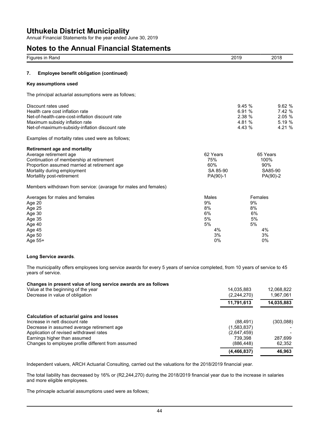Annual Financial Statements for the year ended June 30, 2019

### **Notes to the Annual Financial Statements**

| Figures in Rand                                                 |              | 2019    | 2018     |  |
|-----------------------------------------------------------------|--------------|---------|----------|--|
|                                                                 |              |         |          |  |
| Employee benefit obligation (continued)<br>7.                   |              |         |          |  |
| Key assumptions used                                            |              |         |          |  |
| The principal actuarial assumptions were as follows;            |              |         |          |  |
| Discount rates used                                             |              | 9.45%   | 9.62 %   |  |
| Health care cost inflation rate                                 |              | 6.91%   | 7.42 %   |  |
| Net-of-health-care-cost-inflation discount rate                 |              | 2.38 %  | 2.05 %   |  |
| Maximum subsidy inflation rate                                  |              | 4.81 %  | 5.19 %   |  |
| Net-of-maximum-subsidy-inflation discount rate                  |              | 4.43%   | 4.21 %   |  |
| Examples of mortality rates used were as follows;               |              |         |          |  |
| <b>Retirement age and mortality</b>                             |              |         |          |  |
| Average retirement age                                          | 62 Years     |         | 65 Years |  |
| Continuation of membership at retirement                        | 75%          |         | 100%     |  |
| Proportion assumed married at retirement age                    | 60%          |         | 90%      |  |
| Mortality during employment                                     | SA 85-90     |         | SA85-90  |  |
| Mortallity post-retirement                                      | $PA(90)-1$   |         | PA(90)-2 |  |
| Members withdrawn from service: (avarage for males and females) |              |         |          |  |
| Averages for males and females                                  | <b>Males</b> | Females |          |  |
| Age 20                                                          | 9%           | 9%      |          |  |
| Age 25                                                          | 8%           | 8%      |          |  |
| Age 30                                                          | 6%           | 6%      |          |  |
| Age 35                                                          | 5%           | 5%      |          |  |
| Age 40                                                          | 5%           | 5%      |          |  |
| Age 45                                                          | 4%           |         | 4%       |  |
| Age 50                                                          | 3%           |         | 3%       |  |
| Age 55+                                                         | 0%           |         | 0%       |  |

#### **Long Service awards**.

The municipality offers employees long service awards for every 5 years of service completed, from 10 years of service to 45 years of service.

| Changes in present value of long service awards are as follows<br>Value at the beginning of the year<br>Decrease in value of obligation | 14,035,883<br>(2,244,270) | 12,068,822<br>1,967,061 |
|-----------------------------------------------------------------------------------------------------------------------------------------|---------------------------|-------------------------|
|                                                                                                                                         | 11,791,613                | 14,035,883              |
| Calculation of actuarial gains and losses                                                                                               |                           |                         |
| Increase in nett discount rate                                                                                                          | (88, 491)                 | (303,088)               |
| Decrease in assumed average retirement age                                                                                              | (1,583,837)               |                         |
| Application of revised withdrawel rates                                                                                                 | (2,647,459)               |                         |
| Earnings higher than assumed                                                                                                            | 739.398                   | 287,699                 |
| Changes to employee profile different from assumed                                                                                      | (886, 448)                | 62,352                  |
|                                                                                                                                         | (4, 466, 837)             | 46,963                  |

Independent valuers, ARCH Actuarial Consulting, carried out the valuations for the 2018/2019 financial year.

The total liability has decreased by 16% or (R2,244,270) during the 2018/2019 financial year due to the increase in salaries and more eligible employees.

The princaple actuarial assumptions used were as follows;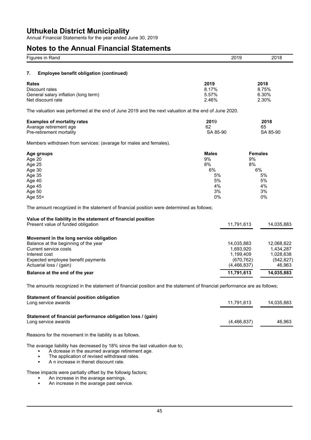Annual Financial Statements for the year ended June 30, 2019

### **Notes to the Annual Financial Statements**

| Figures in Rand                                                                                                                                                                            | 2019                                                         | 2018                                                                                                                  |
|--------------------------------------------------------------------------------------------------------------------------------------------------------------------------------------------|--------------------------------------------------------------|-----------------------------------------------------------------------------------------------------------------------|
| 7.<br><b>Employee benefit obligation (continued)</b>                                                                                                                                       |                                                              |                                                                                                                       |
| <b>Rates</b><br>Discount rates<br>General salary inflation (long term)<br>Net discount rate                                                                                                | 2019<br>8.17%<br>5.57%<br>2.46%                              | 2018<br>8.75%<br>6.30%<br>2.30%                                                                                       |
| The valuation was performed at the end of June 2019 and the next valuation at the end of June 2020.                                                                                        |                                                              |                                                                                                                       |
| <b>Examples of mortality rates</b><br>Avarage retirement age<br>Pre-retirement mortality                                                                                                   | 2019<br>62<br>SA 85-90                                       | 2018<br>65<br>SA 85-90                                                                                                |
| Members withdrawn from services: (avarage for males and females).                                                                                                                          |                                                              |                                                                                                                       |
| Age groups<br>Age 20<br>Age 25<br>Age 30<br>Age 35<br>Age 40<br>Age 45<br>Age 50<br>Age 55+                                                                                                | <b>Males</b><br>9%<br>8%<br>6%<br>5%<br>5%<br>4%<br>3%<br>0% | <b>Females</b><br>9%<br>8%<br>6%<br>5%<br>5%<br>4%<br>3%<br>0%                                                        |
| The amount recognized in the statement of financial position were determined as follows;                                                                                                   |                                                              |                                                                                                                       |
| Value of the liability in the statement of financial position<br>Present value of funded obligation                                                                                        | 11,791,613                                                   | 14,035,883                                                                                                            |
| Movement in the long service obligation<br>Balance at the beginning of the year<br>Current service costs<br>Interest cost<br>Expected employee benefit payments<br>Actuarial loss / (gain) | 14,035,883                                                   | 12,068,822<br>1,693,920<br>1,434,287<br>1,199,409<br>1,028,638<br>(670, 762)<br>(542, 827)<br>46,963<br>(4, 466, 837) |
| Balance at the end of the year                                                                                                                                                             | 11,791,613                                                   | 14,035,883                                                                                                            |
| The amounts recognized in the statement of financial position and the statement of financial performance are as follows;                                                                   |                                                              |                                                                                                                       |
| <b>Statement of financial position obligation</b><br>Long service awards                                                                                                                   | 11,791,613                                                   | 14,035,883                                                                                                            |
| Statement of financial performance obligation loss / (gain)<br>Long service awards                                                                                                         |                                                              | 46,963<br>(4, 466, 837)                                                                                               |
| Reasons for the movement in the liability is as follows.                                                                                                                                   |                                                              |                                                                                                                       |

The avarage liability has decreased by 18% since the last valuation due to;

- A dcrease in the asumed avarage retirement age.
- The application of revised withdrawal rates.
- A n increase in thenet discount rate.

These impacts were partially offset by the followig factors;

- An increase in the avarage earnings.
- An increase in the avarage past service.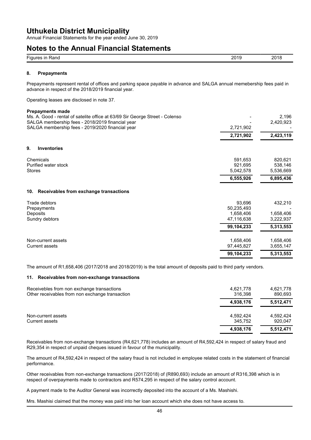Annual Financial Statements for the year ended June 30, 2019

### **Notes to the Annual Financial Statements**

| <u>.</u><br>n,<br>≺and<br><b>110</b><br>יוחי<br>יי<br><br>.<br>$-\sqrt{2}$<br>. .<br>--<br>------ |  |  |
|---------------------------------------------------------------------------------------------------|--|--|
|                                                                                                   |  |  |

#### **8. Prepayments**

Prepayments represent rental of offices and parking space payable in advance and SALGA annual memebership fees paid in advance in respect of the 2018/2019 financial year.

Operating leases are disclosed in note 37.

#### **Prepayments made**

| Ms. A. Good - rental of satelite office at 63/69 Sir George Street - Colenso<br>SALGA membership fees - 2018/2019 financial year |                         | 2,196<br>2,420,923     |
|----------------------------------------------------------------------------------------------------------------------------------|-------------------------|------------------------|
| SALGA membership fees - 2019/2020 financial year                                                                                 | 2,721,902               |                        |
|                                                                                                                                  | 2,721,902               | 2,423,119              |
| 9.<br><b>Inventories</b>                                                                                                         |                         |                        |
| Chemicals                                                                                                                        | 591,653                 | 820,621                |
| Purified water stock                                                                                                             | 921,695                 | 538,146                |
| <b>Stores</b>                                                                                                                    | 5,042,578               | 5,536,669              |
|                                                                                                                                  | 6,555,926               | 6,895,436              |
| 10. Receivables from exchange transactions                                                                                       |                         |                        |
| Trade debtors                                                                                                                    | 93,696                  | 432,210                |
| Prepayments                                                                                                                      | 50,235,493<br>1,658,406 |                        |
| Deposits<br>Sundry debtors                                                                                                       | 47,116,638              | 1,658,406<br>3,222,937 |
|                                                                                                                                  | 99,104,233              | 5,313,553              |
|                                                                                                                                  |                         |                        |
| Non-current assets<br><b>Current assets</b>                                                                                      | 1,658,406<br>97,445,827 | 1,658,406<br>3,655,147 |
|                                                                                                                                  | 99,104,233              | 5,313,553              |
|                                                                                                                                  |                         |                        |

The amount of R1,658,406 (2017/2018 and 2018/2019) is the total amount of deposits paid to third party vendors.

#### **11. Receivables from non-exchange transactions**

| Receivebles from non exchange transactions      | 4,621,778 | 4,621,778 |
|-------------------------------------------------|-----------|-----------|
| Other receivables from non exchange transaction | 316.398   | 890,693   |
|                                                 | 4,938,176 | 5,512,471 |
| Non-current assets                              | 4.592.424 | 4.592.424 |
| <b>Current assets</b>                           | 345.752   | 920.047   |
|                                                 | 4,938,176 | 5,512,471 |

Receivables from non-exchange transactions (R4,621,778) includes an amount of R4,592,424 in respect of salary fraud and R29,354 in respect of unpaid cheques issued in favour of the municipality.

The amount of R4,592,424 in respect of the salary fraud is not included in employee related costs in the statement of financial performance.

Other receivables from non-exchange transactions (2017/2018) of (R890,693) include an amount of R316,398 which is in respect of overpayments made to contractors and R574,295 in respect of the salary control account.

A payment made to the Auditor General was incorrectly deposited into the account of a Ms. Mashishi.

Mrs. Mashisi claimed that the money was paid into her loan account which she does not have access to.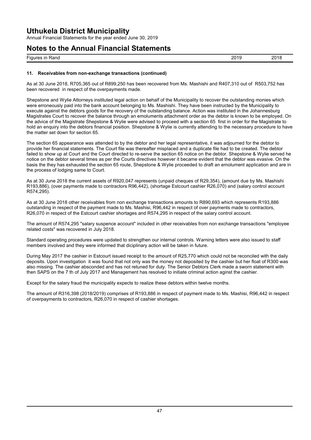Annual Financial Statements for the year ended June 30, 2019

### **Notes to the Annual Financial Statements**

| $\overline{\phantom{a}}$<br>---<br>$\overline{1}$<br>. . | . . | ״<br>$  -$ |
|----------------------------------------------------------|-----|------------|

#### **11. Receivables from non-exchange transactions (continued)**

As at 30 June 2018, R705,365 out of R899,250 has been recovered from Ms. Mashishi and R407,310 out of R503,752 has been recovered in respect of the overpayments made.

Shepstone and Wylie Attorneys instituted legal action on behalf of the Municipality to recover the outstanding monies which were erroneously paid into the bank account belonging to Ms. Mashishi. They have been instructed by the Municipality to execute against the debtors goods for the recovery of the outstanding balance. Action was instituted in the Johannesburg Magistrates Court to recover the balance through an emoluments attachment order as the debtor is known to be employed. On the advice of the Magistrate Shepstone & Wylie were advised to proceed with a section 65 first in order for the Magistrate to hold an enquiry into the debtors financial position. Shepstone & Wylie is currently attending to the necessary procedure to have the matter set down for section 65.

The section 65 appearance was attended to by the debtor and her legal representative, it was adjourned for the debtor to provide her financial statements. The Court file was thereafter misplaced and a duplicate file had to be created. The debtor failed to show up at Court and the Court directed to re-serve the section 65 notice on the debtor. Shepstone & Wylie served he notice on the debtor several times as per the Courts directives however it became evident that the debtor was evasive. On the basis the they has exhausted the section 65 route, Shepstone & Wylie proceeded to draft an emolument application and are in the process of lodging same to Court.

As at 30 June 2018 the current assets of R920,047 represents (unpaid cheques of R29,354), (amount due by Ms. Mashishi R193,886), (over payments made to contractors R96,442), (shortage Estcourt cashier R26,070) and (salary control account R574,295).

As at 30 June 2018 other receivables from non exchange transactions amounts to R890,693 which represents R193,886 outstanding in respect of the payment made to Ms. Mashisi, R96,442 in respect of over payments made to contractors, R26,070 in respect of the Estcourt cashier shortages and R574,295 in respect of the salary control account.

The amount of R574,295 "salary suspence account" included in other receivables from non exchange transactions "employee related costs" was recovered in July 2018.

Standard operating procedures were updated to strengthen our internal controls. Warning letters were also issued to staff members involved and they were informed that diciplinary action will be taken in future.

During May 2017 the cashier in Estcourt issued receipt to the amount of R25,770 which could not be reconciled with the daily deposits. Upon investigation it was found that not only was the money not deposited by the cashier but her float of R300 was also missing. The cashier absconded and has not retuned for duty. The Senior Debtors Clerk made a sworn statement with then SAPS on the 7 th of July 2017 and Management has resolved to initiate criminal action aginst the cashier.

Except for the salary fraud the municipality expects to realize these debtors within twelve months.

The amount of R316,398 (2018/2019) comprises of R193,886 in respect of payment made to Ms. Mashisi, R96,442 in respect of overpayments to contractors, R26,070 in respect of cashier shortages.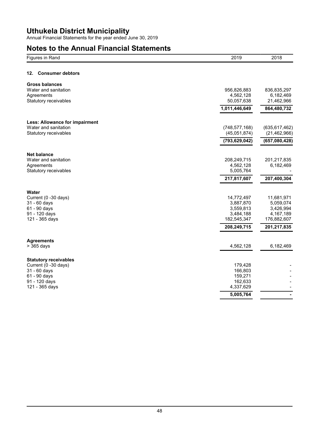Annual Financial Statements for the year ended June 30, 2019

| Figures in Rand<br>2019<br><b>Consumer debtors</b><br>12.<br><b>Gross balances</b><br>Water and sanitation<br>956,826,883<br>Agreements<br>4,562,128<br>Statutory receivables<br>50,057,638 | 2018<br>836,835,297<br>6,182,469<br>21,462,966<br>864,480,732<br>(635, 617, 462) |
|---------------------------------------------------------------------------------------------------------------------------------------------------------------------------------------------|----------------------------------------------------------------------------------|
|                                                                                                                                                                                             |                                                                                  |
|                                                                                                                                                                                             |                                                                                  |
|                                                                                                                                                                                             |                                                                                  |
|                                                                                                                                                                                             |                                                                                  |
|                                                                                                                                                                                             |                                                                                  |
| 1,011,446,649                                                                                                                                                                               |                                                                                  |
| Less: Allowance for impairment                                                                                                                                                              |                                                                                  |
| Water and sanitation<br>(748, 577, 168)                                                                                                                                                     |                                                                                  |
| Statutory receivables<br>(45,051,874)                                                                                                                                                       | (21, 462, 966)                                                                   |
| (793, 629, 042)                                                                                                                                                                             | (657,080,428)                                                                    |
| <b>Net balance</b>                                                                                                                                                                          |                                                                                  |
| Water and sanitation<br>208,249,715                                                                                                                                                         | 201,217,835                                                                      |
| 4,562,128<br>Agreements<br>Statutory receivables<br>5,005,764                                                                                                                               | 6,182,469                                                                        |
|                                                                                                                                                                                             |                                                                                  |
| 217,817,607                                                                                                                                                                                 | 207,400,304                                                                      |
| Water                                                                                                                                                                                       |                                                                                  |
| Current (0 -30 days)<br>14,772,497<br>31 - 60 days<br>3,887,870                                                                                                                             | 11,681,971<br>5,059,074                                                          |
| 3,559,813<br>61 - 90 days                                                                                                                                                                   | 3,426,994                                                                        |
| 91 - 120 days<br>3,484,188                                                                                                                                                                  | 4,167,189                                                                        |
| 121 - 365 days<br>182,545,347                                                                                                                                                               | 176,882,607                                                                      |
| 208,249,715                                                                                                                                                                                 | 201,217,835                                                                      |
| <b>Agreements</b>                                                                                                                                                                           |                                                                                  |
| 4,562,128<br>> 365 days                                                                                                                                                                     | 6,182,469                                                                        |
| <b>Statutory receivables</b>                                                                                                                                                                |                                                                                  |
| Current (0 -30 days)<br>179,428                                                                                                                                                             |                                                                                  |
| 31 - 60 days<br>166,803<br>61 - 90 days<br>159,271                                                                                                                                          |                                                                                  |
| 162,633<br>91 - 120 days                                                                                                                                                                    |                                                                                  |
| 121 - 365 days<br>4,337,629                                                                                                                                                                 | $\blacksquare$                                                                   |

**5,005,764 -**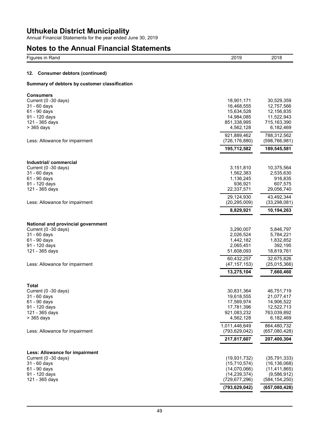Annual Financial Statements for the year ended June 30, 2019

### **Notes to the Annual Financial Statements**

| Figures in Rand                                            | 2019                     | 2018                     |
|------------------------------------------------------------|--------------------------|--------------------------|
|                                                            |                          |                          |
| <b>Consumer debtors (continued)</b><br>12.                 |                          |                          |
| Summary of debtors by customer classification              |                          |                          |
| <b>Consumers</b>                                           |                          |                          |
| Current (0 -30 days)                                       | 18,901,171               | 30,529,359               |
| 31 - 60 days                                               | 16,468,555               | 12,757,566               |
| 61 - 90 days<br>91 - 120 days                              | 15,634,528<br>14,984,085 | 12,156,835<br>11,522,943 |
| 121 - 365 days                                             | 851,338,995              | 715,163,390              |
| > 365 days                                                 | 4,562,128                | 6,182,469                |
|                                                            | 921,889,462              | 788,312,562              |
| Less: Allowance for impairment                             | (726, 176, 880)          | (598, 766, 981)          |
|                                                            | 195,712,582              | 189,545,581              |
| Industrial/commercial                                      |                          |                          |
| Current (0 -30 days)                                       | 3,151,810                | 10,375,564               |
| 31 - 60 days                                               | 1,562,383                | 2,535,630                |
| 61 - 90 days                                               | 1,136,245                | 916,835                  |
| 91 - 120 days                                              | 936,921                  | 607,575                  |
| 121 - 365 days                                             | 22,337,571               | 29,056,740               |
|                                                            | 29,124,930               | 43,492,344               |
| Less: Allowance for impairment                             | (20, 295, 009)           | (33, 298, 081)           |
|                                                            | 8,829,921                | 10,194,263               |
|                                                            |                          |                          |
| National and provincial government<br>Current (0 -30 days) | 3,290,007                | 5,846,797                |
| 31 - 60 days                                               | 2,026,524                | 5,784,221                |
| 61 - 90 days                                               | 1,442,182                | 1,832,852                |
| 91 - 120 days                                              | 2,065,451                | 392,195                  |
| 121 - 365 days                                             | 51,608,093               | 18,819,761               |
|                                                            | 60,432,257               | 32,675,826               |
| Less: Allowance for impairment                             | (47, 157, 153)           | (25,015,366)             |
|                                                            | 13,275,104               | 7,660,460                |
|                                                            |                          |                          |
| <b>Total</b><br>Current (0 -30 days)                       | 30,831,364               | 46,751,719               |
| 31 - 60 days                                               | 19,618,555               | 21,077,417               |
| 61 - 90 days                                               | 17,569,974               | 14,906,522               |
| 91 - 120 days                                              | 17,781,396               | 12,522,713               |
| 121 - 365 days                                             | 921,083,232              | 763,039,892              |
| > 365 days                                                 | 4,562,128                | 6,182,469                |
|                                                            | 1,011,446,649            | 864,480,732              |
| Less: Allowance for impairment                             | (793, 629, 042)          | (657,080,428)            |
|                                                            | 217,817,607              | 207,400,304              |
| <b>Less: Allowance for impairment</b>                      |                          |                          |
| Current (0 -30 days)                                       | (19, 931, 732)           | (35, 791, 333)           |
| 31 - 60 days                                               | (15, 710, 574)           | (16, 136, 068)           |
| 61 - 90 days                                               | (14,070,066)             | (11, 411, 865)           |
| 91 - 120 days                                              | (14, 239, 374)           | (9,586,912)              |
| 121 - 365 days                                             | (729,677,296)            | (584, 154, 250)          |
|                                                            | (793, 629, 042)          | (657,080,428)            |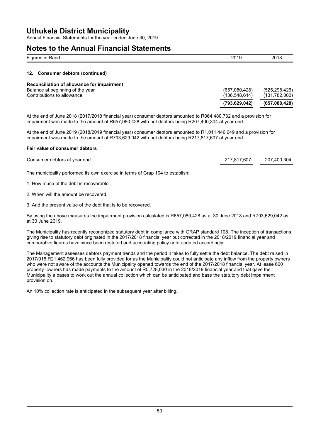Annual Financial Statements for the year ended June 30, 2019

### **Notes to the Annual Financial Statements**

| <u>.</u><br>$ -$<br>танк. | . . | ാറ≁<br>∠∪ |
|---------------------------|-----|-----------|
|                           |     |           |

#### **12. Consumer debtors (continued)**

| Reconciliation of allowance for impairment<br>Balance at beginning of the year<br>Contributions to allowance | (657.080.428)<br>(136.548.614) | (525.298.426)<br>(131,782,002) |
|--------------------------------------------------------------------------------------------------------------|--------------------------------|--------------------------------|
|                                                                                                              | (793.629.042)                  | (657.080.428)                  |

At the end of June 2018 (2017/2018 financial year) consumer debtors amounted to R864,480,732 and a provision for impairment was made to the amount of R657,080,428 with net debtors being R207,400,304 at year end.

At the end of June 2019 (2018/2019 financial year) consumer debtors amounted to R1,011,446,649 and a provision for impairment was made to the amount of R793,629,042 with net debtors being R217,817,607 at year end.

#### **Fair value of consumer debtors**

| Consumer debtors at year end | 217,817,607 | 207,400,304 |
|------------------------------|-------------|-------------|
|                              |             |             |

The municipality performed its own exercise in terms of Grap 104 to establish;

1. How much of the debt is recoverable.

2. When will the amount be recovered.

3. And the present value of the debt that is to be recovered.

By using the above measures the impairment provision calculated is R657,080,428 as at 30 June 2018 and R793,629,042 as at 30 June 2019.

The Municipality has recently recongnized statutory debt in compliance with GRAP standard 108. The inception of transactions giving rise to statutory debt originated in the 2017/2018 financial year but corrected in the 2018/2019 financial year and comparative figures have since been restated and accounting policy note updated accordingly.

The Management assesses debtors payment trends and the period it takes to fully settle the debt balance. The debt raised in 2017/018 R21,462,966 has been fully provided for as the Municipality could not anticipate any inflow from the property owners who were not aware of the accounts the Municipality opened towards the end of the 2017/2018 financial year. At lease 660 property owners has made payments to the amount of R5,728,030 in the 2018/2019 financial year and that gave the Municipality a bases to work out the annual collection which can be anticipated and base the statutory debt impairment provision on.

An 10% collection rate is anticipated in the subsequent year after billing.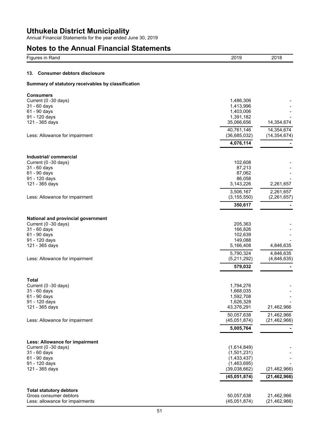Annual Financial Statements for the year ended June 30, 2019

### **Notes to the Annual Financial Statements**

| Figures in Rand                                    | 2019                       | 2018                         |
|----------------------------------------------------|----------------------------|------------------------------|
| <b>Consumer debtors disclosure</b><br>13.          |                            |                              |
| Summary of statutory receivables by classification |                            |                              |
| <b>Consumers</b>                                   |                            |                              |
| Current (0 -30 days)                               | 1,486,306                  |                              |
| 31 - 60 days                                       | 1,413,996                  |                              |
| 61 - 90 days<br>91 - 120 days                      | 1,403,006<br>1,391,182     |                              |
| 121 - 365 days                                     | 35,066,656                 | 14,354,674                   |
|                                                    | 40,761,146                 | 14,354,674                   |
| Less: Allowance for impairment                     | (36,685,032)               | (14, 354, 674)               |
|                                                    | 4,076,114                  |                              |
| Industrial/commercial                              |                            |                              |
| Current (0 -30 days)                               | 102,608                    |                              |
| 31 - 60 days                                       | 87,213                     |                              |
| 61 - 90 days                                       | 87,062                     |                              |
| 91 - 120 days                                      | 86,058                     |                              |
| 121 - 365 days                                     | 3,143,226                  | 2,261,657                    |
| Less: Allowance for impairment                     | 3,506,167<br>(3, 155, 550) | 2,261,657<br>(2,261,657)     |
|                                                    | 350,617                    |                              |
| National and provincial government                 |                            |                              |
| Current (0 -30 days)                               | 205,363                    |                              |
| 31 - 60 days                                       | 166,826                    |                              |
| 61 - 90 days                                       | 102,639                    |                              |
| 91 - 120 days                                      | 149,088                    |                              |
| 121 - 365 days                                     | 5,166,408                  | 4,846,635                    |
|                                                    | 5,790,324                  | 4,846,635                    |
| Less: Allowance for impairment                     | (5,211,292)                | (4,846,635)                  |
|                                                    | 579,032                    |                              |
| <b>Total</b><br>Current (0 -30 days)               |                            |                              |
| 31 - 60 days                                       | 1,794,276<br>1,668,035     |                              |
| 61 - 90 days                                       | 1,592,708                  |                              |
| 91 - 120 days                                      | 1,626,328                  |                              |
| 121 - 365 days                                     | 43,376,291                 | 21,462,966                   |
| Less: Allowance for impairment                     | 50,057,638<br>(45,051,874) | 21,462,966<br>(21, 462, 966) |
|                                                    | 5,005,764                  |                              |
|                                                    |                            |                              |
| Less: Allowance for impairment                     |                            |                              |
| Current (0 -30 days)                               | (1,614,849)                |                              |
| 31 - 60 days                                       | (1,501,231)                |                              |
| 61 - 90 days<br>91 - 120 days                      | (1,433,437)<br>(1,463,695) |                              |
| 121 - 365 days                                     | (39,038,662)               | (21, 462, 966)               |
|                                                    | (45,051,874)               | (21, 462, 966)               |
| <b>Total statutory debtors</b>                     |                            |                              |
| Gross consumer debtors                             | 50,057,638                 | 21,462,966                   |
| Less: allowance for impairments                    | (45,051,874)               | (21, 462, 966)               |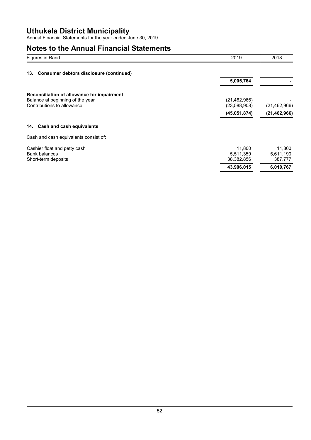Annual Financial Statements for the year ended June 30, 2019

# **Notes to the Annual Financial Statements**

| Figures in Rand                                                | 2019                           | 2018                 |
|----------------------------------------------------------------|--------------------------------|----------------------|
| Consumer debtors disclosure (continued)<br>13.                 |                                |                      |
|                                                                | 5,005,764                      |                      |
| Reconciliation of allowance for impairment                     |                                |                      |
| Balance at beginning of the year<br>Contributions to allowance | (21, 462, 966)<br>(23,588,908) | (21,462,966)         |
|                                                                | (45,051,874)                   | (21, 462, 966)       |
| Cash and cash equivalents<br>14.                               |                                |                      |
| Cash and cash equivalents consist of:                          |                                |                      |
| Cashier float and petty cash                                   | 11,800                         | 11,800               |
| <b>Bank balances</b><br>Short-term deposits                    | 5,511,359<br>38,382,856        | 5,611,190<br>387,777 |
|                                                                | 43,906,015                     | 6,010,767            |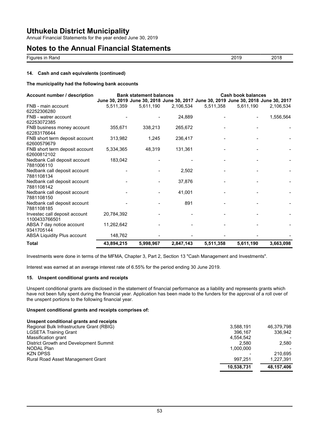Annual Financial Statements for the year ended June 30, 2019

### **Notes to the Annual Financial Statements**

| --<br>≺and<br>Fiaur | л.<br>$ -$<br>$\sim$ | חכ<br>$ \sim$<br>.<br>$- - -$ |
|---------------------|----------------------|-------------------------------|

#### **14. Cash and cash equivalents (continued)**

#### **The municipality had the following bank accounts**

| Account number / description                   |            | <b>Bank statement balances</b> |                                                                                                  |           | <b>Cash book balances</b> |           |
|------------------------------------------------|------------|--------------------------------|--------------------------------------------------------------------------------------------------|-----------|---------------------------|-----------|
| FNB - main account<br>62252306280              | 5,511,359  | 5,611,190                      | June 30, 2019 June 30, 2018 June 30, 2017 June 30, 2019 June 30, 2018 June 30, 2017<br>2,106,534 | 5,511,358 | 5,611,190                 | 2,106,534 |
| FNB - watrer account<br>62253072385            |            |                                | 24,889                                                                                           |           |                           | 1,556,564 |
| FNB business money account<br>62283176644      | 355,671    | 338,213                        | 265,672                                                                                          |           |                           |           |
| FNB short term deposit account<br>62600579679  | 313,982    | 1,245                          | 236,417                                                                                          |           |                           |           |
| FNB short term deposit account<br>62600812102  | 5,334,365  | 48,319                         | 131,361                                                                                          |           |                           |           |
| Nedbank Call deposit account<br>7881006110     | 183,042    |                                |                                                                                                  |           |                           |           |
| Nedbank call deposit account<br>7881108134     |            |                                | 2,502                                                                                            |           |                           |           |
| Nedbank call deposit account<br>7881108142     |            |                                | 37,876                                                                                           |           |                           |           |
| Nedbank call deposit account<br>7881108150     |            |                                | 41,001                                                                                           |           |                           |           |
| Nedbank call deposit account<br>7881108185     |            |                                | 891                                                                                              |           |                           |           |
| Investec call deposit account<br>1100433766501 | 20,784,392 |                                |                                                                                                  |           |                           |           |
| ABSA 7 day notice account<br>9341705144        | 11,262,642 |                                |                                                                                                  |           |                           |           |
| <b>ABSA Liquidity Plus account</b>             | 148,762    |                                |                                                                                                  |           |                           |           |
| <b>Total</b>                                   | 43,894,215 | 5,998,967                      | 2,847,143                                                                                        | 5,511,358 | 5,611,190                 | 3,663,098 |

Investments were done in terms of the MFMA, Chapter 3, Part 2, Section 13 "Cash Management and Investments".

Interest was earned at an average interest rate of 6.55% for the period ending 30 June 2019.

#### **15. Unspent conditional grants and receipts**

Unspent conditional grants are disclosed in the statement of financial performance as a liability and represents grants which have not been fully spent during the financial year. Application has been made to the funders for the approval of a roll over of the unspent portions to the following financial year.

#### **Unspent conditional grants and receipts comprises of:**

| Unspent conditional grants and receipts   |            |            |
|-------------------------------------------|------------|------------|
| Regional Bulk Infrastructure Grant (RBIG) | 3,588,191  | 46,379,798 |
| <b>LGSETA Training Grant</b>              | 396.167    | 336.942    |
| Massification grant                       | 4.554.542  |            |
| District Growth and Development Summit    | 2.580      | 2.580      |
| NODAL Plan                                | 1,000,000  |            |
| <b>KZN DPSS</b>                           |            | 210.695    |
| Rural Road Asset Management Grant         | 997.251    | 1.227.391  |
|                                           | 10,538,731 | 48,157,406 |
|                                           |            |            |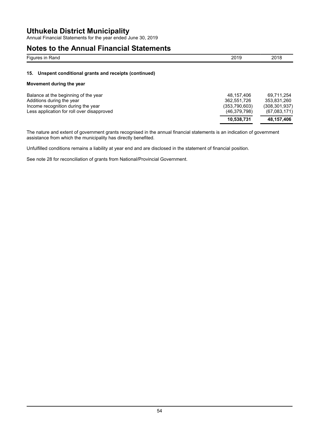Annual Financial Statements for the year ended June 30, 2019

### **Notes to the Annual Financial Statements**

| Figures in Rand                                         | 2019 | 2018 |
|---------------------------------------------------------|------|------|
|                                                         |      |      |
| 15. Unspent conditional grants and receipts (continued) |      |      |

#### **Movement during the year**

| 10,538,731     | 48,157,406      |
|----------------|-----------------|
| (46, 379, 798) | (67,083,171)    |
| (353,790,603)  | (308, 301, 937) |
| 362.551.726    | 353,831,260     |
| 48.157.406     | 69.711.254      |
|                |                 |

The nature and extent of government grants recognised in the annual financial statements is an indication of government assistance from which the municipality has directly benefited.

Unfulfilled conditions remains a liability at year end and are disclosed in the statement of financial position.

See note 28 for reconciliation of grants from National/Provincial Government.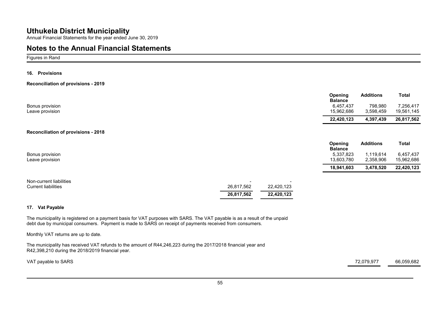Annual Financial Statements for the year ended June 30, 2019

### **Notes to the Annual Financial Statements**

Figures in Rand

#### **16. Provisions**

#### **Reconciliation of provisions - 2019**

|                 | Opening<br><b>Balance</b> | <b>Additions</b> | Total      |
|-----------------|---------------------------|------------------|------------|
| Bonus provision | 6,457,437                 | 798,980          | 7,256,417  |
| Leave provision | 15,962,686                | 3,598,459        | 19,561,145 |
|                 | 22,420,123                | 4,397,439        | 26,817,562 |
|                 |                           |                  |            |

#### **Reconciliation of provisions - 2018**

|                                    |                          |                          | Opening<br><b>Balance</b> | <b>Additions</b>       | Total                   |
|------------------------------------|--------------------------|--------------------------|---------------------------|------------------------|-------------------------|
| Bonus provision<br>Leave provision |                          |                          | 5,337,823<br>13,603,780   | 1,119,614<br>2,358,906 | 6,457,437<br>15,962,686 |
|                                    |                          |                          | 18,941,603                | 3,478,520              | 22,420,123              |
| Non-current liabilities            | $\overline{\phantom{a}}$ | $\overline{\phantom{0}}$ |                           |                        |                         |
| <b>Current liabilities</b>         | 26,817,562               | 22,420,123               |                           |                        |                         |
|                                    | 26,817,562               | 22,420,123               |                           |                        |                         |

#### **17. Vat Payable**

The municipality is registered on a payment basis for VAT purposes with SARS. The VAT payable is as a result of the unpaid debt due by municipal consumers. Payment is made to SARS on receipt of payments received from consumers.

Monthly VAT returns are up to date.

The municipality has received VAT refunds to the amount of R44,246,223 during the 2017/2018 financial year and R42,398,210 during the 2018/2019 financial year.

VAT payable to SARS 66,059,682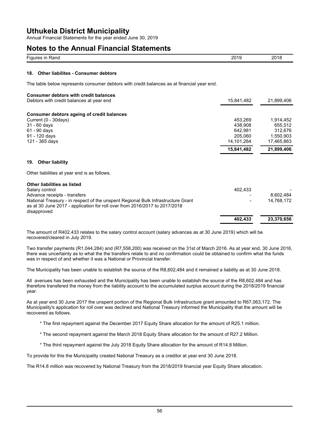Annual Financial Statements for the year ended June 30, 2019

### **Notes to the Annual Financial Statements**

| יטווטווטאס שוט האווועמו ו וואר טווא טג<br>Figures in Rand                                  | 2019       | 2018       |
|--------------------------------------------------------------------------------------------|------------|------------|
| <b>Other liabilites - Consumer debtors</b><br>18.                                          |            |            |
| The table below represents consumer debtors with credit balances as at financial year end. |            |            |
| <b>Consumer debtors with credit balances</b><br>Debtors with credit balances at year end   | 15,841,482 | 21,899,406 |
| Consumer debtors ageing of credit balances                                                 |            |            |
| Current (0 - 30 days)                                                                      | 453.269    | 1,914,452  |
| $31 - 60$ days                                                                             | 438.908    | 655,512    |
| 61 - 90 days                                                                               | 642.981    | 312.676    |
| 91 - 120 days                                                                              | 205.060    | 1,550,903  |
| 121 - 365 days                                                                             | 14,101,264 | 17,465,863 |
|                                                                                            | 15,841,482 | 21,899,406 |

#### **19. Other liability**

Other liabilities at year end is as follows.

| Other liabilities as listed                                                                                                                                                   |                          |            |
|-------------------------------------------------------------------------------------------------------------------------------------------------------------------------------|--------------------------|------------|
| Salary control                                                                                                                                                                | 402.433                  |            |
| Advance receipts - transfers                                                                                                                                                  | $\overline{\phantom{a}}$ | 8.602.484  |
| National Treasury - in respect of the unspent Regional Bulk Infrastructure Grant<br>as at 30 June 2017 - application for roll over from 2016/2017 to 2017/2018<br>disapproved |                          | 14.768.172 |
|                                                                                                                                                                               | 402.433                  | 23,370,656 |

The amount of R402,433 relates to the salary control account (salary advances as at 30 June 2019) which will be recovered/cleared in July 2019.

Two transfer payments (R1,044,284) and (R7,558,200) was received on the 31st of March 2016. As at year end, 30 June 2016, there was uncertainty as to what the the transfers relate to and no confirmation could be obtained to confirm what the funds was in respect of and whether it was a National or Provincial transfer.

The Municipality has been unable to establish the source of the R8,602,484 and it remained a liability as at 30 June 2018.

All avenues has been exhausted and the Municipality has been unable to establish the source of the R8,602,484 and has therefore transfered the money from the liability account to the accumulated surplus account during the 2018/2019 financial year.

As at year end 30 June 2017 the unspent portion of the Regional Bulk Infrastructure grant amounted to R67,063,172. The Municipality's application for roll over was declined and National Treasury informed the Municipality that the amount will be recovered as follows.

- \* The first repayment against the December 2017 Equity Share allocation for the amount of R25.1 million.
- \* The second repayment against the March 2018 Equity Share allocation for the amount of R27.2 Million.
- \* The third repayment against the July 2018 Equity Share allocation for the amount of R14.8 Million.

To provide for this the Municipality created National Treasury as a creditor at year end 30 June 2018.

The R14.8 million was recovered by National Treasury from the 2018/2019 financial year Equity Share allocation.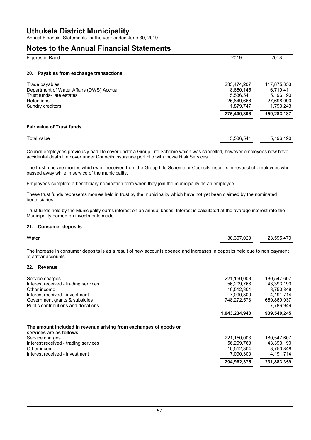Annual Financial Statements for the year ended June 30, 2019

### **Notes to the Annual Financial Statements**

| $-$<br>⊢ını<br>kanc<br>ш | 2018 |
|--------------------------|------|
|                          |      |

#### **20. Payables from exchange transactions**

| Trade payables                            | 233,474,207 | 117,875,353 |
|-------------------------------------------|-------------|-------------|
| Department of Water Affairs (DWS) Accrual | 8,660,145   | 6.719.411   |
| Trust funds- late estates                 | 5.536.541   | 5,196,190   |
| Retentions                                | 25,849,666  | 27,698,990  |
| Sundry creditors                          | 1.879.747   | 1,793,243   |
|                                           | 275,400,306 | 159,283,187 |
| <b>Fair value of Trust funds</b>          |             |             |

| Total value | 5.536.541 | 5.196.190 |
|-------------|-----------|-----------|
|             |           |           |
|             |           |           |

Council employees previously had life cover under a Group Life Scheme which was cancelled, however employees now have accidental death life cover under Councils insurance portfolio with Indwe Risk Services.

The trust fund are monies which were received from the Group Life Scheme or Councils insurers in respect of employees who passed away while in service of the municipality.

Employees complete a beneficiary nomination form when they join the municipality as an employee.

These trust funds represents monies held in trust by the municipality which have not yet been claimed by the nominated beneficiaries.

Trust funds held by the Municipality earns interest on an annual bases. Interest is calculated at the avarage interest rate the Municipality earned on investments made.

#### **21. Consumer deposits**

| Water | 30,307,020 | 23,595,479 |
|-------|------------|------------|
|       |            |            |

The increase in consumer deposits is as a result of new accounts opened and increases in deposits held due to non payment of arrear accounts.

#### **22. Revenue**

| Service charges<br>Interest received - trading services<br>Other income<br>Interest received - investment<br>Government grants & subsidies<br>Public contributions and donations                           | 221,150,003<br>56.209.768<br>10.512.304<br>7,090,300<br>748,272,573 | 180,547,607<br>43,393,190<br>3,750,848<br>4,191,714<br>669,869,937<br>7,786,949 |
|------------------------------------------------------------------------------------------------------------------------------------------------------------------------------------------------------------|---------------------------------------------------------------------|---------------------------------------------------------------------------------|
|                                                                                                                                                                                                            | 1,043,234,948                                                       | 909,540,245                                                                     |
| The amount included in revenue arising from exchanges of goods or<br>services are as follows:<br>Service charges<br>Interest received - trading services<br>Other income<br>Interest received - investment | 221,150,003<br>56.209.768<br>10,512,304<br>7.090.300                | 180,547,607<br>43.393.190<br>3,750,848<br>4,191,714                             |
|                                                                                                                                                                                                            | 294,962,375                                                         | 231,883,359                                                                     |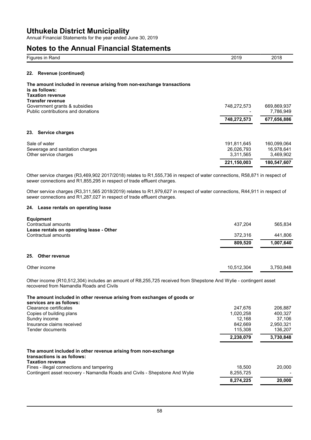Annual Financial Statements for the year ended June 30, 2019

### **Notes to the Annual Financial Statements**

| Figures in Rand         | 2019 | 2018 |
|-------------------------|------|------|
| 22. Revenue (continued) |      |      |

#### **The amount included in revenue arising from non-exchange transactions is as follows:**

| <b>Taxation revenue</b>            |
|------------------------------------|
| <b>Transfer revenue</b>            |
| Government grants & subsidies      |
| Public contributions and donations |
|                                    |

| Government grants & subsidies<br>Public contributions and donations | 748,272,573 | 669,869,937<br>7.786.949 |
|---------------------------------------------------------------------|-------------|--------------------------|
|                                                                     | 748,272,573 | 677,656,886              |
| Service charges<br>23.                                              |             |                          |
| Sale of water                                                       | 191.811.645 | 160.099.064              |
| Sewerage and sanitation charges                                     | 26.026.793  | 16.978.641               |
| Other service charges                                               | 3,311,565   | 3,469,902                |
|                                                                     | 221,150,003 | 180,547,607              |

Other service charges (R3,469,902 2017/2018) relates to R1,555,736 in respect of water connections, R58,871 in respect of sewer connections and R1,855,295 in respect of trade effluent charges.

Other service charges (R3,311,565 2018/2019) relates to R1,979,627 in respect of water connections, R44,911 in respect of sewer connections and R1,287,027 in respect of trade effluent charges.

#### **24. Lease rentals on operating lease**

| <b>Equipment</b>                                                                                                                                             |            |           |
|--------------------------------------------------------------------------------------------------------------------------------------------------------------|------------|-----------|
| Contractual amounts<br>Lease rentals on operating lease - Other                                                                                              | 437.204    | 565.834   |
| Contractual amounts                                                                                                                                          | 372.316    | 441,806   |
|                                                                                                                                                              | 809,520    | 1,007,640 |
| 25.<br>Other revenue                                                                                                                                         |            |           |
| Other income                                                                                                                                                 | 10.512.304 | 3,750,848 |
| Other income (R10,512,304) includes an amount of R8,255,725 received from Shepstone And Wylie - contingent asset<br>recovered from Namandla Roads and Civils |            |           |
| The amount included in other revenue arising from exchanges of goods or<br>consigae are as follower                                                          |            |           |

| services are as follows:                                                                                                 |           |           |
|--------------------------------------------------------------------------------------------------------------------------|-----------|-----------|
| Clearance certificates                                                                                                   | 247.676   | 206,887   |
| Copies of building plans                                                                                                 | 1.020.258 | 400.327   |
| Sundry income                                                                                                            | 12.168    | 37.106    |
| Insurance claims received                                                                                                | 842.669   | 2,950,321 |
| Tender documents                                                                                                         | 115.308   | 136.207   |
|                                                                                                                          | 2,238,079 | 3,730,848 |
| The amount included in other revenue arising from non-exchange<br>transactions is as follows:<br><b>Taxation revenue</b> |           |           |
| Fines - illegal connections and tampering                                                                                | 18.500    | 20,000    |
| Contingent asset recovery - Namandla Roads and Civils - Shepstone And Wylie                                              | 8,255,725 |           |
|                                                                                                                          | 8.274.225 | 20.000    |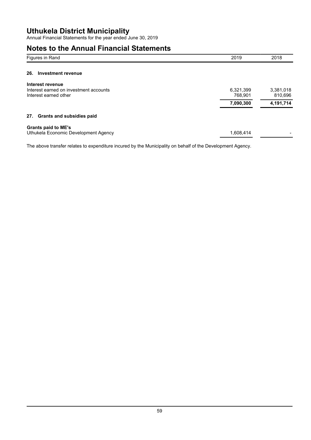Annual Financial Statements for the year ended June 30, 2019

# **Notes to the Annual Financial Statements**

| Figures in Rand                                                                     | 2019                 | 2018                 |
|-------------------------------------------------------------------------------------|----------------------|----------------------|
| <b>Investment revenue</b><br>26.                                                    |                      |                      |
| Interest revenue<br>Interest earned on investment accounts<br>Interest earned other | 6,321,399<br>768.901 | 3,381,018<br>810,696 |
|                                                                                     | 7,090,300            | 4,191,714            |
| 27. Grants and subsidies paid                                                       |                      |                      |
| <b>Grants paid to ME's</b><br>Uthukela Economic Development Agency                  | 1,608,414            |                      |

The above transfer relates to expenditure incured by the Municipality on behalf of the Development Agency.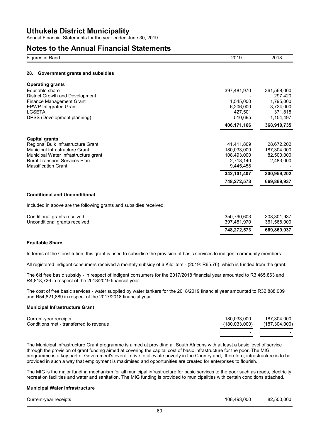Annual Financial Statements for the year ended June 30, 2019

### **Notes to the Annual Financial Statements**

| Figures in Rand | 2010<br><b>2015</b> | 2018 |
|-----------------|---------------------|------|
|                 |                     |      |

#### **28. Government grants and subsidies**

| <b>Operating grants</b>              |             |             |
|--------------------------------------|-------------|-------------|
| Equitable share                      | 397,481,970 | 361,568,000 |
| District Growth and Development      |             | 297,420     |
| Finance Management Grant             | 1,545,000   | 1,795,000   |
| <b>EPWP Integrated Grant</b>         | 6,206,000   | 3,724,000   |
| LGSETA                               | 427.501     | 371,818     |
| DPSS (Development planning)          | 510,695     | 1,154,497   |
|                                      | 406,171,166 | 368,910,735 |
| <b>Capital grants</b>                |             |             |
| Regional Bulk Infrastructure Grant   | 41,411,809  | 28,672,202  |
| Municipal Infrastructure Grant       | 180,033,000 | 187,304,000 |
| Municipal Water Infrastructure grant | 108.493.000 | 82,500,000  |
| <b>Rural Transport Services Plan</b> | 2,718,140   | 2,483,000   |
| <b>Massification Grant</b>           | 9.445.458   |             |
|                                      | 342,101,407 | 300,959,202 |
|                                      | 748,272,573 | 669,869,937 |

#### **Conditional and Unconditional**

Included in above are the following grants and subsidies received:

| Unconditional grants received | 397.481.970<br>748.272.573 | 361.568.000<br>669.869.937 |
|-------------------------------|----------------------------|----------------------------|
| Conditional grants received   | 350.790.603                | 308.301.937                |

#### **Equitable Share**

In terms of the Constitution, this grant is used to subsidise the provision of basic services to indigent community members.

All registered indigent consumers received a monthly subsidy of 6 Kiloliters - (2019: R65.76) which is funded from the grant.

The 6kl free basic subsidy - in respect of indigent consumers for the 2017/2018 financial year amounted to R3,465,863 and R4,818,726 in respect of the 2018/2019 financial year.

The cost of free basic services - water supplied by water tankers for the 2018/2019 financial year amounted to R32,888,009 and R54,821,889 in respect of the 2017/2018 financial year.

#### **Municipal Infrastructure Grant**

| Current-year receipts                   | 180.033.000   | 187.304.000     |
|-----------------------------------------|---------------|-----------------|
| Conditions met - transferred to revenue | (180.033.000) | (187, 304, 000) |
|                                         |               |                 |

The Municipal Infrastructure Grant programme is aimed at providing all South Africans with at least a basic level of service through the provision of grant funding aimed at covering the capital cost of basic infrastructure for the poor. The MIG programme is a key part of Government's overall drive to alleviate poverty in the Country and, therefore, infrastructure is to be provided in such a way that employment is maximised and opportunities are created for enterprises to flourish.

The MIG is the major funding mechanism for all municipal infrastructure for basic services to the poor such as roads, electricity, recreation facilities and water and sanitation. The MIG funding is provided to municipalities with certain conditions attached.

#### **Municipal Water Infrastructure**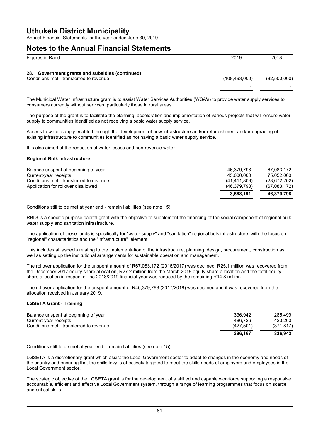Annual Financial Statements for the year ended June 30, 2019

### **Notes to the Annual Financial Statements**

| Figures in Rand                                                                            | 2019            | 2018         |
|--------------------------------------------------------------------------------------------|-----------------|--------------|
| 28. Government grants and subsidies (continued)<br>Conditions met - transferred to revenue | (108, 493, 000) | (82,500,000) |
|                                                                                            |                 |              |

The Municipal Water Infrastructure grant is to assist Water Services Authorities (WSA's) to provide water supply services to consumers currently without services, particularly those in rural areas.

The purpose of the grant is to facilitate the planning, acceleration and implementation of various projects that will ensure water supply to communities identified as not receiving a basic water supply service.

Access to water supply enabled through the development of new infrastructure and/or refurbishment and/or upgrading of existing infrastructure to communities identified as not having a basic water supply service.

It is also aimed at the reduction of water losses and non-revenue water.

#### **Regional Bulk Infrastructure**

| 3.588.191      | 46.379.798   |
|----------------|--------------|
| (46, 379, 798) | (67,083,172) |
| (41.411.809)   | (28,672,202) |
| 45.000.000     | 75.052.000   |
| 46.379.798     | 67.083.172   |
|                |              |

Conditions still to be met at year end - remain liabilities (see note 15).

RBIG is a specific purpose capital grant with the objective to supplement the financing of the social component of regional bulk water supply and sanitation infrastructure.

The application of these funds is specifically for "water supply" and "sanitation" regional bulk infrastructure, with the focus on "regional" characteristics and the "infrastructure" element.

This includes all aspects relating to the implementation of the infrastructure, planning, design, procurement, construction as well as setting up the institutional arrangements for sustainable operation and management.

The rollover application for the unspent amount of R67,083,172 (2016/2017) was declined. R25.1 million was recovered from the December 2017 equity share allocation, R27.2 million from the March 2018 equity share allocation and the total equity share allocation in respect of the 2018/2019 financial year was reduced by the remaining R14.8 million.

The rollover application for the unspent amount of R46,379,798 (2017/2018) was declined and it was recovered from the allocation received in January 2019.

#### **LGSETA Grant - Training**

|                                         | 396.167   | 336.942   |
|-----------------------------------------|-----------|-----------|
| Conditions met - transferred to revenue | (427.501) | (371.817) |
| Current-year receipts                   | 486.726   | 423.260   |
| Balance unspent at beginning of year    | 336.942   | 285.499   |

Conditions still to be met at year end - remain liabilities (see note 15).

LGSETA is a discretionary grant which assist the Local Government sector to adapt to changes in the economy and needs of the country and ensuring that the scills levy is effectively targeted to meet the skills needs of employers and employees in the Local Government sector.

The strategic objective of the LGSETA grant is for the development of a skilled and capable workforce supporting a responsive, accountable, efficient and effective Local Government system, through a range of learning programmes that focus on scarce and critical skills.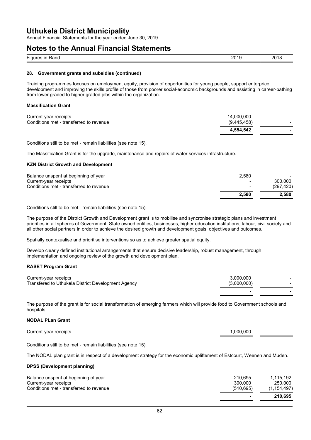Annual Financial Statements for the year ended June 30, 2019

### **Notes to the Annual Financial Statements**

| $- \cdot$<br>.<br>FIUIL<br>≺anc<br>ш | n,<br>.<br>∼<br>ື່ |  |
|--------------------------------------|--------------------|--|

#### **28. Government grants and subsidies (continued)**

Training programmes focuses on employment equity, provision of opportunities for young people, support enterprice development and improving the skills profile of those from poorer social-economic backgrounds and assisting in career-pathing from lower graded to higher graded jobs within the organization.

#### **Massification Grant**

| Current-year receipts<br>Conditions met - transferred to revenue | 14.000.000<br>(9,445,458) |  |
|------------------------------------------------------------------|---------------------------|--|
|                                                                  | 4.554.542                 |  |

Conditions still to be met - remain liabilities (see note 15).

The Massification Grant is for the upgrade, maintenance and repairs of water services infrastructure.

#### **KZN District Growth and Development**

| Balance unspent at beginning of year    | 2,580 |           |
|-----------------------------------------|-------|-----------|
| Current-year receipts                   |       | 300.000   |
| Conditions met - transferred to revenue |       | (297.420) |
|                                         | 2.580 | 2.580     |

Conditions still to be met - remain liabilities (see note 15).

The purpose of the District Growth and Development grant is to mobilise and syncronise strategic plans and investment priorities in all spheres of Government, State owned entities, businesses, higher education institutions, labour, civil society and all other social partners in order to achieve the desired growth and development goals, objectives and outcomes.

Spatially contexualise and prioritise interventions so as to achieve greater spatial equity.

Develop clearly defined institutional arrangements that ensure decisive leadership, robust management, through implementation and ongoing review of the growth and development plan.

#### **RASET Program Grant**

| Current-year receipts<br>Transfered to Uthukela District Development Agency | 3.000.000<br>(3.000.000) |  |
|-----------------------------------------------------------------------------|--------------------------|--|
|                                                                             |                          |  |

The purpose of the grant is for social transformation of emerging farmers which will provide food to Government schools and hospitals.

#### **NODAL PLan Grant**

| Current-year receipts | .000.000 |  |
|-----------------------|----------|--|
|                       |          |  |

Conditions still to be met - remain liabilities (see note 15).

The NODAL plan grant is in respect of a development strategy for the economic upliftement of Estcourt, Weenen and Muden.

#### **DPSS (Development planning)**

| Balance unspent at beginning of year    | 210.695   | 1.115.192   |
|-----------------------------------------|-----------|-------------|
| Current-year receipts                   | 300,000   | 250,000     |
| Conditions met - transferred to revenue | (510.695) | (1.154.497) |
|                                         | ۰         | 210.695     |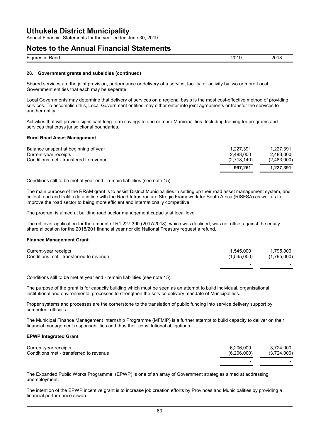Annual Financial Statements for the year ended June 30, 2019

### **Notes to the Annual Financial Statements**

| $- \cdot$<br>.<br>FIUI<br>≺anc | ּ הר<br>∸<br>. . | ״ |
|--------------------------------|------------------|---|
|                                |                  |   |

#### **28. Government grants and subsidies (continued)**

Shared services are the joint provision, performance or delivery of a service, facility, or activity by two or more Local Government entities that each may be seperate.

Local Governments may determine that delivery of services on a regional basis is the most cost-effective method of providing services. To accomplish this, Local Government entities may either enter into joint agreements or transfer the services to another entity.

Activities that will provide significant long-term savings to one or more Municipalities. Including training for programs and services that cross jurisdictional boundaries.

#### **Rural Road Asset Management**

|                                        | 997.251     | 1.227.391   |
|----------------------------------------|-------------|-------------|
| Conditions met - transfered to revenue | (2.718.140) | (2,483,000) |
| Current-year receipts                  | 2.488.000   | 2.483.000   |
| Balance unspent at beginning of year   | 1.227.391   | 1.227.391   |

Conditions still to be met at year end - remain liabilities (see note 15).

The main purpose of the RRAM grant is to assist District Municipalities in setting up their road asset management system, and collect road and trafific data in line with the Road Infrastructure Stregic Framework for South Africa (RISFSA) as well as to improve the road sector to being more efficient and internationally competitive.

The program is aimed at building road sector management capacity at local level.

The roll over application for the amount of R1,227,390 (2017/2018), which was declined, was not offset against the equity share allocation for the 2018/201 financial year nor did National Treasury request a refund.

#### **Finance Management Grant**

| Current-year receipts                   | 1.545.000   | 1.795.000   |
|-----------------------------------------|-------------|-------------|
| Conditions met - transferred to revenue | (1.545.000) | (1,795,000) |
|                                         |             |             |

Conditions still to be met at year end - remain liabilities (see note 15).

The purpose of the grant is for capacity building which must be seen as an attempt to build individual, organisational, institutional and environmental processes to strengthen the service delivery mandate of Municipalities.

Proper systems and processes are the cornerstone to the translation of public funding into service delivery support by competent officials.

The Municipal Finance Management Internship Programme (MFMIP) is a further attempt to build capacity to deliver on their financial management responsabilities and thus their constitutional obligations.

#### **EPWP Integrated Grant**

| Current-year receipts                   | 6.206.000   | 3.724.000   |
|-----------------------------------------|-------------|-------------|
| Conditions met - transferred to revenue | (6,206,000) | (3,724,000) |
|                                         |             |             |

The Expanded Public Works Programme (EPWP) is one of an array of Government strategies aimed at addressing unemployment.

The intention of the EPWP incentive grant is to increase job creation efforts by Provinces and Municipalities by providing a financial performance reward.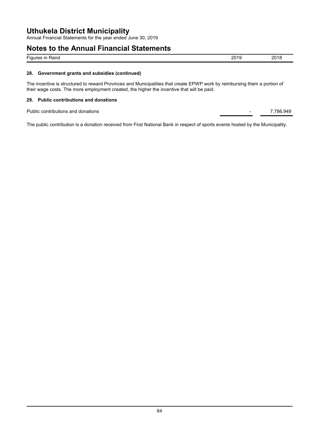Annual Financial Statements for the year ended June 30, 2019

### **Notes to the Annual Financial Statements**

| $- \cdot$<br>$ -$<br>anu | nr.<br>— Y<br>. . |  |
|--------------------------|-------------------|--|
|                          |                   |  |

#### **28. Government grants and subsidies (continued)**

The incentive is structured to reward Provinces and Municipalities that create EPWP work by reimbursing them a portion of their wage costs. The more employment created, the higher the incentive that will be paid.

#### **29. Public contributions and donations**

Public contributions and donations exercise that the extra set of the extra set of the extra set of the extra set of the extra set of the extra set of the extra set of the extra set of the extra set of the extra set of the

The public contribution is a donation received from First National Bank in respect of sports events hosted by the Municipality.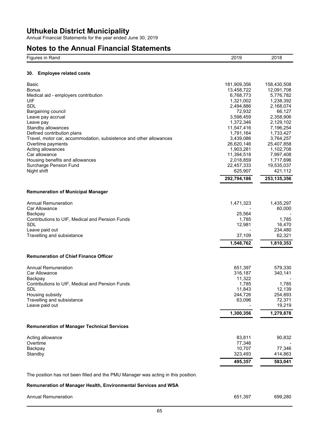Annual Financial Statements for the year ended June 30, 2019

### **Notes to the Annual Financial Statements**

| $- \cdot$<br>≺and<br><b>Figure</b><br>ın<br>. | 2010<br>. .<br>____ | 0010<br>2010 |
|-----------------------------------------------|---------------------|--------------|
|                                               |                     |              |

#### **30. Employee related costs**

| Basic<br>Bonus<br>Medical aid - employers contribution<br>UIF<br>SDL<br>Bargaining council<br>Leave pay accrual<br>Leave pay<br>Standby allowances<br>Defined contribution plans<br>Travel, motor car, accommodation, subsistence and other allowances<br>Overtime payments<br>Acting allowances<br>Car allowance<br>Housing benefits and allowances<br>Surcharge Pension Fund<br>Night shift | 181,909,356<br>13,458,722<br>6,768,773<br>1,321,002<br>2,494,886<br>72,932<br>3,598,459<br>1,372,346<br>11,547,416<br>1,791,164<br>3,439,086<br>26,620,146<br>1,903,281<br>11,394,518<br>2,018,859<br>22,457,333<br>625,907 | 158,430,508<br>12,091,708<br>5,776,782<br>1,238,392<br>2,168,074<br>66,127<br>2,358,906<br>2,129,102<br>7,196,254<br>1,733,427<br>3,764,257<br>25,407,858<br>1,102,708<br>7,997,408<br>1,717,696<br>19,535,037<br>421,112 |
|-----------------------------------------------------------------------------------------------------------------------------------------------------------------------------------------------------------------------------------------------------------------------------------------------------------------------------------------------------------------------------------------------|-----------------------------------------------------------------------------------------------------------------------------------------------------------------------------------------------------------------------------|---------------------------------------------------------------------------------------------------------------------------------------------------------------------------------------------------------------------------|
|                                                                                                                                                                                                                                                                                                                                                                                               | 292,794,186                                                                                                                                                                                                                 | 253, 135, 356                                                                                                                                                                                                             |
| <b>Remuneration of Municipal Manager</b>                                                                                                                                                                                                                                                                                                                                                      |                                                                                                                                                                                                                             |                                                                                                                                                                                                                           |
| <b>Annual Remuneration</b><br>Car Allowance                                                                                                                                                                                                                                                                                                                                                   | 1,471,323                                                                                                                                                                                                                   | 1,435,297<br>60,000                                                                                                                                                                                                       |
| Backpay                                                                                                                                                                                                                                                                                                                                                                                       | 25,564                                                                                                                                                                                                                      |                                                                                                                                                                                                                           |
| Contributions to UIF, Medical and Pension Funds<br>SDL                                                                                                                                                                                                                                                                                                                                        | 1,785                                                                                                                                                                                                                       | 1,785                                                                                                                                                                                                                     |
| Leave paid out                                                                                                                                                                                                                                                                                                                                                                                | 12,981                                                                                                                                                                                                                      | 16,470<br>234,480                                                                                                                                                                                                         |
| Travelling and subsistance                                                                                                                                                                                                                                                                                                                                                                    | 37,109                                                                                                                                                                                                                      | 62,321                                                                                                                                                                                                                    |
|                                                                                                                                                                                                                                                                                                                                                                                               | 1,548,762                                                                                                                                                                                                                   | 1,810,353                                                                                                                                                                                                                 |
| <b>Remuneration of Chief Finance Officer</b>                                                                                                                                                                                                                                                                                                                                                  |                                                                                                                                                                                                                             |                                                                                                                                                                                                                           |
| <b>Annual Remuneration</b>                                                                                                                                                                                                                                                                                                                                                                    | 651,397                                                                                                                                                                                                                     | 579,330                                                                                                                                                                                                                   |
| Car Allowance                                                                                                                                                                                                                                                                                                                                                                                 | 316,187                                                                                                                                                                                                                     | 340,141                                                                                                                                                                                                                   |
| Backpay                                                                                                                                                                                                                                                                                                                                                                                       | 11,322                                                                                                                                                                                                                      |                                                                                                                                                                                                                           |
| Contributions to UIF, Medical and Pension Funds                                                                                                                                                                                                                                                                                                                                               | 1,785                                                                                                                                                                                                                       | 1,785                                                                                                                                                                                                                     |
| SDL                                                                                                                                                                                                                                                                                                                                                                                           | 11,843                                                                                                                                                                                                                      | 12,139                                                                                                                                                                                                                    |
| Housing subsidy<br>Travelling and subsistance                                                                                                                                                                                                                                                                                                                                                 | 244,726<br>63,096                                                                                                                                                                                                           | 254,893<br>72,371                                                                                                                                                                                                         |
| Leave paid out                                                                                                                                                                                                                                                                                                                                                                                |                                                                                                                                                                                                                             | 19,219                                                                                                                                                                                                                    |
|                                                                                                                                                                                                                                                                                                                                                                                               | 1,300,356                                                                                                                                                                                                                   | 1,279,878                                                                                                                                                                                                                 |
| <b>Remuneration of Manager Technical Services</b>                                                                                                                                                                                                                                                                                                                                             |                                                                                                                                                                                                                             |                                                                                                                                                                                                                           |
| Acting allowance                                                                                                                                                                                                                                                                                                                                                                              | 83,811                                                                                                                                                                                                                      | 90,832                                                                                                                                                                                                                    |
| Overtime                                                                                                                                                                                                                                                                                                                                                                                      | 77,346                                                                                                                                                                                                                      |                                                                                                                                                                                                                           |
| Backpay                                                                                                                                                                                                                                                                                                                                                                                       | 10,707                                                                                                                                                                                                                      | 77,346                                                                                                                                                                                                                    |
| Standby                                                                                                                                                                                                                                                                                                                                                                                       | 323,493                                                                                                                                                                                                                     | 414,863                                                                                                                                                                                                                   |
|                                                                                                                                                                                                                                                                                                                                                                                               | 495,357                                                                                                                                                                                                                     | 583,041                                                                                                                                                                                                                   |
| The position has not been filled and the PMU Manager was acting in this position.                                                                                                                                                                                                                                                                                                             |                                                                                                                                                                                                                             |                                                                                                                                                                                                                           |

**Remuneration of Manager Health, Environmental Services and WSA**

| Annual Remuneration | 651,397 | 699.280 |
|---------------------|---------|---------|
|                     |         |         |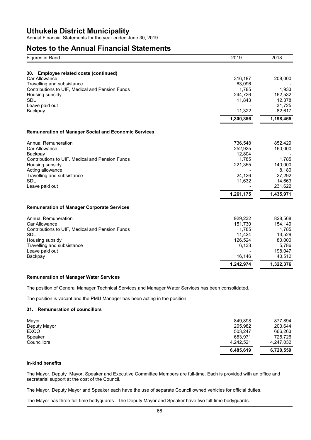Annual Financial Statements for the year ended June 30, 2019

### **Notes to the Annual Financial Statements**

| Figures in Rand                                             | 2019      | 2018      |
|-------------------------------------------------------------|-----------|-----------|
|                                                             |           |           |
| 30. Employee related costs (continued)<br>Car Allowance     | 316,187   | 208,000   |
| Travelling and subsistance                                  | 63,096    |           |
| Contributions to UIF, Medical and Pension Funds             | 1,785     | 1,933     |
| Housing subsidy                                             | 244,726   | 162,532   |
| <b>SDL</b>                                                  | 11,843    | 12,378    |
| Leave paid out                                              |           | 31,725    |
| Backpay                                                     | 11,322    | 82,617    |
|                                                             | 1,300,356 | 1,198,465 |
| <b>Remuneration of Manager Social and Economic Services</b> |           |           |
| <b>Annual Remuneration</b>                                  | 736,548   | 852,429   |
| <b>Car Allowance</b>                                        | 252,925   | 160,000   |
| Backpay                                                     | 12,804    |           |
| Contributions to UIF, Medical and Pension Funds             | 1,785     | 1,785     |
| Housing subsidy                                             | 221,355   | 140,000   |
| Acting allowance                                            |           | 8,180     |
| Travelling and subsistance                                  | 24,126    | 27,292    |
| <b>SDL</b>                                                  | 11,632    | 14,663    |
| Leave paid out                                              |           | 231,622   |
|                                                             | 1,261,175 | 1,435,971 |
| <b>Remuneration of Manager Corporate Services</b>           |           |           |
| <b>Annual Remuneration</b>                                  | 929,232   | 828,568   |
| <b>Car Allowance</b>                                        | 151,730   | 154,149   |
| Contributions to UIF, Medical and Pension Funds             | 1,785     | 1,785     |
| <b>SDL</b>                                                  | 11,424    | 13,529    |
| Housing subsidy                                             | 126,524   | 80,000    |
| Travelling and subsistance                                  | 6,133     | 5,786     |
| Leave paid out                                              |           | 198,047   |
| Backpay                                                     | 16,146    | 40,512    |
|                                                             | 1,242,974 | 1,322,376 |

#### **Remuneration of Manager Water Services**

The position of General Manager Technical Services and Manager Water Services has been consolidated.

The position is vacant and the PMU Manager has been acting in the position

#### **31. Remuneration of councillors**

| Mayor        | 849.898   | 877.894   |
|--------------|-----------|-----------|
| Deputy Mayor | 205.982   | 203.644   |
| <b>EXCO</b>  | 503.247   | 666.263   |
| Speaker      | 683.971   | 725.726   |
| Councillors  | 4.242.521 | 4.247.032 |
|              | 6,485,619 | 6,720,559 |

#### **In-kind benefits**

The Mayor, Deputy Mayor, Speaker and Executive Committee Members are full-time. Each is provided with an office and secretarial support at the cost of the Council.

The Mayor, Deputy Mayor and Speaker each have the use of separate Council owned vehicles for official duties.

The Mayor has three full-time bodyguards . The Deputy Mayor and Speaker have two full-time bodyguards.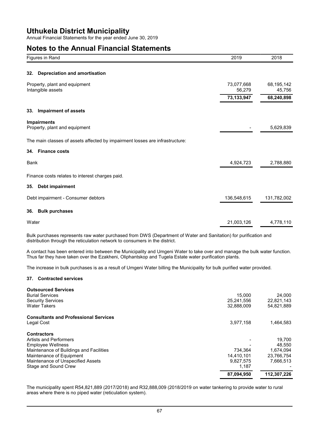Annual Financial Statements for the year ended June 30, 2019

### **Notes to the Annual Financial Statements**

| סווטט נט נווט רזוווועמו ו וווערוטוער טנענטוווטונט                            | 2019                 | 2018                 |
|------------------------------------------------------------------------------|----------------------|----------------------|
| Figures in Rand                                                              |                      |                      |
| <b>Depreciation and amortisation</b><br>32.                                  |                      |                      |
| Property, plant and equipment<br>Intangible assets                           | 73,077,668<br>56,279 | 68,195,142<br>45,756 |
|                                                                              | 73,133,947           | 68,240,898           |
| <b>Impairment of assets</b><br>33.                                           |                      |                      |
| <b>Impairments</b><br>Property, plant and equipment                          |                      | 5,629,839            |
| The main classes of assets affected by impairment losses are infrastructure: |                      |                      |
| <b>Finance costs</b><br>34.                                                  |                      |                      |
| <b>Bank</b>                                                                  | 4,924,723            | 2,788,880            |
| Finance costs relates to interest charges paid.                              |                      |                      |
| Debt impairment<br>35.                                                       |                      |                      |
| Debt impairment - Consumer debtors                                           | 136,548,615          | 131,782,002          |
| <b>Bulk purchases</b><br>36.                                                 |                      |                      |
| Water                                                                        | 21,003,126           | 4,778,110            |

Bulk purchases represents raw water purchased from DWS (Department of Water and Sanitation) for purification and distribution through the reticulation network to consumers in the district.

A contact has been entered into between the Municipality and Umgeni Water to take over and manage the bulk water function. Thus far they have taken over the Ezakheni, Oliphantskop and Tugela Estate water purification plants.

The increase in bulk purchases is as a result of Umgeni Water billing the Municipality for bulk purified water provided.

#### **37. Contracted services**

| <b>Outsourced Services</b>                   |            |             |
|----------------------------------------------|------------|-------------|
| <b>Burial Services</b>                       | 15.000     | 24,000      |
| <b>Security Services</b>                     | 25,241,556 | 22,821,143  |
| <b>Water Takers</b>                          | 32,888,009 | 54,821,889  |
| <b>Consultants and Professional Services</b> |            |             |
| Legal Cost                                   | 3,977,158  | 1.464.583   |
| <b>Contractors</b>                           |            |             |
| <b>Artists and Performers</b>                |            | 19,700      |
| <b>Employee Wellness</b>                     |            | 48.550      |
| Maintenance of Buildings and Facilities      | 734.364    | 1,674,094   |
| Maintenance of Equipment                     | 14.410.101 | 23,766,754  |
| Maintenance of Unspecified Assets            | 9.827.575  | 7.666.513   |
| Stage and Sound Crew                         | 1.187      |             |
|                                              | 87,094,950 | 112,307,226 |

The municipality spent R54,821,889 (2017/2018) and R32,888,009 (2018/2019 on water tankering to provide water to rural areas where there is no piped water (reticulation system).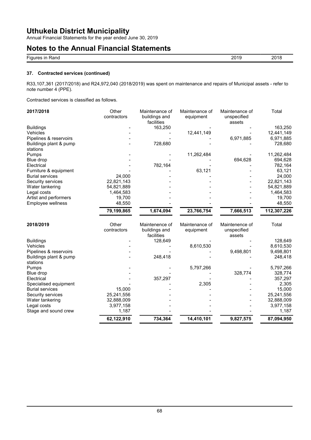Annual Financial Statements for the year ended June 30, 2019

### **Notes to the Annual Financial Statements**

| $- \cdot$<br>Rand<br>ın<br><b>Liqure</b> | $\sim$<br>. .<br>$ \sim$ | 201<br>∼<br>$\sim$ |
|------------------------------------------|--------------------------|--------------------|

#### **37. Contracted services (continued)**

R33,107,361 (2017/2018) and R24,972,040 (2018/2019) was spent on maintenance and repairs of Municipal assets - refer to note number 4 (PPE).

Contracted services is classified as follows.

| 2017/2018                          | Other<br>contractors | Maintenance of<br>buildings and<br>facilities | Maintenance of<br>equipment | Maintenance of<br>unspecified<br>assets | Total       |
|------------------------------------|----------------------|-----------------------------------------------|-----------------------------|-----------------------------------------|-------------|
| <b>Buildings</b>                   |                      | 163,250                                       |                             |                                         | 163,250     |
| Vehicles                           |                      |                                               | 12,441,149                  |                                         | 12,441,149  |
| Pipelines & reservoirs             |                      |                                               |                             | 6,971,885                               | 6,971,885   |
| Buildings plant & pump<br>stations |                      | 728,680                                       |                             |                                         | 728,680     |
| Pumps                              |                      |                                               | 11,262,484                  |                                         | 11,262,484  |
| Blue drop                          |                      |                                               |                             | 694,628                                 | 694,628     |
| Electrical                         |                      | 782,164                                       |                             |                                         | 782,164     |
| Furniture & equipment              |                      |                                               | 63,121                      |                                         | 63,121      |
| <b>Burial services</b>             | 24,000               |                                               |                             |                                         | 24,000      |
| Security services                  | 22,821,143           |                                               |                             |                                         | 22,821,143  |
| Water tankering                    | 54,821,889           |                                               |                             |                                         | 54,821,889  |
| Legal costs                        | 1,464,583            |                                               |                             |                                         | 1,464,583   |
| Artist and performers              | 19,700               |                                               |                             |                                         | 19,700      |
| Employee wellness                  | 48,550               |                                               |                             |                                         | 48,550      |
|                                    | 79,199,865           | 1,674,094                                     | 23,766,754                  | 7,666,513                               | 112,307,226 |
| 2018/2019                          | Other                | Maintenence of                                | Maintenance of              | Maintenence of                          | Total       |
|                                    | contractors          | buildings and<br>facilities                   | equipment                   | unspecified<br>assets                   |             |
| <b>Buildings</b>                   |                      | 128,649                                       |                             |                                         | 128,649     |
| Vehicles                           |                      |                                               | 8,610,530                   |                                         | 8,610,530   |
| Pipelines & reservoirs             |                      |                                               |                             | 9,498,801                               | 9,498,801   |
| Buildings plant & pump<br>stations |                      | 248,418                                       |                             |                                         | 248,418     |
| Pumps                              |                      |                                               | 5,797,266                   |                                         | 5,797,266   |
| Blue drop                          |                      |                                               |                             | 328,774                                 | 328,774     |
| Electrical                         |                      | 357,297                                       |                             |                                         | 357,297     |
| Specialised equipment              |                      |                                               | 2,305                       |                                         | 2,305       |
| <b>Burial services</b>             | 15,000               |                                               |                             |                                         | 15,000      |
| Security services                  | 25,241,556           |                                               |                             |                                         | 25,241,556  |
| Water tankering                    | 32,888,009           |                                               |                             |                                         | 32,888,009  |
| Legal costs                        | 3,977,158            |                                               |                             |                                         | 3,977,158   |
| Stage and sound crew               | 1,187                |                                               |                             |                                         | 1,187       |
|                                    | 62,122,910           | 734,364                                       | 14,410,101                  | 9,827,575                               | 87,094,950  |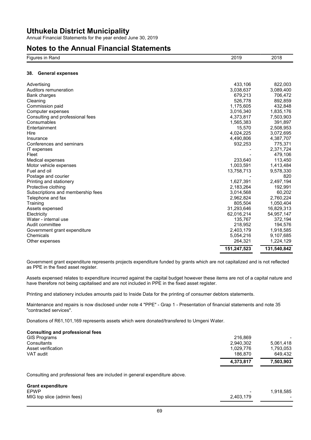Annual Financial Statements for the year ended June 30, 2019

### **Notes to the Annual Financial Statements**

| <u>.</u><br>Fiau'<br>$  -$<br>≺ano<br>. . | 0.04<br>-- | 201<br><b>LUIU</b> |
|-------------------------------------------|------------|--------------------|
|                                           |            |                    |

#### **38. General expenses**

| Advertising                       | 433,106     | 822,003     |
|-----------------------------------|-------------|-------------|
| Auditors remuneration             | 3,038,637   | 3,089,400   |
| Bank charges                      | 679,213     | 706,472     |
| Cleaning                          | 526,778     | 892,859     |
| Commission paid                   | 1,175,605   | 432,848     |
| Computer expenses                 | 3,016,340   | 1,835,176   |
| Consulting and professional fees  | 4,373,817   | 7,503,903   |
| Consumables                       | 1,565,383   | 391,897     |
| Entertainment                     | 15,570      | 2,508,953   |
| Hire                              | 4,024,225   | 3,072,695   |
| Insurance                         | 4,490,806   | 4,387,707   |
| Conferences and seminars          | 932,253     | 775,371     |
| <b>IT</b> expenses                |             | 2,371,724   |
| Fleet                             |             | 479,106     |
| Medical expenses                  | 233,640     | 113,450     |
| Motor vehicle expenses            | 1,003,591   | 1,413,484   |
| Fuel and oil                      | 13,758,713  | 9,578,330   |
| Postage and courier               |             | 820         |
| Printing and stationery           | 1,627,391   | 2,497,194   |
| Protective clothing               | 2,183,264   | 192,991     |
| Subscriptions and membership fees | 3,014,568   | 60.202      |
| Telephone and fax                 | 2,962,824   | 2,760,224   |
| Training                          | 805.504     | 1,050,404   |
| Assets expensed                   | 31,293,646  | 16,829,313  |
| Electricity                       | 62,016,214  | 54,957,147  |
| Water - internal use              | 135,767     | 372,194     |
| Audit committee                   | 218,952     | 194,576     |
| Government grant expenditure      | 2,403,179   | 1,918,585   |
| Chemicals                         | 5,054,216   | 9,107,685   |
| Other expenses                    | 264,321     | 1,224,129   |
|                                   | 151,247,523 | 131,540,842 |

Government grant expenditure represents projects expenditure funded by grants which are not capitalized and is not reflected as PPE in the fixed asset register.

Assets expensed relates to expenditure incurred against the capital budget however these items are not of a capital nature and have therefore not being capitalised and are not included in PPE in the fixed asset register.

Printing and stationery includes amounts paid to Inside Data for the printing of consumer debtors statements.

Maintenance and repairs is now disclosed under note 4 "PPE" - Grap 1 - Presentation of financial statements and note 35 "contracted services".

Donations of R61,101,169 represents assets which were donated/transfered to Umgeni Water.

### **Consulting and professional fees**

|                     | 4,373,817 | 7,503,903 |
|---------------------|-----------|-----------|
| VAT audit           | 186.870   | 649.432   |
| Asset verification  | 1.029.776 | 1,793,053 |
| Consultants         | 2.940.302 | 5.061.418 |
| <b>GIS Programs</b> | 216.869   |           |

Consulting and professional fees are included in general expenditure above.

| <b>Grant expenditure</b>   |                          |                          |
|----------------------------|--------------------------|--------------------------|
| EPWP                       | $\overline{\phantom{0}}$ | 1,918,585                |
| MIG top slice (admin fees) | 2,403,179                | $\overline{\phantom{0}}$ |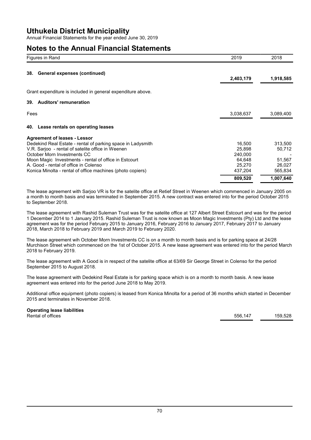Annual Financial Statements for the year ended June 30, 2019

### **Notes to the Annual Financial Statements**

| Figures in Rand                                             | 2019      | 2018      |
|-------------------------------------------------------------|-----------|-----------|
| 38.<br>General expenses (continued)                         | 2,403,179 | 1,918,585 |
| Grant expenditure is included in general expenditure above. |           |           |
| 39. Auditors' remuneration                                  |           |           |
| Fees                                                        | 3,038,637 | 3,089,400 |
| 40. Lease rentals on operating leases                       |           |           |
| <b>Agreement of leases - Lessor</b>                         |           |           |
| Dedekind Real Estate - rental of parking space in Ladysmith | 16,500    | 313,500   |
| V.R. Sarjoo - rental of satelite office in Weenen           | 25,898    | 50,712    |
| October Morn Investments CC                                 | 240,000   |           |
| Moon Magic Investments - rental of office in Estcourt       | 64,648    | 51,567    |
| A. Good - rental of office in Colenso                       | 25,270    | 26,027    |
| Konica Minolta - rental of office machines (photo copiers)  | 437,204   | 565,834   |
|                                                             | 809,520   | 1,007,640 |

The lease agreement with Sarjoo VR is for the satelite office at Retief Street in Weenen which commenced in January 2005 on a month to month basis and was terminated in September 2015. A new contract was entered into for the period October 2015 to September 2018.

The lease agreement with Rashid Suleman Trust was for the satelite office at 127 Albert Street Estcourt and was for the period 1 December 2014 to 1 January 2015. Rashid Suleman Trust is now known as Moon Magic Investments (Pty) Ltd and the lease agreement was for the period February 2015 to January 2016, February 2016 to January 2017, February 2017 to January 2018, March 2018 to February 2019 and March 2019 to February 2020.

The lease agreement wih October Morn Investments CC is on a month to month basis and is for parking space at 24/28 Murchison Street which commenced on the 1st of October 2015. A new lease agreement was entered into for the period March 2018 to February 2019.

The lease agreement with A Good is in respect of the satelite office at 63/69 Sir George Street in Colenso for the period September 2015 to August 2018.

The lease agreement with Dedekind Real Estate is for parking space which is on a month to month basis. A new lease agreement was entered into for the period June 2018 to May 2019.

Additional office equipment (photo copiers) is leased from Konica Minolta for a period of 36 months which started in December 2015 and terminates in November 2018.

### **Operating lease liabilities**

Rental of offices 656,147 159,528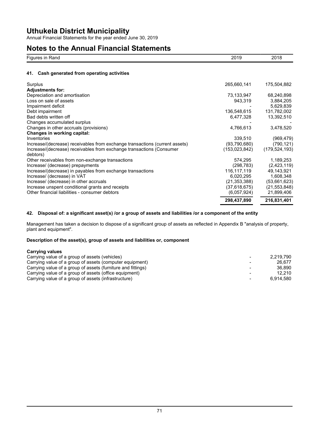Annual Financial Statements for the year ended June 30, 2019

# **Notes to the Annual Financial Statements**

| -----------<br>___<br>___<br>___<br>_______<br>____ |                 |              |
|-----------------------------------------------------|-----------------|--------------|
| Figures<br>ın Rand                                  | ີ _ີ່<br>-- - - | 2018<br>$ -$ |
|                                                     |                 |              |

#### **41. Cash generated from operating activities**

| Surplus                                                                     | 265,660,141     | 175,504,882     |
|-----------------------------------------------------------------------------|-----------------|-----------------|
| <b>Adjustments for:</b>                                                     |                 |                 |
| Depreciation and amortisation                                               | 73,133,947      | 68,240,898      |
| Loss on sale of assets                                                      | 943,319         | 3,884,205       |
| Impairment deficit                                                          |                 | 5,629,839       |
| Debt impairment                                                             | 136,548,615     | 131,782,002     |
| Bad debts written off                                                       | 6,477,328       | 13,392,510      |
| Changes accumulated surplus                                                 |                 |                 |
| Changes in other accruals (provisions)                                      | 4,766,613       | 3,478,520       |
| Changes in working capital:                                                 |                 |                 |
| Inventories                                                                 | 339,510         | (969, 479)      |
| Increase/(decrease) receivables from exchange transactions (current assets) | (93,790,680)    | (790, 121)      |
| Increase/(decrease) receivables from exchange transactions (Consumer        | (153, 023, 842) | (179, 524, 193) |
| debtors)                                                                    |                 |                 |
| Other receivables from non-exchange transactions                            | 574,295         | 1,189,253       |
| Increase/ (decrease) prepayments                                            | (298, 783)      | (2,423,119)     |
| Increase/(decrease) in payables from exchange transactions                  | 116,117,119     | 49,143,921      |
| Increase/ (decrease) in VAT                                                 | 6,020,295       | 1,608,348       |
| Increase/ (decrease) in other accruals                                      | (21, 353, 388)  | (53,661,623)    |
| Increase unspent conditional grants and receipts                            | (37,618,675)    | (21, 553, 848)  |
| Other financial liabilities - consumer debtors                              | (6,057,924)     | 21,899,406      |
|                                                                             | 298,437,890     | 216,831,401     |

#### **42. Disposal of: a significant asset(s) /or a group of assets and liabilities /or a component of the entity**

Management has taken a decision to dispose of a significant group of assets as reflected in Appendix B "analysis of property, plant and equipment".

#### **Description of the asset(s), group of assets and liabilities or, component**

#### **Carrying values**

| Carrying value of a group of assets (vehicles)               | 2.219.790 |
|--------------------------------------------------------------|-----------|
| Carrying value of a group of assets (computer equipment)     | 26.677    |
| Carrying value of a group of assets (furniture and fittings) | 36.890    |
| Carrying value of a group of assets (office equipment)       | 12.210    |
| Carrying value of a group of assets (infrastructure)         | 6.914.580 |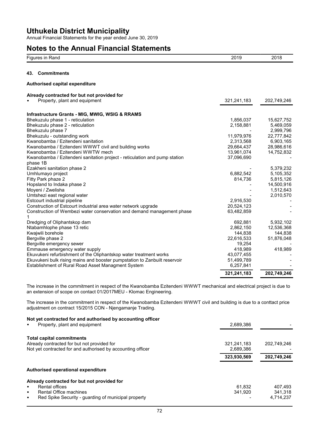Annual Financial Statements for the year ended June 30, 2019

### **Notes to the Annual Financial Statements**

| Figures in Rand                                                            | 2019        | 2018        |
|----------------------------------------------------------------------------|-------------|-------------|
| 43. Commitments                                                            |             |             |
| <b>Authorised capital expenditure</b>                                      |             |             |
| Already contracted for but not provided for                                |             |             |
| Property, plant and equipment                                              | 321,241,183 | 202,749,246 |
| Infrastructure Grants - MIG, MWIG, WSIG & RRAMS                            |             |             |
| Bhekuzulu phase 1 - reticulation                                           | 1,856,037   | 15,627,752  |
| Bhekuzulu phase 2 - reticulation                                           | 2,158,881   | 5,469,059   |
| Bhekuzulu phase 7                                                          |             | 2,999,796   |
| Bhekuzulu - outstanding work                                               | 11,979,976  | 22,777,842  |
| Kwanobamba / Ezitendeni sanitation                                         | 2,313,568   | 6,903,165   |
| Kwanobamba / Ezitendeni WWWT civil and building works                      | 29,664,437  | 28,986,616  |
| Kwanobamba / Ezitendeni WWTW mech                                          | 13,961,074  | 14,752,832  |
| Kwanobamba / Ezitendeni sanitation project - reticulation and pump station | 37,096,690  |             |
| phase 1B                                                                   |             |             |
| Ezakheni sanitation phase 2                                                |             | 5,379,232   |
| Umhlumayo project                                                          | 6,882,542   | 5,105,352   |
| Fitty Park phaze 2                                                         | 814,736     | 5,815,126   |
| Hopsland to Indaka phase 2                                                 |             | 14,500,916  |
| Moyeni / Zwelisha                                                          |             | 1,512,643   |
| Umtshezi east regional water                                               |             | 2,010,570   |
| Estcourt industrial pipeline                                               | 2,916,530   |             |
| Construction of Estcourt industrial area water network upgrade             | 20,524,123  |             |
| Construction of Wembezi water conservation and demand management phase     | 63,482,859  |             |
|                                                                            |             |             |
| Dredging of Oliphantskop dam                                               | 692,881     | 5,932,102   |
| Ntabamhlophe phase 13 retic                                                | 2,862,150   | 12,536,368  |
| Kwajwili borehole                                                          | 144,838     | 144,838     |
| Bergville phase 2                                                          | 22,616,533  | 51,876,048  |
| Bergville emergency sewer                                                  | 19.254      |             |
| Emmause emergency water supply                                             | 418,989     | 418,989     |
| Ekuvukeni refurbishment of the Oliphantskop water treatment works          | 43,077,455  |             |
| Ekuvukeni bulk rising mains and booster pumpstation to Zanbuilt reservoir  | 51,499,789  |             |
| Establishment of Rural Road Asset Managment System                         | 6,257,841   |             |
|                                                                            | 321,241,183 | 202,749,246 |

The increase in the commitment in respect of the Kwanobamba Ezitendeni WWWT mechanical and electrical project is due to an extension of scope on contact 01/2017MEU - Klomac Engineering.

The increase in the commitment in respect of the Kwanobamba Ezitendeni WWWT civil and building is due to a conttact price adjustment on contract 15/2015 CON - Njengamanje Trading.

#### **Not yet contracted for and authorised by accounting officer**

| Property, plant and equipment<br>2.689.386<br>$\bullet$                                                                                |             |
|----------------------------------------------------------------------------------------------------------------------------------------|-------------|
| <b>Total capital commitments</b>                                                                                                       |             |
| Already contracted for but not provided for<br>321.241.183<br>Not yet contracted for and authorised by accounting officer<br>2.689.386 | 202.749.246 |
| 323.930.569                                                                                                                            | 202,749,246 |
| Authorised operational expenditure                                                                                                     |             |
| Already contracted for but not provided for                                                                                            |             |
| Rental offices<br>61.832<br>٠                                                                                                          | 407.493     |
| 341.920<br>Rental Office machines<br>٠                                                                                                 | 341,318     |
| Red Spike Security - guarding of municipal property<br>$\bullet$                                                                       | 4,714,237   |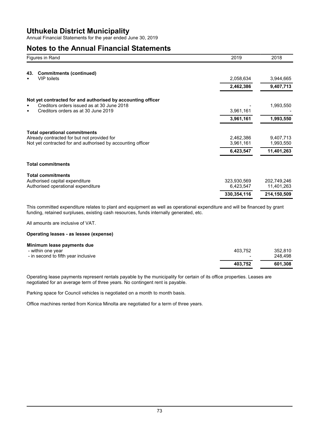Annual Financial Statements for the year ended June 30, 2019

### **Notes to the Annual Financial Statements**

| Figures in Rand                                             | 2019          | 2018        |
|-------------------------------------------------------------|---------------|-------------|
| <b>Commitments (continued)</b><br>43.                       |               |             |
| <b>VIP</b> toilets<br>٠                                     | 2,058,634     | 3,944,665   |
|                                                             | 2,462,386     | 9,407,713   |
| Not yet contracted for and authorised by accounting officer |               |             |
| Creditors orders issued as at 30 June 2018                  |               | 1,993,550   |
| Creditors orders as at 30 June 2019<br>٠                    | 3,961,161     |             |
|                                                             | 3,961,161     | 1,993,550   |
| <b>Total operational commitments</b>                        |               |             |
| Already contracted for but not provided for                 | 2,462,386     | 9,407,713   |
| Not yet contracted for and authorised by accounting officer | 3,961,161     | 1,993,550   |
|                                                             | 6,423,547     | 11,401,263  |
| <b>Total commitments</b>                                    |               |             |
| <b>Total commitments</b>                                    |               |             |
| Authorised capital expenditure                              | 323,930,569   | 202,749,246 |
| Authorised operational expenditure                          | 6,423,547     | 11,401,263  |
|                                                             | 330, 354, 116 | 214,150,509 |
|                                                             |               |             |

This committed expenditure relates to plant and equipment as well as operational expenditure and will be financed by grant funding, retained surpluses, existing cash resources, funds internally generated, etc.

All amounts are inclusive of VAT.

### **Operating leases - as lessee (expense)**

### **Minimum lease payments due**

| <b>MINIMUMINI REASE PAYMENTS QUE</b><br>- within one year<br>- in second to fifth year inclusive | 403.752<br>$\blacksquare$ | 352.810<br>248.498 |
|--------------------------------------------------------------------------------------------------|---------------------------|--------------------|
|                                                                                                  | 403.752                   | 601.308            |

Operating lease payments represent rentals payable by the municipality for certain of its office properties. Leases are negotiated for an average term of three years. No contingent rent is payable.

Parking space for Council vehicles is negotiated on a month to month basis.

Office machines rented from Konica Minolta are negotiated for a term of three years.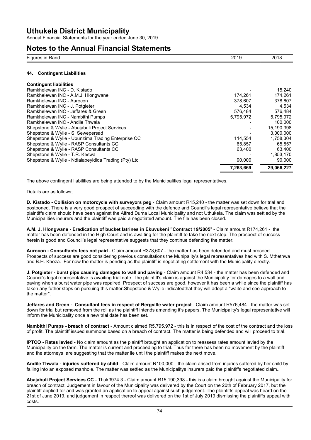Annual Financial Statements for the year ended June 30, 2019

### **Notes to the Annual Financial Statements**

| $- \cdot$<br>⊀anc<br>F(0)<br>$\sim$<br>ш<br>------<br>. . | ьc<br>- - | 201<br>∠∪ |
|-----------------------------------------------------------|-----------|-----------|
|                                                           |           |           |

#### **44. Contingent Liabilities**

# **Contingent liabilities** Ramkhelewan INC - D. Kistado - 15,240 - 15,240 - 15,240 - 15,240 - 15,240 - 15,240 - 15,240 - 15,240 - 15,240 - 15,240 - 15,240 - 15,240 - 15,240 - 15,240 - 15,240 - 15,240 - 15,240 - 15,240 - 15,240 - 15,240 - 15,240 - 15

|                                                      | 7,263,669 | 29,066,227 |
|------------------------------------------------------|-----------|------------|
| Shepstone & Wylie - Ndlalabeyidida Trading (Pty) Ltd | 90.000    | 90.000     |
| Shepstone & Wylie - T.R. Keswa                       |           | 1,853,170  |
| Shepstone & Wylie - RASP Consultants CC              | 63.400    | 63.400     |
| Shepstone & Wylie - RASP Consultants CC              | 65.857    | 65.857     |
| Shepstone & Wylie - Ubunzima Trading Enterprise CC   | 114.554   | 1,758,304  |
| Shepstone & Wylie - S. Sewepersad                    |           | 3.000.000  |
| Shepstone & Wylie - Abajabuli Project Services       |           | 15,190,398 |
| Ramkhelewan INC - Andile Thwala                      |           | 100.000    |
| Ramkhelewan INC - Nambithi Pumps                     | 5,795,972 | 5,795,972  |
| Ramkhelewan INC - Jeffares & Green                   | 576.484   | 576.484    |
| Ramkhelewan INC - J. Potgieter                       | 4.534     | 4.534      |
| Ramkhelewan INC - Aurocon                            | 378.607   | 378,607    |
| Ramkhelewan INC - A.M.J. Hlongwane                   | 174,261   | 174,261    |

The above contingent liabilities are being attended to by the Municipalities legal representatives.

Details are as follows;

**D. Kistado - Collision on motorcycle with surveyors peg** - Claim amount R15,240 - the matter was set down for trial and postponed. There is a very good prospect of succeeding with the defence and Council's legal representative believe that the plaintiffs claim should have been against the Alfred Duma Local Municipality and not Uthukela. The claim was settled by the Municipalities insurers and the plaintiff was paid a negotiated amount. The file has been closed.

**A.M. J. Hlongwane - Eradication of bucket latrines in Ekuvukeni "Contract 19/2005**" - Claim amount R174,261 - the matter has been defended in the High Court and is awaiting for the plaintiff to take the next step. The prospect of success herein is good and Council's legal representative suggests that they continue defending the matter.

**Aurocon - Consultants fees not paid** - Claim amount R378,607 - the matter has been defended and must proceed. Prospects of success are good considering previous consultations the Munipality's legal representatives had with S. Mthethwa and B.H. Khoza. For now the matter is pending as the plaintiff is negotiating settlement with the Municipality directly.

**J. Potgieter - burst pipe causing damages to wall and paving** - Claim amount R4,534 - the matter has been defended and Council's legal representative is awaiting trial date. The plaintiff's claim is against the Municipality for damages to a wall and paving when a burst water pipe was repaired. Prospect of success are good, however it has been a while since the plaintiff has taken any futher steps on pursuing this matter.Shepstone & Wylie indicatedthat they will adopt a "waite and see approach to the matter".

**Jeffares and Green - Consultant fees in respect of Bergville water project** - Claim amount R576,484 - the matter was set down for trial but removed from the roll as the plaintiff intends amending it's papers. The Municipality's legal representative will inform the Municipality once a new trial date has been set.

**Nambithi Pumps - breach of contract** - Amount claimed R5,795,972 - this is in respect of the cost of the contract and the loss of profit. The plaintiff issued summons based on a breach of contract. The matter is being defended and will proceed to trial.

**IPTCO - Rates levied** - No claim amount as the plaintiff brought an application to reassess rates amount levied by the Municipality on the farm. The matter is current and proceeding to trial. Thus far there has been no movement by the plaintiff and the attorneys are suggesting that the matter lie until the plaintiff makes the next move.

**Andile Thwala - injuries suffered by child** - Claim amount R100,000 - the claim arised from injuries suffered by her child by falling into an exposed manhole. The matter was settled as the Municipalitys insurers paid the plaintiffs negotiated claim..

**Abajabuli Project Services CC** - Thuk3974.3 - Claim amount R15,190,398 - this is a claim brought against the Municipality for breach of contract. Judgement in favour of the Municipality was delivered by the Court on the 20th of February 2017, but the plaintiff applied for and was granted an application to appeal against such judgement. The plaintiffs appeal was heard on the 21st of June 2019, and judgement in respect thereof was delivered on the 1st of July 2019 dismissing the plaintiffs appeal with costs.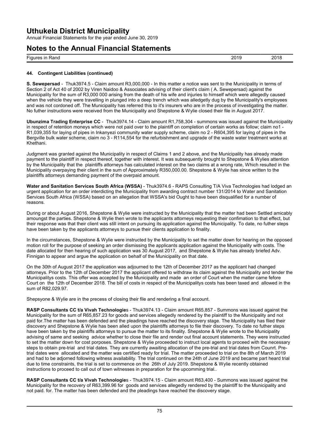Annual Financial Statements for the year ended June 30, 2019

### **Notes to the Annual Financial Statements**

Figures in Rand 2018

### **44. Contingent Liabilities (continued)**

**S. Sewepersad** - Thuk3974.5 - Claim amount R3,000,000 - In this matter a notice was sent to the Municipality in terms of Section 2 of Act 40 of 2002 by Viren Naidoo & Associates advising of their client's claim ( A. Sewepersad) against the Municipality for the sum of R3,000 000 arising from the death of his wife and injuries to himself which were allegedly caused when the vehicle they were travelling in plunged into a deep trench which was alledgetly dug by the Municipality's employees and was not cordoned off. The Municipality has referred this to it's insurers who are in the process of investigating the matter. No futher instructions were received from the Municipality and Shepstone & Wylie closed their file in August 2017.

**Ubunzima Trading Enterprise CC** - Thuk3974.14 - Claim amount R1,758,304 - summons was issued against the Municipality in respect of retention moneys which were not paid over to the plaintiff on completion of certain works as follow; claim no1 - R1,039,355 for laying of pipes in Inkanyezi community water supply scheme, claim no 2 - R604,395 for laying of pipes in the Bergville bulk water scheme, claim no 3 - R114,554 for the refurbishment and upgrade of the waste water treatment works at Khethani.

Judgment was granted against the Municipality in respect of Claims 1 and 2 above, and the Municipality has already made payment to the plaintiff in respect thereof, together with interest. It was subsequently brought to Shepstone & Wylies attention by the Municipality that the plaintiffs attorneys has calculated interest on the two claims at a wrong rate, Which resulted in the Municipality overpaying their client in the sum of Approximately R350,000.00. Shepstone & Wylie has since written to the plaintiffs attorneys demanding payment of the overpaid amount.

**Water and Sanitation Services South Africa (WSSA)** - Thuk3974.6 - RAPS Consulting T/A Viva Technologies had lodged an urgent application for an order interdicting the Municipality from awarding contract number 131/2014 to Water and Sanitation Services South Africa (WSSA) based on an allegation that WSSA's bid Ought to have been disqualified for a number of reasons.

During or about August 2016, Shepstone & Wylie were instructed by the Municipality that the matter had been Settled amicably amoungst the parties. Shepstone & Wylie then wrote to the applicants attorneys requesting their confimation to that effect, but their response was that their client was still intent on pursuing its application against the Municipality. To date, no futher steps have been taken by the applicants attorneys to pursue their clients application to finality.

In the circumstances, Shepstone & Wylie were instructed by the Municipality to set the matter down for hearing on the opposed motion roll for the purpose of seeking an order dismissing the applicants application against the Municipality with costs. The date allocated for then hearing of such application was 30 August 2017, and Shepstone & Wylie has already briefed Adv. Finnigan to appear and argue the application on behalf of the Municipality on that date.

On the 30th of August 2017 the application was adjourned to the 12th of December 2017 as the applicant had changed attorneys. Prior to the 12th of December 2017 the applicant offered to withdraw its claim against the Municipality and tender the Municipalitys costs. This offer was accepted by the Municipality and made an order of Court when the matter came fefore Court on the 12th of December 2018. The bill of costs in respect of the Municipalitys costs has been taxed and allowed in the sum of R82,029.97.

Shepsyone & Wylie are in the precess of closing their file and rendering a final account.

**RASP Consultants CC t/a Vivah Technologie**s - Thuk3974.13 - Claim amount R65,857 - Summons was issued against the Municipality for the sum of R65,857.23 for goods and services allegedly rendered by the plaintiff to the Municipality and not paid for.The matter has been defended and the pleadings have reached the discovery stage. The Municipality has filed their discovery and Shepstone & Wylie has been alled upon the plaintiffs attorneys to file their discovery. To date no futher steps have been taken by the plaintiffs attorneys to pursue the matter to its finality. Shepstone & Wylie wrote to the Municipality advising of same and seeking advice whether to close their file and render out final account statements. They were instructed to set the matter down for cost porposes. Shepstone & Wylie proceeded to instruct local agents to proceed with the necessary steps to obtain pre-trial and trial dates. They are currently awaiting allocation of the pre-trial and trial dates from Counrt. Pretrial dates were allocated and the matter was certified ready for trial. The matter proceeded to trial on the 8th of March 2019 and had to be adjorned following witness availability. The trial continued on the 24th of June 2019 and became part heard trial due to time constraints, the trial is set to commence on the 26th of July 2019. Shepstone & Wylie recently obtained instructions to proceed to call out of town witnesses in preparation for the upcomming trial..

**RASP Consultants CC t/a Vivah Technologie**s - Thuk3974.15 - Claim amount R63,400 - Summons was issued against the Municipality for the recovery of R63,399.96 for goods and services allegedly rendered by the plaintiff to the Municipality and not paid. for. The matter has been defended and the pleadings have reached the discovery stage.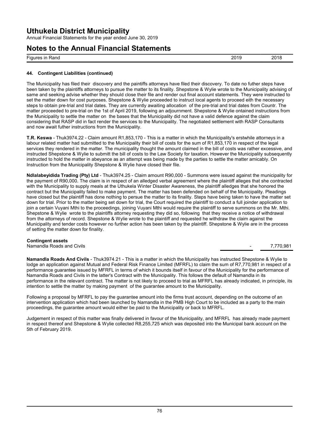Annual Financial Statements for the year ended June 30, 2019

### **Notes to the Annual Financial Statements**

Figures in Rand 2019 2018

### **44. Contingent Liabilities (continued)**

The Municipality has filed their discovery and the paintiffs attorneys have filed their discovery. To date no futher steps have been taken by the plaintiffs attorneys to pursue the matter to its finality. Shepstone & Wylie wrote to the Municipality advising of same and seeking advise whether they should close their file and render out final account statements. They were instructed to set the matter down for cost purposes. Shepstone & Wylie proceeded to instruct local agents to proceed eith the necessary steps to obtain pre-trial and trial dates. They are currently awaiting allocation of the pre-trial and trial dates from Countr. The matter proceeded to pre-trial on the 1st of April 2019, following an adjournment. Shepstone & Wylie ontained instructions from the Municipality to settle the matter on the bases that the Municipality did not have a valid defence against the claim considering that RASP did in fact render the services to the Municipality. The negotiated settlement with RASP Consultants and now await futher instructions from the Municipality.

**T.R. Keswa** - Thuk3974.22 - Claim amount R1,853,170 - This is a matter in which the Municipality's erstwhile attorneys in a labour related matter had submitted to the Municipality their bill of costs for the sum of R1,853,170 in respect of the legal services they rendered in the matter. The municipality thought the amount claimed in the bill of costs was rather excessive, and instructed Shepstone & Wylie to submitt the bill of costs to the Law Society for taxation. However the Municipality subsequently instructed to hold the matter in abeyance as an attempt was being made by the parties to settle the matter amicably. On Instruction from the Municipality Shepstone & Wylie have closed their file.

**Ndlalabeyidida Trading (Pty) Ltd** - Thuk3974.25 - Claim amount R90,000 - Summons were issued against the municipality for the payment of R90,000. The claim is in respect of an alledged verbal agreement where the plaintiff alleges that she contracted with the Municipality to supply meals at the Uthukela Winter Disaster Awareness, the plaintiff alledges that she honored the contract but the Municipality failed to make payment. The matter has been defended on behalf of the Municipality. Pleadings have closed but the plaintiff has done nothing to persue the matter to its finality. Steps have being taken to have the matter set down for trial. Prior to the matter being set down for trial, the Court required the plaintiff to conduct a full joinder application to join a certain Vuyani Mthi to the proceedings, joining Vuyani Mthi would require the plaintiff to serve summons on the Mr. Mthi. Shepstone & Wylie wrote to the plaintiffs attorney requesting they did so, following that they receive a notice of withdrawal from the attorneys of record. Shepstone & Wylie wrote to the plaintiff and requested he withdraw the claim against the Municipality and tender costs however no further action has been taken by the plaintiff. Shepstone & Wylie are in the process of setting the matter down for finality.

### **Contingent assets**

Namandla Roads and Civils - 7,770,981

**Namandla Roads And Civils** - Thuk3974.21 - This is a matter in which the Municipality has instructed Shepstone & Wylie to lodge an application against Mutual and Federal Risk Finance Limited (MFRFL) to claim the sum of R7,770,981 in respect of a performance guarantee issued by MFRFL in terms of which it bounds itself in favour of the Municipality for the performance of Namandla Roads and Civils in the latter's Contract with the Municipality. This follows the default of Namandla in its performance in the relevant contract. The matter is not likely to proceed to trial as MFRFL has already indicated, in principle, its intention to settle the matter by making payment of the guarantee amount to the Municipality.

Following a proposal by MFRFL to pay the guarantee amount into the firms trust account, depending on the outcome of an intervention application which had been launched by Namandla in the PMB High Court to be included as a party to the main proceedings, the guarantee amount would either be paid to the Municipality or back to MFRFL.

Judgement in respect of this matter was finally delivered in favour of the Municipality, and MFRFL has already made payment in respect thereof and Shepstone & Wylie collected R8,255,725 which was deposited into the Municipal bank account on the 5th of February 2019.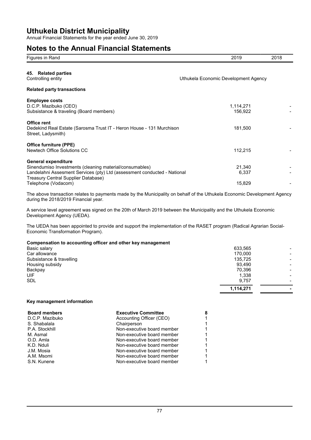Annual Financial Statements for the year ended June 30, 2019

### **Notes to the Annual Financial Statements**

| Figures in Rand                                                                                                                        | 2019                                 | 2018 |
|----------------------------------------------------------------------------------------------------------------------------------------|--------------------------------------|------|
| 45. Related parties<br>Controlling entity<br><b>Related party transactions</b>                                                         | Uthukela Economic Development Agency |      |
| <b>Employee costs</b><br>D.C.P. Mazibuko (CEO)                                                                                         | 1,114,271                            |      |
| Subsistance & traveling (Board members)<br>Office rent<br>Dedekind Real Estate (Sarosma Trust IT - Heron House - 131 Murchison         | 156,922<br>181,500                   |      |
| Street, Ladysmith)<br><b>Office furniture (PPE)</b><br>Newtech Office Solutions CC                                                     | 112,215                              |      |
| <b>General expenditure</b><br>Sinendumiso Investments (cleaning material/consumables)                                                  | 21,340                               |      |
| Landelahni Assesment Services (pty) Ltd (assessment conducted - National<br>Treasury Central Supplier Database)<br>Telephone (Vodacom) | 6,337<br>15,829                      |      |

The above transaction relates to payments made by the Municipality on behalf of the Uthukela Economic Development Agency during the 2018/2019 Financial year.

A service level agreement was signed on the 20th of March 2019 between the Municipality and the Uthukela Economic Development Agency (UEDA).

The UEDA has been appointed to provide and support the implementation of the RASET program (Radical Agrarian Social-Economic Transformation Program).

### **Compensation to accounting officer and other key management**

| 1,114,271 |                          |
|-----------|--------------------------|
| 9,757     | $\overline{\phantom{a}}$ |
| 1,338     |                          |
| 70,396    | $\overline{\phantom{a}}$ |
| 93,490    |                          |
| 135,725   |                          |
| 170,000   |                          |
| 633,565   |                          |
|           |                          |

#### **Key management information**

| <b>Executive Committee</b> | 8                        |
|----------------------------|--------------------------|
|                            |                          |
| Chairperson                |                          |
| Non-executive board member |                          |
| Non-executive board member |                          |
| Non-executive board member |                          |
| Non-executive board member |                          |
| Non-executive board member |                          |
| Non-executive board member |                          |
| Non-executive board member |                          |
|                            | Accounting Officer (CEO) |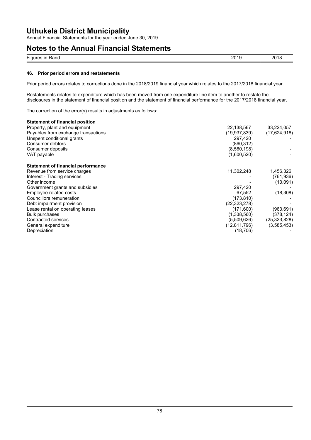Annual Financial Statements for the year ended June 30, 2019

### **Notes to the Annual Financial Statements**

| $- \cdot$<br>.<br><b>110</b><br>rial"<br>Ranu<br>ш<br>----------- | $\sim$ $\sim$<br>. .<br><u>_</u> | ``<br>∼ |
|-------------------------------------------------------------------|----------------------------------|---------|
|                                                                   |                                  |         |

#### **46. Prior period errors and restatements**

Prior period errors relates to corrections done in the 2018/2019 financial year which relates to the 2017/2018 financial year.

Restatements relates to expenditure which has been moved from one expenditure line item to another to restate the disclosures in the statement of financial position and the statement of financial performance for the 2017/2018 financial year.

The correction of the error(s) results in adjustments as follows:

| <b>Statement of financial position</b>    |                |                |
|-------------------------------------------|----------------|----------------|
| Property, plant and equipment             | 22,138,567     | 33,224,057     |
| Payables from exchange transactions       | (19, 937, 839) | (17,624,918)   |
| Unspent conditional grants                | 297,420        |                |
| Consumer debtors                          | (860,312)      |                |
| Consumer deposits                         | (8,560,198)    |                |
| VAT payable                               | (1,600,520)    |                |
| <b>Statement of financial performance</b> |                |                |
| Revenue from service charges              | 11,302,248     | 1,456,326      |
| Interest - Trading services               |                | (761, 936)     |
| Other income                              |                | (13,091)       |
| Government grants and subsidies           | 297.420        |                |
| Employee related costs                    | 67.552         | (18, 308)      |
| Councillors remuneration                  | (173,810)      |                |
| Debt impairment provision                 | (22, 323, 278) |                |
| Lease rental on operating leases          | (171,600)      | (963, 691)     |
| <b>Bulk purchases</b>                     | (1,338,560)    | (378, 124)     |
| Contracted services                       | (5,509,626)    | (25, 323, 828) |
| General expenditure                       | (12, 811, 796) | (3,585,453)    |
| Depreciation                              | (18, 706)      |                |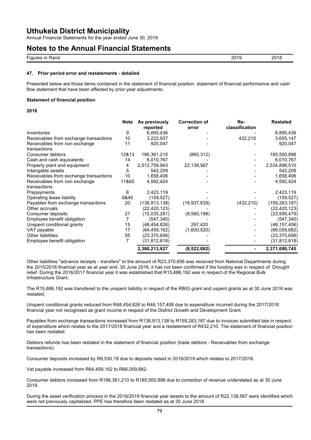Annual Financial Statements for the year ended June 30, 2019

### **Notes to the Annual Financial Statements**

| $- \cdot$<br>$\overline{1}$<br>.<br>Fiat<br>≺anc<br>- 11 1 | ~<br>້<br>. . |  |
|------------------------------------------------------------|---------------|--|
|                                                            |               |  |

#### **47. Prior period error and restatements - detailed**

Presented below are those items contained in the statement of financial position, statement of financial performance and cash flow statement that have been affected by prior-year adjustments:

#### **Statement of financial position**

#### **2018**

|                                               | <b>Note</b> | As previously<br>reported | <b>Correction of</b><br>error | Re-<br>classification | <b>Restated</b> |
|-----------------------------------------------|-------------|---------------------------|-------------------------------|-----------------------|-----------------|
| Inventories                                   | 9           | 6,895,436                 |                               |                       | 6,895,436       |
| Receivables from exchange transactions        | 10          | 3,222,937                 |                               | 432,210               | 3,655,147       |
| Receivables from non exchange<br>transactions | 11          | 920,047                   |                               |                       | 920,047         |
| Consumer debtors                              | 12&13       | 186,361,210               | (860, 312)                    |                       | 185,500,898     |
| Cash and cash equivalents                     | 14          | 6,010,767                 |                               |                       | 6,010,767       |
| Property plant and equipment                  | 4           | 2,512,759,943             | 22,138,567                    |                       | 2,534,898,510   |
| Intangable assets                             | 5           | 542,209                   |                               |                       | 542,209         |
| Receivables from exchange transactions        | 10          | 1,658,406                 |                               |                       | 1,658,406       |
| Receivables from non exchange<br>transactions | 11&60       | 4,592,424                 |                               |                       | 4,592,424       |
| Prepayments                                   | 8           | 2,423,119                 |                               |                       | 2,423,119       |
| Operating lease liability                     | 6&40        | (159, 527)                |                               |                       | (159, 527)      |
| Payables from exchange transactions           | 20          | (138, 913, 138)           | (19, 937, 839)                | (432, 210)            | (159, 283, 187) |
| Other accruals                                |             | (22,420,123)              |                               |                       | (22, 420, 123)  |
| Consumer deposits                             | 21          | (15,035,281)              | (8,560,198)                   |                       | (23, 595, 479)  |
| Employee benefit obligation                   |             | (547, 340)                |                               |                       | (547, 340)      |
| Unspent conditional grants                    | 15          | (48,454,826)              | 297,420                       |                       | (48, 157, 406)  |
| VAT payable                                   | 17          | (64,459,162)              | (1,600,520)                   |                       | (66,059,682)    |
| Other liabilities                             | 55          | (23,370,656)              |                               |                       | (23,370,656)    |
| Employee benefit obligation                   |             | (31,812,818)              |                               |                       | (31, 812, 818)  |
|                                               |             | 2,380,213,627             | (8,522,882)                   |                       | 2,371,690,745   |

Other liabilities "advance receipts - transfers" to the amount of R23,370,656 was received from National Departments during the 2015/2016 financial year as at year end, 30 June 2016, it has not been confirmed if the funding was in respect of Drought relief. During the 2016/2017 financial year it was established that R15,686,192 was in respect of the Regional Bulk Infrastructure Grant.

The R15,686,192 was transfered to the unspent liability in respect of the RBIG grant and uspent grants as at 30 June 2016 was restated,

Unspent conditional grants reduced from R48,454,826 to R48,157,406 due to expenditure incurred during the 2017/2018 financial year not recognised as grant income in respect of the District Growth and Development Grant.

Payables from exchange transactions increased from R138,913,138 to R159,283,187 due to invoices submitted late in respect of expenditure which relates to the 2017/2018 financial year and a restatement of R432,210. The statement of financial position has been restated.

Debtors refunds has been restated in the statement of financial position (trade debtors - Receivables from exchange transactions).

Consumer deposits increased by R8,530,19 due to deposits raised in 2018/2019 which relates to 2017/2018.

Vat payable increased from R64,459,162 to R66,059,682.

Consumer debtors increased from R186,361,210 to R185,500,898 due to correction of revenue understated as at 30 June 2018.

During the asset verification process in the 2018/2019 financial year assets to the amount of R22,138,567 were identified which were not previously capitalized. PPE has therefore been restated as at 30 June 2018.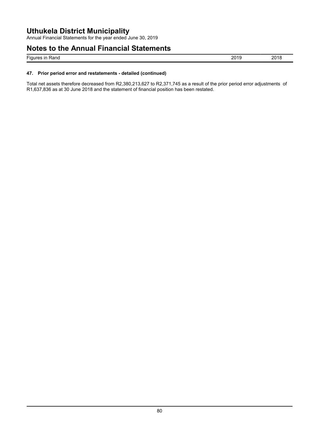Annual Financial Statements for the year ended June 30, 2019

# **Notes to the Annual Financial Statements**

Figures in Rand 2018

### **47. Prior period error and restatements - detailed (continued)**

Total net assets therefore decreased from R2,380,213,627 to R2,371,745 as a result of the prior period error adjustments of R1,637,836 as at 30 June 2018 and the statement of financial position has been restated.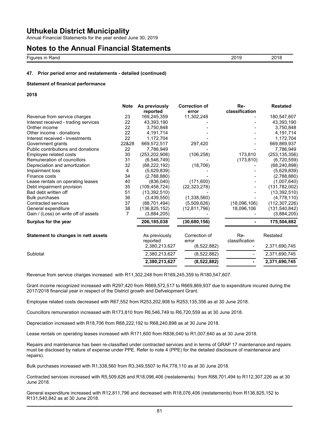Annual Financial Statements for the year ended June 30, 2019

### **Notes to the Annual Financial Statements**

Figures in Rand 2019 2018

### **47. Prior period error and restatements - detailed (continued)**

### **Statement of finanical performance**

**2018**

|                                      | <b>Note</b> | As previously<br>reported | <b>Correction of</b><br>error | Re-<br>classification | <b>Restated</b> |
|--------------------------------------|-------------|---------------------------|-------------------------------|-----------------------|-----------------|
| Revenue from service charges         | 23          | 169,245,359               | 11,302,248                    |                       | 180,547,607     |
| Interest received - trading services | 22          | 43,393,190                |                               |                       | 43,393,190      |
| Onther income                        | 22          | 3,750,848                 |                               |                       | 3,750,848       |
| Other income - donations             | 22          | 4,191,714                 |                               |                       | 4,191,714       |
| Interest received - investments      | 22          | 1,172,704                 |                               |                       | 1,172,704       |
| Government grants                    | 22&28       | 669,572,517               | 297,420                       |                       | 669,869,937     |
| Public contributions and donations   | 22          | 7,786,949                 |                               |                       | 7,786,949       |
| Employee related costs               | 30          | (253, 202, 908)           | (106, 258)                    | 173,810               | (253, 135, 356) |
| Remuneration of councillors          | 31          | (6, 546, 749)             |                               | (173, 810)            | (6,720,559)     |
| Depreciation and amortization        | 32          | (68, 222, 192)            | (18, 706)                     |                       | (68, 240, 898)  |
| Impairment loss                      | 4           | (5,629,839)               |                               |                       | (5,629,839)     |
| Finance costs                        | 34          | (2,788,880)               |                               |                       | (2,788,880)     |
| Lease rentals on operating leases    | 40          | (836,040)                 | (171,600)                     |                       | (1,007,640)     |
| Debt impairment provision            | 35          | (109, 458, 724)           | (22, 323, 278)                |                       | (131, 782, 002) |
| Bad debt written off                 | 51          | (13, 392, 510)            |                               |                       | (13, 392, 510)  |
| <b>Bulk purchases</b>                | 36          | (3,439,550)               | (1,338,560)                   |                       | (4,778,110)     |
| Contracted services                  | 37          | (88, 701, 494)            | (5,509,626)                   | (18,096,106)          | (112, 307, 226) |
| General expenditure                  | 38          | (136, 825, 152)           | (12, 811, 796)                | 18,096,106            | (131, 540, 842) |
| Gain / (Loss) on write off of assets | 7           | (3,884,205)               |                               |                       | (3,884,205)     |
| Surplus for the year                 |             | 206, 185, 038             | (30, 680, 156)                |                       | 175,504,882     |
| Statement to changes in nett assets  |             | As previously<br>reported | Correction of<br>error        | Re-<br>classification | Restated        |
|                                      |             | 2,380,213,627             | (8,522,882)                   |                       | 2,371,690,745   |
| Subtotal                             |             | 2,380,213,627             | (8,522,882)                   |                       | 2,371,690,745   |
|                                      |             | 2,380,213,627             | (8,522,882)                   |                       | 2,371,690,745   |

Revenue from service charges increased with R11,302,248 from R169,245,359 to R180,547,607.

Grant income recognized increased with R297,420 from R669,572,517 to R669,869,937 due to expenditure incured during the 2017/2018 financial year in respect of the District growth and Defvelopment Grant.

Employee related costs decreased with R67,552 from R253,202,908 to R253,135,356 as at 30 June 2018.

Councillors remuneration increased with R173,810 from R6,546,749 to R6,720,559 as at 30 June 2018.

Depreciation increased with R18,706 from R68,222,192 to R68,240,898 as at 30 June 2018.

Lease rentals on operating leases increased with R171,600 from R836,040 to R1,007,640 as at 30 June 2018.

Repairs and maintenance has been re-classified under contracted services and in terms of GRAP 17 maintenance and repairs must be disclosed by nature of expense under PPE. Refer to note 4 (PPE) for the detailed disclosure of maintenance and repairs).

Bulk purchases increased with R1,338,560 from R3,349,5507 to R4,778,110 as at 30 June 2018.

Contracted services increased with R5,509,626 and R18,096,406 (restatements) from R88,701,494 to R112,307,226 as at 30 June 2018.

General expenditure increased with R12,811,796 and decreased with R18,076,406 (restatements) from R136,825,152 to R131,540,842 as at 30 June 2018.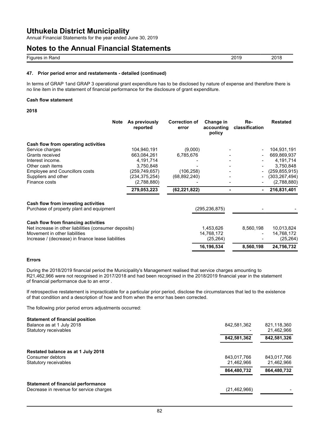Annual Financial Statements for the year ended June 30, 2019

### **Notes to the Annual Financial Statements**

| $- \cdot$<br>$- - -$<br>≺and<br>⊦ιαι | n n<br>. .<br>∼<br>. . | $\cdot$ . |
|--------------------------------------|------------------------|-----------|
|                                      |                        |           |

#### **47. Prior period error and restatements - detailed (continued)**

In terms of GRAP 1and GRAP 3 operational grant expenditure has to be disclosed by nature of expense and therefore there is no line item in the statement of financial performance for the disclosure of grant expenditure.

### **Cash flow statement**

**2018**

|                                                       | <b>Note</b> | As previously<br>reported | <b>Correction of</b><br>error | Change in<br>accounting<br>policy | Re-<br>classification | <b>Restated</b> |
|-------------------------------------------------------|-------------|---------------------------|-------------------------------|-----------------------------------|-----------------------|-----------------|
| Cash flow from operating activities                   |             |                           |                               |                                   |                       |                 |
| Service charges                                       |             | 104,940,191               | (9,000)                       |                                   |                       | 104,931,191     |
| Grants received                                       |             | 663,084,261               | 6,785,676                     |                                   |                       | 669,869,937     |
| Interest income.                                      |             | 4,191,714                 |                               |                                   |                       | 4,191,714       |
| Other cash items                                      |             | 3,750,848                 |                               |                                   |                       | 3,750,848       |
| <b>Employee and Councillors costs</b>                 |             | (259,749,657)             | (106, 258)                    |                                   |                       | (259, 855, 915) |
| Suppliers and other                                   |             | (234,375,254)             | (68,892,240)                  |                                   |                       | (303, 267, 494) |
| Finance costs                                         |             | (2,788,880)               |                               |                                   |                       | (2,788,880)     |
|                                                       |             | 279,053,223               | (62,221,822)                  |                                   | ۰                     | 216,831,401     |
| Cash flow from investing activities                   |             |                           |                               |                                   |                       |                 |
| Purchase of property plant and equipment              |             |                           |                               | (295,236,875)                     |                       |                 |
| Cash flow from financing activities                   |             |                           |                               |                                   |                       |                 |
| Net increase in other liabilities (consumer deposits) |             |                           |                               | 1,453,626                         | 8,560,198             | 10,013,824      |
| Movement in other liabilities                         |             |                           |                               | 14,768,172                        |                       | 14,768,172      |
| Increase / (decrease) in finance lease liabilities    |             |                           |                               | (25, 264)                         |                       | (25, 264)       |

#### **Errors**

During the 2018/2019 financial period the Municipality's Management realised that service charges amounting to R21,462,966 were not recognised in 2017/2018 and had been recognised in the 2018/2019 financial year in the statement of financial performance due to an error .

**16,196,534 8,560,198 24,756,732**

If retrospective restatement is impracticable for a particular prior period, disclose the circumstances that led to the existence of that condition and a description of how and from when the error has been corrected.

The following prior period errors adjustments occurred:

| 821,118,360<br>21,462,966 |
|---------------------------|
|                           |
|                           |
| 842,581,326               |
|                           |
| 843.017.766               |
| 21.462.966                |
| 864,480,732               |
|                           |
|                           |
|                           |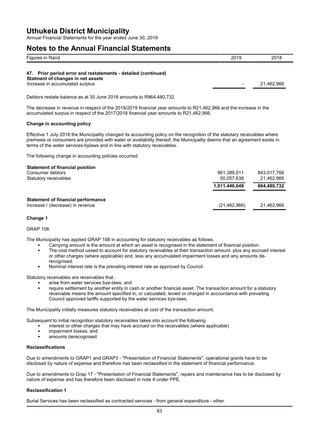Annual Financial Statements for the year ended June 30, 2019

### **Notes to the Annual Financial Statements**

| Figures in Rand                                                                                                                        | 2019           | 2018       |
|----------------------------------------------------------------------------------------------------------------------------------------|----------------|------------|
| 47. Prior period error and restatements - detailed (continued)<br>Statment of changes in net assets<br>Increase in accumulated surplus | $\blacksquare$ | 21,462,966 |

Debtors restate balance as at 30 June 2018 amounts to R864,480,732.

The decrease in revenue in respect of the 2018/2019 financial year amounts to R21,462,966 and the increase in the accumulated surpus in respect of the 2017/2018 financial year amounts to R21,462,966.

#### **Change in accounting policy**

Effective 1 July 2018 the Municipality changed its accounting policy on the recognition of the statutary receivables where premesis or consumers are provided with water or availability thereof, the Municipality deems that an agreement exists in terms of the water services bylaws and in line with statutory receivables.

The following change in accounting policies occurred:

| 961.389.011    | 843,017,766 |
|----------------|-------------|
| 50.057.638     | 21.462.966  |
| 1,011,446,649  | 864.480.732 |
|                |             |
| (21, 462, 966) | 21.462.966  |
|                |             |

#### **Change 1**

#### GRAP 108.

The Municipality has applied GRAP 108 in accounting for statutory receivables as follows.

- Carryimg amount is the amount at which an asset is recognised in the statement of financial position.
- The cost method ussed to account for statutory receivables at their transaction amount, plus any accrued interest or other charges (where applicable) and, less any accumulated impairment losses and any amounts derecognised.
- Nominal interest rate is the prevaling interest rate as approved by Council.

Statutory receivables are receivables that..

- arise from water services bye-laws; and
- require settlement by another entity in cash or another financial asset. The transaction amount for a statutory receivable means the amount specified in, or calculated, levied or charged in accourdance with prevailing Council approved tariffs supported by the water services bye-laws.

The Municipality initially measures statutory receivables at cost of the transaction amount.

Subsequent to initial recognition statutory receivables takes into account the following.

- interest or other charges that may have accrued on the receivables (where applicable)
- impairment losses; and
- amounts derecognised

### **Reclassifications**

Due to amendments to GRAP1 and GRAP3 - "Presentation of Financial Statements", operational grants have to be disclosed by nature of expense and therefore has been reclassified in the statement of financial performance.

Due to amendments to Grap 17 - "Presentation of Financial Statements", repairs and maintenance has to be disclosed by nature of expense and has therefore been disclosed in note 4 under PPE.

#### **Reclassification 1**

Burial Services has been reclassified as contracted services - from general expenditure - other.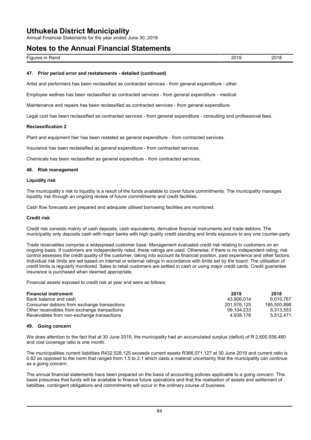Annual Financial Statements for the year ended June 30, 2019

### **Notes to the Annual Financial Statements**

| $- \cdot$<br>ın<br>Rand<br>Figur | 2010<br>. .<br>$-$<br>and the control of the con- | ∍∩י<br>.<br>. .<br>--<br>$\sim$ |
|----------------------------------|---------------------------------------------------|---------------------------------|
|                                  |                                                   |                                 |

#### **47. Prior period error and restatements - detailed (continued)**

Artist and performers has been reclassified as contracted services - from general expenditure - other.

Employee wellnes has been reclassified as contracted services - from general expenditure - medical.

Maintenance and repairs has been reclassified as contracted services - from general expenditure.

Legal cost has been reclassified as contracted services - from general expenditure - consulting and professional fees.

#### **Reclassification 2**

Plant and equipment hier has been restated as general expenditure - from contracted services.

Insurance has been reclassified as general expenditure - from contracted services.

Chemicals has been reclassified as general expenditure - from contracted services.

#### **48. Risk management**

#### **Liquidity risk**

The municipality's risk to liquidity is a result of the funds available to cover future commitments. The municipality manages liquidity risk through an ongoing review of future commitments and credit facilities.

Cash flow forecasts are prepared and adequate utilised borrowing facilities are monitored.

#### **Credit risk**

Credit risk consists mainly of cash deposits, cash equivalents, derivative financial instruments and trade debtors. The municipality only deposits cash with major banks with high quality credit standing and limits exposure to any one counter-party.

Trade receivables comprise a widespread customer base. Management evaluated credit risk relating to customers on an ongoing basis. If customers are independently rated, these ratings are used. Otherwise, if there is no independent rating, risk control assesses the credit quality of the customer, taking into account its financial position, past experience and other factors. Individual risk limits are set based on internal or external ratings in accordance with limits set by the board. The utilisation of credit limits is regularly monitored. Sales to retail customers are settled in cash or using major credit cards. Credit guarantee insurance is purchased when deemed appropriate.

Financial assets exposed to credit risk at year end were as follows:

| <b>Financial instrument</b>                  | 2019        | 2018        |
|----------------------------------------------|-------------|-------------|
| Bank balance and cash                        | 43.906.014  | 6.010.767   |
| Consumer debtors from exchange transactions  | 201.976.125 | 185,500,898 |
| Other receivables from exchange transactions | 99.104.233  | 5,313,553   |
| Reveivables from non-exchange transactions   | 4.938.176   | 5.512.471   |

#### **49. Going concern**

We draw attention to the fact that at 30 June 2019, the municipality had an accumulated surplus (deficit) of R 2,600,558,480 and cost coverage ratio is one month.

The municipalities current liabilities R432,528,125 exceeds current assets R366,071,127 at 30 June 2019 and current ratio is 0.82 as opposed to the norm that ranges from 1.5 to 2.1 which casts a material uncertainty that the municipality can continue as a going concern.

The annual financial statements have been prepared on the basis of accounting policies applicable to a going concern. This basis presumes that funds will be available to finance future operations and that the realisation of assets and settlement of liabilities, contingent obligations and commitments will occur in the ordinary course of business.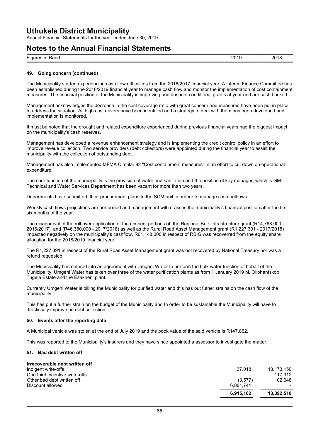Annual Financial Statements for the year ended June 30, 2019

### **Notes to the Annual Financial Statements**

| $\overline{\phantom{a}}$<br>----<br><b></b><br>וחו<br>-<br>7anu<br> | 0011<br>$\sim$<br>_____ | $\sim$<br>יי<br>- -<br> |
|---------------------------------------------------------------------|-------------------------|-------------------------|
|                                                                     |                         |                         |

#### **49. Going concern (continued)**

The Municipality started experiencing cash flow difficulties from the 2016/2017 financial year. A interim Finance Committee has been established during the 2018/2019 financial year to manage cash flow and monitor the implementation of cost containment measures. The financial position of the Municipality is improving and unspent conditional grants at year end are cash backed.

Management acknowledges the decrease in the cost coverage ratio with great concern and measures have been put in place to address the situation. All high cost drivers have been identified and a strategy to deal with them has been developed and implementation is monitored.

It must be noted that the drought and related expenditure experienced during previous financial years had the biggest impact on the municipality's cash reserves.

Management has developed a revenue enhancement strategy and is implementing the credit control policy in an effort to improve reveue collection. Two service providers (debt collectors) were appointed during the financial year to assist the municipality with the collection of outstanding debt.

Management has also implemented MFMA Circular 82 "Cost containment measures" in an effort to cut down on operational expenditure.

The core function of the municipality is the provision of water and sanitation and the position of key manager, which is GM: Technical and Water Services Department has been vacant for more than two years.

Departments have submitted their procurement plans to the SCM unit in ordere to manage cash outflows.

Weekly cash flows projections are performed and management will re-asses the municipality's financial position after the first six months of the year.

The disapproval of the roll over application of the unspent portions of the Regional Bulk Infrastructure grant (R14,768,000 - 2016/2017) and (R46,380,000 - 2017/2018) as well as the Rural Road Asset Management grant (R1,227,391 - 2017/2018) impacted negatively on the municipality's cashflow. R61,148,000 in respect of RBIG was recoverred from the equity share allocation for the 2018/2019 financial year.

The R1,227,391 in respect of the Rural Roas Asset Management grant was not recovered by National Treasury nor was a refund requested.

The Municipality has entered into an agreement with Umgeni Water to perform the bulk water function of behalf of the Municipality. Umgeni Water has taken over three of the water purification plants as from 1 January 2019 nl. Oliphantskop, Tugela Estate and the Ezakheni plant.

Currently Umgeni Water is billing the Municipality for purified water and this has put futher strains on the cash flow of the municipality.

This has put a further strain on the budget of the Municipality and In order to be sustainable the Municipality will have to drasticcaly improve on debt collection.

#### **50. Events after the reporting date**

A Municipal vehicle was stolen at the end of July 2019 and the book value of the said vehicle is R147,862.

This was reported to the Municipality's insurers and they have since appointed a assessor to investigate the matter.

#### **51. Bad debt written off**

| Irrecoverable debt written off |           |            |
|--------------------------------|-----------|------------|
| Indigent write-offs            | 37.018    | 13.173.150 |
| One third incentive write-offs |           | 117.312    |
| Other bad debt written off     | (3.577)   | 102.048    |
| Discount allowed               | 6.881.741 |            |
|                                | 6.915.182 | 13.392.510 |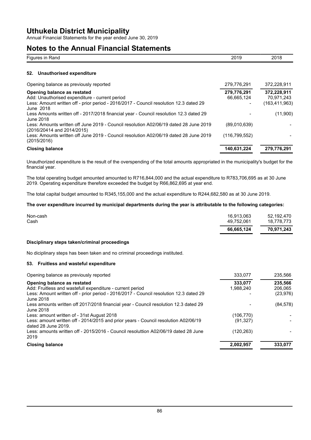Annual Financial Statements for the year ended June 30, 2019

# **Notes to the Annual Financial Statements**

| Figur.<br>Rand<br>. უ | 2010<br>טוי<br>ZU.<br>____ | 2018 |
|-----------------------|----------------------------|------|
|                       |                            |      |

### **52. Unauthorised expenditure**

| Opening balance as previously reported                                                                                                                                               | 279,776,291               | 372,228,911                                |
|--------------------------------------------------------------------------------------------------------------------------------------------------------------------------------------|---------------------------|--------------------------------------------|
| Opening balance as restated<br>Add: Unauthorised expenditure - current period<br>Less: Amount written off - prior period - 2016/2017 - Council resolution 12.3 dated 29<br>June 2018 | 279,776,291<br>66,665,124 | 372,228,911<br>70,971,243<br>(163,411,963) |
| Less Amounts written off - 2017/2018 financial year - Council resolution 12.3 dated 29<br>June 2018                                                                                  |                           | (11,900)                                   |
| Less: Amounts written off June 2019 - Council resolution A02/06/19 dated 28 June 2019<br>(2016/20414 and 2014/2015)                                                                  | (89,010,639)              |                                            |
| Less: Amounts written off June 2019 - Council resolution A02/06/19 dated 28 June 2019<br>(2015/2016)                                                                                 | (116, 799, 552)           |                                            |
| <b>Closing balance</b>                                                                                                                                                               | 140,631,224               | 279,776,291                                |

Unauthorized expenditure is the result of the overspending of the total amounts appropriated in the municipality's budget for the financial year.

The total operating budget amounted amounted to R716,844,000 and the actual expenditure to R783,706,695 as at 30 June 2019. Operating expenditure therefore exceeded the budget by R66,862,695 at year end.

The total capital budget amounted to R345,155,000 and the actual expenditure to R244,682,580 as at 30 June 2019.

### **The over expenditure incurred by municipal departments during the year is attributable to the following categories:**

|          | 66,665,124 | 70,971,243 |
|----------|------------|------------|
| Cash     | 49,752,061 | 18,778,773 |
| Non-cash | 16,913,063 | 52,192,470 |

### **Disciplinary steps taken/criminal proceedings**

No diciplinary steps has been taken and no criminal proceedings instituted.

### **53. Fruitless and wasteful expenditure**

| Opening balance as previously reported                                                                                                                                                                                                          | 333,077                             | 235,566                         |
|-------------------------------------------------------------------------------------------------------------------------------------------------------------------------------------------------------------------------------------------------|-------------------------------------|---------------------------------|
| Opening balance as restated<br>Add: Fruitless and wastefull expenditure - current period<br>Less: Amount written off - prior period - 2016/2017 - Council resolution 12.3 dated 29<br>June 2018                                                 | 333,077<br>1,988,240                | 235,566<br>206,065<br>(23, 976) |
| Less amounts written off 2017/2018 financial year - Council resolution 12.3 dated 29<br>June 2018                                                                                                                                               |                                     | (84, 578)                       |
| Less: amount written of - 31st August 2018<br>Less: amount written off - 2014/2015 and prior years - Council resolution A02/06/19<br>dated 28 June 2019.<br>Less: amounts written off - 2015/2016 - Council resoluttion A02/06/19 dated 28 June | (106,770)<br>(91, 327)<br>(120,263) |                                 |
| 2019<br><b>Closing balance</b>                                                                                                                                                                                                                  | 2,002,957                           | 333.077                         |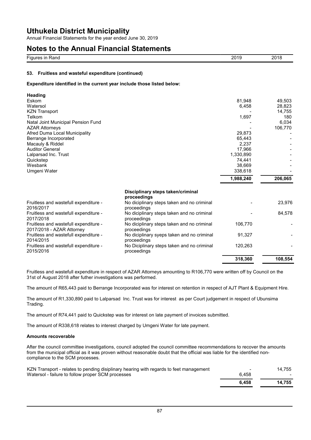Annual Financial Statements for the year ended June 30, 2019

### **Notes to the Annual Financial Statements**

| Figures in Rand                                                        | 2019 | 2018 |
|------------------------------------------------------------------------|------|------|
| 53. Fruitless and wasteful expenditure (continued)                     |      |      |
| Expenditure identified in the current year include those listed below: |      |      |

| Heading                                                            |                                                           |           |         |
|--------------------------------------------------------------------|-----------------------------------------------------------|-----------|---------|
| Eskom                                                              |                                                           | 81.948    | 49,503  |
| Watersol                                                           |                                                           | 6,458     | 28,823  |
| <b>KZN Transport</b>                                               |                                                           |           | 14,755  |
| Telkom                                                             |                                                           | 1,697     | 180     |
| Natal Joint Municipal Pension Fund                                 |                                                           |           | 6.034   |
| <b>AZAR Attorneys</b>                                              |                                                           |           | 106,770 |
| Afred Duma Local Municipality                                      |                                                           | 29,873    |         |
| Berrange Incorporated                                              |                                                           | 65,443    |         |
| Macauly & Riddel                                                   |                                                           | 2,237     |         |
| <b>Auditor General</b>                                             |                                                           | 17,966    |         |
| Lalparsad Inc. Trust                                               |                                                           | 1,330,890 |         |
| Quickstep                                                          |                                                           | 74,441    |         |
| Wesbank                                                            |                                                           | 38,669    |         |
| Umgeni Water                                                       |                                                           | 338,618   |         |
|                                                                    |                                                           | 1,988,240 | 206,065 |
|                                                                    | Disciplinary steps taken/criminal                         |           |         |
|                                                                    | proceedings                                               |           |         |
| Fruitless and wastefull expenditure -<br>2016/2017                 | No diciplinary steps taken and no criminal<br>proceedings |           | 23,976  |
| Fruitless and wastefull expenditure -<br>2017/2018                 | No diciplinary steps taken and no criminal<br>proceedings |           | 84,578  |
| Fruitless and wastefull expenditure -<br>2017/2018 - AZAR Attorney | No diciplinary steps taken and no criminal<br>proceedings | 106,770   |         |
| Fruitless and wastefull expenditure -<br>2014/2015                 | No diciplinary syeps taken and no criminal<br>proceedings | 91,327    |         |
| Fruitless and wastefull expenditure -<br>2015/2016                 | No Diciplinary steps taken and no criminal<br>proceedings | 120,263   |         |
|                                                                    |                                                           | 318,360   | 108,554 |

Fruitless and wastefull expenditure in respect of AZAR Attorneys amounting to R106,770 were written off by Council on the 31st of August 2018 after futher investigations was performed.

The amount of R65,443 paid to Berrange Incorporated was for interest on retention in respect of AJT Plant & Equipment Hire.

The amount of R1,330,890 paid to Lalparsad Inc. Trust was for interest as per Court judgement in respect of Ubunsima Trading.

The amount of R74,441 paid to Quickstep was for interest on late payment of invoices submitted.

The amount of R338,618 relates to interest charged by Umgeni Water for late payment.

#### **Amounts recoverable**

After the council committee investigations, council adopted the council committee recommendations to recover the amounts from the municipal official as it was proven without reasonable doubt that the official was liable for the identified noncompliance to the SCM processes.

| KZN Transport - relates to pending disiplinary hearing with regards to feet management | $\sim$ | 14.755 |
|----------------------------------------------------------------------------------------|--------|--------|
| Watersol - failure to follow proper SCM processes                                      | 6.458  |        |
|                                                                                        | 6.458  | 14.755 |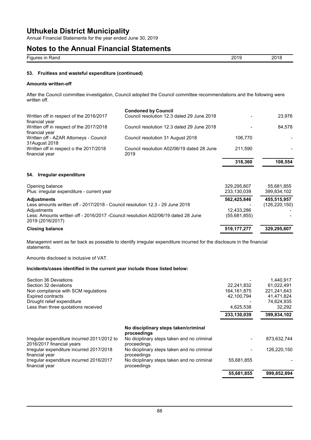Annual Financial Statements for the year ended June 30, 2019

### **Notes to the Annual Financial Statements**

| $- \cdot$<br>- --<br>⊢ı∩ı.<br>kanc. | . |  |
|-------------------------------------|---|--|

### **53. Fruitless and wasteful expenditure (continued)**

### **Amounts written-off**

After the Council committee investigation, Council adopted the Council committee recommendations and the following were written off.

|                                                                                                        | <b>Condoned by Council</b>                         |              |               |
|--------------------------------------------------------------------------------------------------------|----------------------------------------------------|--------------|---------------|
| Written off in respect of the 2016/2017                                                                | Council resolution 12.3 dated 29 June 2018         |              | 23,976        |
| financial year                                                                                         |                                                    |              |               |
| Written off in respect of the 2017/2018<br>financial year                                              | Council resolution 12.3 dated 29 June 2018         |              | 84,578        |
| Written off - AZAR Attorneys - Council                                                                 | Council resolution 31 August 2018                  | 106,770      |               |
| 31August 2018                                                                                          |                                                    |              |               |
| Written off in respect o the 2017/2018<br>financial year                                               | Council resolution A02/06/19 dated 28 June<br>2019 | 211,590      |               |
|                                                                                                        |                                                    | 318,360      | 108,554       |
| Irregular expenditure<br>54.                                                                           |                                                    |              |               |
| Opening balance                                                                                        |                                                    | 329,295,807  | 55,681,855    |
| Plus: irregular expenditure - current year                                                             |                                                    | 233,130,039  | 399,834,102   |
|                                                                                                        |                                                    |              |               |
| <b>Adjustments</b>                                                                                     |                                                    | 562,425,846  | 455,515,957   |
| Less amounts written off - 2017/2018 - Council resolution 12.3 - 29 June 2018                          |                                                    |              | (126,220,150) |
| Adjustments                                                                                            |                                                    | 12,433,286   |               |
| Less: Amounts written off - 2016/2017 - Council resolution A02/06/19 dated 28 June<br>2019 (2016/2017) |                                                    | (55,681,855) |               |
| <b>Closing balance</b>                                                                                 |                                                    | 519,177,277  | 329,295,807   |

Managemnt went as far back as possable to identify irregular expenditure incurred for the disclosure in the financial statements.

Amounts disclosed is inclusive of VAT.

### **Incidents/cases identified in the current year include those listed below:**

|                                                                          |                                                                                                                   | 55,681,855                | 999,852,894               |
|--------------------------------------------------------------------------|-------------------------------------------------------------------------------------------------------------------|---------------------------|---------------------------|
| Irregular expenditure incurred 2016/2017<br>financial year               | No diciplinary steps taken and no criminal<br>proceedings                                                         | 55,681,855                |                           |
| Irregular expenditure incurred 2017/2018<br>financial year               | No diciplinary steps taken and no criminal<br>proceedings                                                         |                           | 126,220,150               |
| Irregular expenditure incurred 2011/2012 to<br>2016/2017 financial years | No disciplinary steps taken/criminal<br>proceedings<br>No diciplinary steps taken and no criminal<br>proceedings. |                           | 873,632,744               |
|                                                                          |                                                                                                                   | 233,130,039               | 399,834,102               |
| Less than three quotations received                                      |                                                                                                                   | 4,625,538                 | 32,292                    |
| Drought relief expenditure                                               |                                                                                                                   |                           | 74,624,935                |
| Non compliance with SCM regulations<br><b>Expired contracts</b>          |                                                                                                                   | 164.161.875<br>42,100,794 | 221.241.643<br>41,471,824 |
| Section 32 deviations                                                    |                                                                                                                   | 22,241,832                | 61.022.491                |
| Section 36 Deviations                                                    |                                                                                                                   |                           | 1.440.917                 |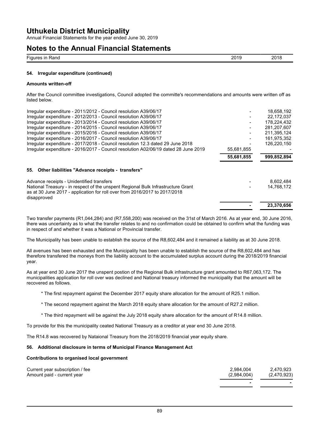Annual Financial Statements for the year ended June 30, 2019

### **Notes to the Annual Financial Statements**

| $- \cdot$          |                     |          |
|--------------------|---------------------|----------|
| .<br>Fiaui<br>xano | ״<br>ໍ່<br><u>_</u> | 201<br>∼ |

### **54. Irregular expenditure (continued)**

#### **Amounts written-off**

After the Council committee investigations, Council adopted the committe's recommendations and amounts were written off as listed below.

| Irregular expenditure - 2011/2012 - Council resolution A39/06/17                                                                                                              |            | 18,658,192  |
|-------------------------------------------------------------------------------------------------------------------------------------------------------------------------------|------------|-------------|
| Irregular expenditure - 2012/2013 - Council resolution A39/06/17                                                                                                              |            | 22.172.037  |
| Irregular expenditure - 2013/2014 - Council resolution A39/06/17                                                                                                              |            | 178,224,432 |
| Irregular expenditure - 2014/2015 - Council resolution A39/06/17                                                                                                              |            | 281.207.607 |
| Irregular expenditure - 2015/2016 - Council resolution A39/06/17                                                                                                              |            | 211,395,124 |
| Irregular expenditure - 2016/2017 - Council resolution A39/06/17                                                                                                              |            | 161.975.352 |
| Irregular expenditure - 2017/2018 - Council resolution 12.3 dated 29 June 2018                                                                                                |            | 126,220,150 |
| Irregular expenditure - 2016/2017 - Council resolution A02/06/19 dated 28 June 2019                                                                                           | 55,681,855 |             |
|                                                                                                                                                                               | 55,681,855 | 999.852.894 |
| 55. Other liabilities "Advance receipts - transfers"                                                                                                                          |            |             |
| Advance receipts - Unidentified transfers                                                                                                                                     |            | 8,602,484   |
| National Treasury - in respect of the unspent Regional Bulk Infrastructure Grant<br>as at 30 June 2017 - application for roll over from 2016/2017 to 2017/2018<br>disapproved |            | 14.768.172  |
|                                                                                                                                                                               |            | 23,370,656  |

Two transfer payments (R1,044,284) and (R7,558,200) was received on the 31st of March 2016. As at year end, 30 June 2016, there was uncertainty as to what the transfer relates to and no confirmation could be obtained to confirm what the funding was in respect of and whether it was a National or Provincial transfer.

The Municipality has been unable to establish the source of the R8,602,484 and it remained a liability as at 30 June 2018.

All avenues has been exhausted and the Municipality has been unable to establish the source of the R8,602,484 and has therefore transfered the moneys from the liability account to the accumulated surplus account during the 2018/2019 financial year.

As at year end 30 June 2017 the unspent postion of the Regional Bulk infrastructure grant amounted to R67,063,172. The municipalities application for roll over was declined and National treasury informed the municipality that the amount will be recovered as follows.

\* The first repayment against the December 2017 equity share allocation for the amount of R25.1 million.

- \* The second repayment against the March 2018 equity share allocation for the amount of R27.2 million.
- \* The third repayment will be against the July 2018 equity share allocation for the amount of R14.8 million.

To provide for this the municipality ceated National Treasury as a creditor at year end 30 June 2018.

The R14.8 was recovered by Nataional Treasury from the 2018/2019 financial year equity share.

#### **56. Additional disclosure in terms of Municipal Finance Management Act**

### **Contributions to organised local government**

| Current year subscription / fee | 2.984.004   | 2.470.923   |
|---------------------------------|-------------|-------------|
| Amount paid - current year      | (2.984.004) | (2,470,923) |
|                                 |             |             |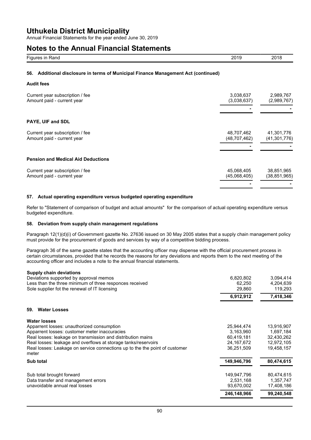Annual Financial Statements for the year ended June 30, 2019

### **Notes to the Annual Financial Statements**

| $- \cdot$<br>Rand<br>$\overline{\phantom{a}}$<br>-юит<br>Ή. | 201<br>. .<br>. .<br>.<br>_____ | nn 1<br>2010 |
|-------------------------------------------------------------|---------------------------------|--------------|
|                                                             |                                 |              |

### **56. Additional disclosure in terms of Municipal Finance Management Act (continued)**

#### **Audit fees**

| Current year subscription / fee           | 3,038,637      | 2,989,767      |
|-------------------------------------------|----------------|----------------|
| Amount paid - current year                | (3,038,637)    | (2,989,767)    |
| <b>PAYE, UIF and SDL</b>                  |                |                |
| Current year subscription / fee           | 48,707,462     | 41,301,776     |
| Amount paid - current year                | (48, 707, 462) | (41, 301, 776) |
| <b>Pension and Medical Aid Deductions</b> |                |                |
| Current year subscription / fee           | 45,068,405     | 38,851,965     |
| Amount paid - current year                | (45,068,405)   | (38, 851, 965) |
|                                           |                |                |

#### **57. Actual operating expenditure versus budgeted operating expenditure**

Refer to "Statement of comparison of budget and actual amounts" for the comparison of actual operating expenditure versus budgeted expenditure.

#### **58. Deviation from supply chain management regulations**

Paragraph 12(1)(d)(i) of Government gazette No. 27636 issued on 30 May 2005 states that a supply chain management policy must provide for the procurement of goods and services by way of a competitive bidding process.

Paragraph 36 of the same gazette states that the accounting officer may dispense with the official procurement process in certain circumstances, provided that he records the reasons for any deviations and reports them to the next meeting of the accounting officer and includes a note to the annual financial statements.

| <b>Supply chain deviations</b>                                                       |              |            |
|--------------------------------------------------------------------------------------|--------------|------------|
| Deviations supported by approval memos                                               | 6,820,802    | 3,094,414  |
| Less than the three minimum of three responces received                              | 62,250       | 4,204,639  |
| Sole supplier fot the renewal of IT licensing                                        | 29,860       | 119,293    |
|                                                                                      | 6,912,912    | 7,418,346  |
| 59.<br><b>Water Losses</b>                                                           |              |            |
| <b>Water losses</b>                                                                  |              |            |
| Apparrent losses: unauthorized consumption                                           | 25,944,474   | 13,916,907 |
| Apparrent losses: customer meter inaccuracies                                        | 3,163,960    | 1,697,184  |
| Real losses: leakage on transmission and distribution mains                          | 60.419.181   | 32,430,262 |
| Real losses: leakage and overflows at storage tanks/reservoirs                       | 24, 167, 672 | 12,972,105 |
| Real losses: Leakage on service connections up to the the point of customer<br>meter | 36,251,509   | 19,458,157 |
| Sub total                                                                            | 149,946,796  | 80,474,615 |
| Sub total brought forward                                                            | 149,947,796  | 80,474,615 |
| Data transfer and management errors                                                  | 2,531,168    | 1,357,747  |
| unavoidable annual real losses                                                       | 93,670,002   | 17,408,186 |
|                                                                                      | 246,148,966  | 99,240,548 |
|                                                                                      |              |            |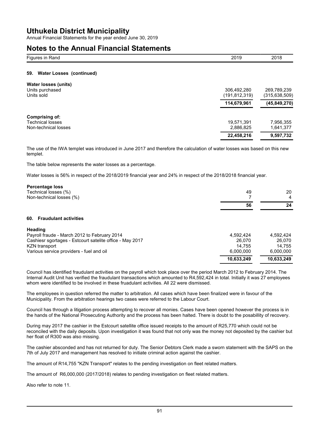Annual Financial Statements for the year ended June 30, 2019

### **Notes to the Annual Financial Statements**

| $-$<br>$ -$<br>FIUI<br>≺ano | nn.<br>- - | 2018<br>$ -$ |
|-----------------------------|------------|--------------|
|                             |            |              |

### **59. Water Losses (continued)**

| Water losses (units)<br>Units purchased<br>Units sold | 306,492,280<br>(191, 812, 319) | 269,789,239<br>(315, 638, 509) |
|-------------------------------------------------------|--------------------------------|--------------------------------|
|                                                       | 114,679,961                    | (45, 849, 270)                 |
| Comprising of:                                        |                                |                                |
| <b>Technical losses</b>                               | 19,571,391                     | 7,956,355                      |
| Non-technical losses                                  | 2,886,825                      | 1,641,377                      |
|                                                       | 22,458,216                     | 9,597,732                      |

The use of the IWA templet was introduced in June 2017 and therefore the calculation of water losses was based on this new templet.

The table below represents the water losses as a percentage.

Water losses is 56% in respect of the 2018/2019 financial year and 24% in respect of the 2018/2018 financial year.

#### **Percentage loss**

| Technical losses (%)                                     | 49         | 20         |
|----------------------------------------------------------|------------|------------|
| Non-technical losses (%)                                 |            | 4          |
|                                                          | 56         | 24         |
| 60. Fraudulant activities                                |            |            |
| Heading                                                  |            |            |
| Payroll fraude - March 2012 to February 2014             | 4,592,424  | 4,592,424  |
| Cashiesr sgortages - Estcourt satelite office - May 2017 | 26,070     | 26.070     |
| <b>KZN</b> transport                                     | 14.755     | 14.755     |
| Various service providers - fuel and oil                 | 6,000,000  | 6,000,000  |
|                                                          | 10,633,249 | 10,633,249 |

Council has identified fraudulant activities on the payroll which took place over the period March 2012 to February 2014. The Internal Audit Unit has verified the fraudulant transactions which amounted to R4,592,424 in total. Initially it was 27 employees whom were identified to be involved in these fruadulant activities. All 22 were dismissed.

The employees in question referred the matter to arbitration. All cases which have been finalized were in favour of the Municipality. From the arbitration hearings two cases were referred to the Labour Court.

Council has through a litigation process attempting to recover all monies. Cases have been opened however the process is in the hands of the National Prosecuting Authority and the process has been halted. There is doubt to the posabillity of recovery.

During may 2017 the cashier in the Estcourt satellite office issued receipts to the amount of R25,770 which could not be reconciled with the daily deposits. Upon investigation it was found that not only was the money not deposited by the cashier but her float of R300 was also missing.

The cashier absconded and has not returned for duty. The Senior Debtors Clerk made a sworn statement with the SAPS on the 7th of July 2017 and management has resolved to initiate criminal action against the cashier.

The amount of R14,755 "KZN Transport" relates to the pending investigation on fleet related matters.

The amount of R6,000,000 (2017/2018) relates to pending investigation on fleet related matters.

Also refer to note 11.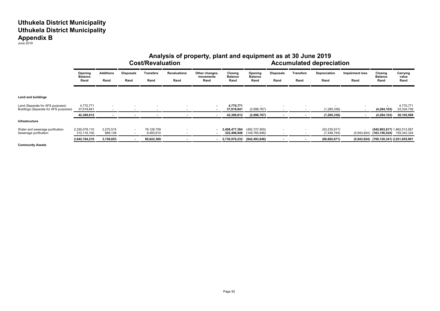# **Uthukela District Municipality Uthukela District Municipality Appendix B** June 2019

|                                                                           | Analysis of property, plant and equipment as at 30 June 2019<br><b>Cost/Revaluation</b> |                          |                          |                         |                             |                                     |                                   |                                   | <b>Accumulated depreciation</b> |                          |                                 |                                |                                                                       |                           |
|---------------------------------------------------------------------------|-----------------------------------------------------------------------------------------|--------------------------|--------------------------|-------------------------|-----------------------------|-------------------------------------|-----------------------------------|-----------------------------------|---------------------------------|--------------------------|---------------------------------|--------------------------------|-----------------------------------------------------------------------|---------------------------|
|                                                                           | Opening<br><b>Balance</b><br>Rand                                                       | <b>Additions</b><br>Rand | <b>Disposals</b><br>Rand | Transfers<br>Rand       | <b>Revaluations</b><br>Rand | Other changes,<br>movements<br>Rand | Closing<br><b>Balance</b><br>Rand | Opening<br><b>Balance</b><br>Rand | Disposals<br>Rand               | <b>Transfers</b><br>Rand | Depreciation<br>Rand            | <b>Impairment loss</b><br>Rand | Closing<br><b>Balance</b><br>Rand                                     | Carrying<br>value<br>Rand |
| Land and buildings                                                        |                                                                                         |                          |                          |                         |                             |                                     |                                   |                                   |                                 |                          |                                 |                                |                                                                       |                           |
| Land (Separate for AFS purposes)<br>Buildings (Separate for AFS purposes) | 4,770,771<br>37,618,841                                                                 | $\sim$<br>$\sim$         | . .                      |                         |                             |                                     | 4,770,771<br>37,618,841           | (2,998,767)                       | ۰                               | $\overline{\phantom{a}}$ | (1, 285, 336)                   |                                | (4, 284, 103)                                                         | 4,770,771<br>33, 334, 738 |
|                                                                           | 42,389,612                                                                              |                          |                          |                         |                             |                                     | 42,389,612                        | (2,998,767)                       | $\blacksquare$                  | $\blacksquare$           | (1, 285, 336)                   |                                | (4, 284, 103)                                                         | 38,105,509                |
| Infrastructure                                                            |                                                                                         |                          |                          |                         |                             |                                     |                                   |                                   |                                 |                          |                                 |                                |                                                                       |                           |
| Water and sewerage purification<br>Sewerage purification                  | 2,330,078,110<br>312,116,100                                                            | 2,270,515<br>889,138     | $\overline{\phantom{a}}$ | 76,128,759<br>9,493,610 |                             |                                     | 2,408,477,384 (492,727,900)       | 322,498,848 (149,765,946)         | $\sim$<br>۰                     | $\overline{\phantom{a}}$ | (53, 235, 917)<br>(7, 446, 754) | (5,943,824)                    | (545, 963, 817) 1, 862, 513, 567<br>$(163, 156, 524)$ $159, 342, 324$ |                           |
|                                                                           | 2,642,194,210                                                                           | 3,159,653                |                          | 85,622,369              |                             |                                     | 2,730,976,232 (642,493,846)       |                                   |                                 | $\blacksquare$           | (60, 682, 671)                  |                                | (5,943,824) (709,120,341) 2,021,855,891                               |                           |

**Community Assets**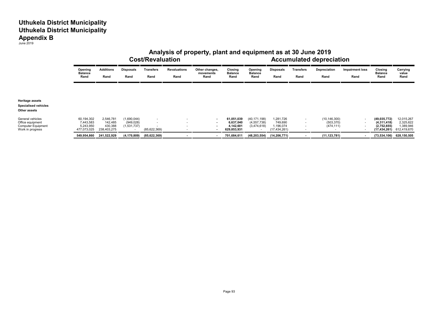# **Uthukela District Municipality Uthukela District Municipality Appendix B** June 2019

|                                                                                       |                                                     |                                                |                                          | <b>Cost/Revaluation</b>                                                |                             |                                                      | Analysis of property, plant and equipment as at 30 June 2019<br><b>Accumulated depreciation</b> |                                                |                                                    |                   |                                            |                                |                                                                |                                                     |
|---------------------------------------------------------------------------------------|-----------------------------------------------------|------------------------------------------------|------------------------------------------|------------------------------------------------------------------------|-----------------------------|------------------------------------------------------|-------------------------------------------------------------------------------------------------|------------------------------------------------|----------------------------------------------------|-------------------|--------------------------------------------|--------------------------------|----------------------------------------------------------------|-----------------------------------------------------|
|                                                                                       | Opening<br><b>Balance</b><br>Rand                   | <b>Additions</b><br>Rand                       | Disposals<br>Rand                        | <b>Transfers</b><br>Rand                                               | <b>Revaluations</b><br>Rand | Other changes,<br>movements<br>Rand                  | Closing<br><b>Balance</b><br>Rand                                                               | Opening<br><b>Balance</b><br>Rand              | <b>Disposals</b><br>Rand                           | Transfers<br>Rand | Depreciation<br>Rand                       | <b>Impairment loss</b><br>Rand | Closing<br><b>Balance</b><br>Rand                              | Carrying<br>value<br>Rand                           |
| <b>Heritage assets</b><br><b>Specialised vehicles</b><br>Other assets                 |                                                     |                                                |                                          |                                                                        |                             |                                                      |                                                                                                 |                                                |                                                    |                   |                                            |                                |                                                                |                                                     |
| General vehicles<br>Office equipment<br><b>Computer Equipment</b><br>Work in progress | 60,194,302<br>7,443,583<br>5,243,950<br>477,073,025 | 2,546,781<br>142,485<br>430,388<br>238,403,275 | (1,690,044)<br>(949, 028)<br>(1,531,737) | $\overline{\phantom{a}}$<br>$\overline{\phantom{a}}$<br>(85, 622, 369) |                             | $\sim$<br>$\sim$<br>$\blacksquare$<br>$\blacksquare$ | 61,051,039<br>6,637,040<br>4,142,601<br>629,853,931                                             | (40, 171, 198)<br>(4, 557, 738)<br>(3,474,618) | 1,281,726<br>749,690<br>.196,074<br>(17, 434, 261) | $\sim$            | (10, 146, 300)<br>(503, 370)<br>(474, 111) | $\overline{\phantom{a}}$       | (49, 035, 772)<br>(4,311,418)<br>(2,752,655)<br>(17, 434, 261) | 12,015,267<br>2,325,622<br>1,389,946<br>612,419,670 |
|                                                                                       | 549,954,860                                         | 241,522,929                                    | (4, 170, 809)                            | (85, 622, 369)                                                         |                             | ۰                                                    | 701,684,611                                                                                     | (48, 203, 554)                                 | (14, 206, 771)                                     |                   | (11, 123, 781)                             |                                | (73,534,106)                                                   | 628,150,505                                         |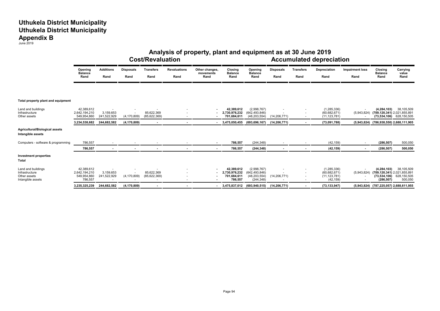# **Uthukela District Municipality Uthukela District Municipality Appendix B**

| June 2019 |  |
|-----------|--|

|                                                                           |                                                       |                          |                          | <b>Cost/Revaluation</b>    |                             |                                     | Analysis of property, plant and equipment as at 30 June 2019<br><b>Accumulated depreciation</b> |                                                                |                          |                          |                                                                |                                |                                               |                                                                                   |
|---------------------------------------------------------------------------|-------------------------------------------------------|--------------------------|--------------------------|----------------------------|-----------------------------|-------------------------------------|-------------------------------------------------------------------------------------------------|----------------------------------------------------------------|--------------------------|--------------------------|----------------------------------------------------------------|--------------------------------|-----------------------------------------------|-----------------------------------------------------------------------------------|
|                                                                           | Opening<br><b>Balance</b><br>Rand                     | <b>Additions</b><br>Rand | <b>Disposals</b><br>Rand | <b>Transfers</b><br>Rand   | <b>Revaluations</b><br>Rand | Other changes,<br>movements<br>Rand | Closing<br><b>Balance</b><br>Rand                                                               | Opening<br><b>Balance</b><br>Rand                              | <b>Disposals</b><br>Rand | <b>Transfers</b><br>Rand | Depreciation<br>Rand                                           | <b>Impairment loss</b><br>Rand | Closina<br><b>Balance</b><br>Rand             | Carrying<br>value<br>Rand                                                         |
| Total property plant and equipment                                        |                                                       |                          |                          |                            |                             |                                     |                                                                                                 |                                                                |                          |                          |                                                                |                                |                                               |                                                                                   |
| Land and buildings<br>Infrastructure<br>Other assets                      | 42.389.612<br>2,642,194,210<br>549,954,860            | 3,159,653<br>241,522,929 | (4, 170, 809)            | 85,622,369<br>(85,622,369) |                             |                                     | 42.389.612<br>2,730,976,232<br>701,684,611                                                      | (2,998,767)<br>(642, 493, 846)<br>(48, 203, 554)               | (14, 206, 771)           | $\overline{\phantom{a}}$ | (1, 285, 336)<br>(60, 682, 671)<br>(11, 123, 781)              | ٠.                             | (4, 284, 103)                                 | 38,105,509<br>(5,943,824) (709,120,341) 2,021,855,891<br>(73,534,106) 628,150,505 |
| Agricultural/Biological assets<br>Intangible assets                       | 3,234,538,682                                         | 244,682,582              | (4, 170, 809)            | $\sim$                     |                             |                                     | 3,475,050,455                                                                                   | (693, 696, 167)                                                | (14, 206, 771)           |                          | (73,091,788)                                                   | (5,943,824)                    |                                               | (786,938,550) 2,688,111,905                                                       |
| Computers - software & programming                                        | 786,557                                               |                          |                          |                            |                             |                                     | 786,557                                                                                         | (244, 348)                                                     |                          |                          | (42, 159)                                                      | $\overline{\phantom{a}}$       | (286, 507)                                    | 500,050                                                                           |
|                                                                           | 786,557                                               |                          |                          |                            |                             |                                     | 786,557                                                                                         | (244, 348)                                                     |                          |                          | (42, 159)                                                      |                                | (286, 507)                                    | 500,050                                                                           |
| <b>Investment properties</b><br>Total                                     |                                                       |                          |                          |                            |                             |                                     |                                                                                                 |                                                                |                          |                          |                                                                |                                |                                               |                                                                                   |
| Land and buildings<br>Infrastructure<br>Other assets<br>Intangible assets | 42,389,612<br>2,642,194,210<br>549,954,860<br>786,557 | 3,159,653<br>241,522,929 | (4, 170, 809)            | 85,622,369<br>(85,622,369) |                             |                                     | 42,389,612<br>2,730,976,232<br>701,684,611<br>786,557                                           | (2,998,767)<br>(642, 493, 846)<br>(48, 203, 554)<br>(244, 348) | (14, 206, 771)           | $\overline{\phantom{a}}$ | (1, 285, 336)<br>(60, 682, 671)<br>(11, 123, 781)<br>(42, 159) | (5,943,824)                    | (4, 284, 103)<br>(73, 534, 106)<br>(286, 507) | 38,105,509<br>(709,120,341) 2,021,855,891<br>628,150,505<br>500,050               |
|                                                                           | 3,235,325,239                                         | 244,682,582              | (4, 170, 809)            |                            |                             |                                     | 3,475,837,012                                                                                   | (693, 940, 515)                                                | (14, 206, 771)           | $\sim$                   | (73, 133, 947)                                                 | (5,943,824)                    |                                               | (787,225,057) 2,688,611,955                                                       |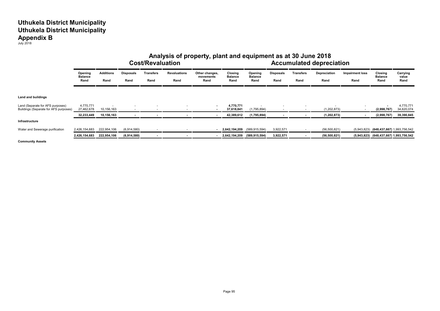# **Uthukela District Municipality Uthukela District Municipality Appendix B** July 2018

|                                                                           |                                   |                          |                          | <b>Cost/Revaluation</b> |                             |                                     | Analysis of property, plant and equipment as at 30 June 2018<br><b>Accumulated depreciation</b> |                                   |                          |                          |                      |                                |                                   |                           |
|---------------------------------------------------------------------------|-----------------------------------|--------------------------|--------------------------|-------------------------|-----------------------------|-------------------------------------|-------------------------------------------------------------------------------------------------|-----------------------------------|--------------------------|--------------------------|----------------------|--------------------------------|-----------------------------------|---------------------------|
|                                                                           | Opening<br><b>Balance</b><br>Rand | <b>Additions</b><br>Rand | <b>Disposals</b><br>Rand | Transfers<br>Rand       | <b>Revaluations</b><br>Rand | Other changes,<br>movements<br>Rand | Closing<br><b>Balance</b><br>Rand                                                               | Opening<br><b>Balance</b><br>Rand | Disposals<br>Rand        | Transfers<br>Rand        | Depreciation<br>Rand | <b>Impairment loss</b><br>Rand | Closing<br><b>Balance</b><br>Rand | Carrying<br>value<br>Rand |
| Land and buildings                                                        |                                   |                          |                          |                         |                             |                                     |                                                                                                 |                                   |                          |                          |                      |                                |                                   |                           |
| Land (Separate for AFS purposes)<br>Buildings (Separate for AFS purposes) | 4,770,771<br>27,462,678           | 10,156,163               | $\overline{\phantom{a}}$ |                         |                             | $\blacksquare$<br>$\sim$            | 4,770,771<br>37,618,841                                                                         | (1,795,894)                       | $\overline{\phantom{a}}$ | $\overline{\phantom{a}}$ | (1, 202, 873)        |                                | (2,998,767)                       | 4,770,771<br>34,620,074   |
|                                                                           | 32,233,449                        | 10,156,163               |                          |                         |                             | $\blacksquare$                      | 42,389,612                                                                                      | (1,795,894)                       |                          |                          | (1, 202, 873)        |                                | (2,998,767)                       | 39,390,845                |
| Infrastructure                                                            |                                   |                          |                          |                         |                             |                                     |                                                                                                 |                                   |                          |                          |                      |                                |                                   |                           |
| Water and Sewerage purification                                           | 2,426,154,683                     | 222,954,106              | (6,914,580)              |                         |                             | $\sim$                              | 2,642,194,209                                                                                   | (589,915,594)                     | 3,922,571                |                          | (56, 500, 821)       | (5,943,823)                    | (648,437,667) 1,993,756,542       |                           |
|                                                                           | 2,426,154,683                     | 222,954,106              | (6,914,580)              |                         |                             |                                     | 2,642,194,209                                                                                   | (589, 915, 594)                   | 3,922,571                | $\blacksquare$           | (56, 500, 821)       | (5,943,823)                    | (648,437,667) 1,993,756,542       |                           |
| $\sim$ $\sim$ $\sim$ $\sim$                                               |                                   |                          |                          |                         |                             |                                     |                                                                                                 |                                   |                          |                          |                      |                                |                                   |                           |

**Community Assets**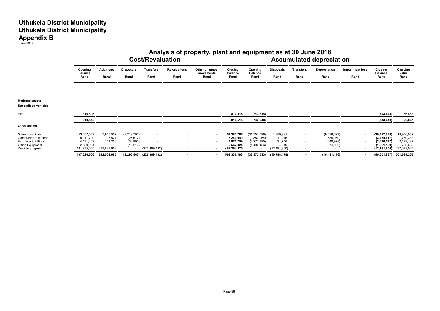### **Uthukela District Municipality Uthukela District Municipality Appendix B**

| June 2019 |  |
|-----------|--|

|                                                                                                               |                                                                  | <b>Cost/Revaluation</b>                        |                                                      |                               |                             |                                                                |                                                                  |                                                           | Analysis of property, plant and equipment as at 30 June 2018<br><b>Accumulated depreciation</b> |                                                                                            |                                                       |                                                                                                              |                                                                               |                                                                |
|---------------------------------------------------------------------------------------------------------------|------------------------------------------------------------------|------------------------------------------------|------------------------------------------------------|-------------------------------|-----------------------------|----------------------------------------------------------------|------------------------------------------------------------------|-----------------------------------------------------------|-------------------------------------------------------------------------------------------------|--------------------------------------------------------------------------------------------|-------------------------------------------------------|--------------------------------------------------------------------------------------------------------------|-------------------------------------------------------------------------------|----------------------------------------------------------------|
|                                                                                                               | Opening<br><b>Balance</b><br>Rand                                | <b>Additions</b><br>Rand                       | <b>Disposals</b><br>Rand                             | <b>Transfers</b><br>Rand      | <b>Revaluations</b><br>Rand | Other changes,<br>movements<br>Rand                            | Closing<br><b>Balance</b><br>Rand                                | Opening<br><b>Balance</b><br>Rand                         | <b>Disposals</b><br>Rand                                                                        | <b>Transfers</b><br>Rand                                                                   | Depreciation<br>Rand                                  | <b>Impairment loss</b><br>Rand                                                                               | Closing<br><b>Balance</b><br>Rand                                             | Carrying<br>value<br>Rand                                      |
|                                                                                                               |                                                                  |                                                |                                                      |                               |                             |                                                                |                                                                  |                                                           |                                                                                                 |                                                                                            |                                                       |                                                                                                              |                                                                               |                                                                |
| <b>Heritage assets</b><br><b>Specialised vehicles</b>                                                         |                                                                  |                                                |                                                      |                               |                             |                                                                |                                                                  |                                                           |                                                                                                 |                                                                                            |                                                       |                                                                                                              |                                                                               |                                                                |
| Fire                                                                                                          | 810,515                                                          |                                                |                                                      |                               |                             |                                                                | 810,515                                                          | (743, 648)                                                |                                                                                                 |                                                                                            |                                                       |                                                                                                              | (743, 648)                                                                    | 66,867                                                         |
|                                                                                                               | 810,515                                                          | $\sim$                                         | $\blacksquare$                                       |                               |                             |                                                                | 810,515                                                          | (743, 648)                                                | $\sim$                                                                                          |                                                                                            |                                                       |                                                                                                              | (743, 648)                                                                    | 66,867                                                         |
| Other assets                                                                                                  |                                                                  |                                                |                                                      |                               |                             |                                                                |                                                                  |                                                           |                                                                                                 |                                                                                            |                                                       |                                                                                                              |                                                                               |                                                                |
| General vehicles<br><b>Computer Equipment</b><br>Furniture & Fittings<br>Office Equipment<br>Work in progress | 53,657,569<br>5,141,799<br>4,171,449<br>2,580,034<br>431,975,655 | 7,946,007<br>128,827<br>741,200<br>283,688,652 | (2, 219, 790)<br>(26, 677)<br>(36, 890)<br>(12, 210) | (226, 399, 432)               |                             | $\blacksquare$<br>$\overline{\phantom{a}}$<br>$\sim$<br>$\sim$ | 59,383,786<br>5,243,949<br>4,875,759<br>2,567,824<br>489,264,875 | (31,751,098)<br>(2,853,064)<br>(2,277,395)<br>(1,490,456) | 1,359,991<br>17,416<br>21,746<br>4,219<br>(12, 191, 850)                                        | $\sim$<br>$\overline{\phantom{a}}$<br>$\overline{\phantom{a}}$<br>$\overline{\phantom{a}}$ | (9,036,627)<br>(638, 969)<br>(440, 928)<br>(374, 922) | $\overline{\phantom{a}}$<br>$\overline{\phantom{a}}$<br>$\overline{\phantom{a}}$<br>$\overline{\phantom{a}}$ | (39, 427, 734)<br>(3,474,617)<br>(2,696,577)<br>(1,861,159)<br>(12, 191, 850) | 19,956,052<br>1,769,332<br>2,179,182<br>706,665<br>477,073,025 |
|                                                                                                               | 497,526,506                                                      | 292,504,686                                    |                                                      | $(2,295,567)$ $(226,399,432)$ |                             |                                                                | 561,336,193                                                      |                                                           | $(38,372,013)$ $(10,788,478)$                                                                   |                                                                                            | (10, 491, 446)                                        |                                                                                                              | (59, 651, 937)                                                                | 501,684,256                                                    |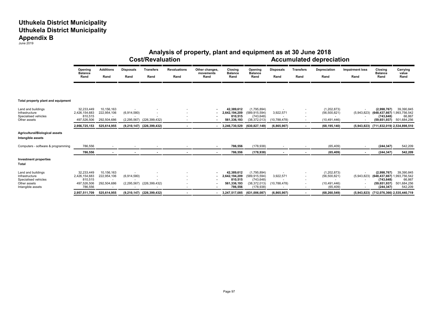# **Uthukela District Municipality Uthukela District Municipality Appendix B** June 2019

|                                                                              | Analysis of property, plant and equipment as at 30 June 2018<br><b>Cost/Revaluation</b> |                                          |                              |                          |                             |                                     |                                                       |                                                              | <b>Accumulated depreciation</b> |                          |                                                 |                                |                                                                            |                                     |
|------------------------------------------------------------------------------|-----------------------------------------------------------------------------------------|------------------------------------------|------------------------------|--------------------------|-----------------------------|-------------------------------------|-------------------------------------------------------|--------------------------------------------------------------|---------------------------------|--------------------------|-------------------------------------------------|--------------------------------|----------------------------------------------------------------------------|-------------------------------------|
|                                                                              | Opening<br><b>Balance</b><br>Rand                                                       | <b>Additions</b><br>Rand                 | <b>Disposals</b><br>Rand     | <b>Transfers</b><br>Rand | <b>Revaluations</b><br>Rand | Other changes,<br>movements<br>Rand | Closing<br><b>Balance</b><br>Rand                     | Opening<br><b>Balance</b><br>Rand                            | <b>Disposals</b><br>Rand        | <b>Transfers</b><br>Rand | Depreciation<br>Rand                            | <b>Impairment loss</b><br>Rand | Closing<br><b>Balance</b><br>Rand                                          | Carrying<br>value<br>Rand           |
| Total property plant and equipment                                           |                                                                                         |                                          |                              |                          |                             |                                     |                                                       |                                                              |                                 |                          |                                                 |                                |                                                                            |                                     |
| Land and buildings<br>Infrastructure<br>Specialised vehicles<br>Other assets | 32,233,449<br>2,426,154,683<br>810,515<br>497,526,506                                   | 10,156,163<br>222,954,106<br>292,504,686 | (6,914,580)<br>(2, 295, 567) | (226, 399, 432)          |                             |                                     | 42,389,612<br>2,642,194,209<br>810,515<br>561,336,193 | (1,795,894)<br>(589,915,594)<br>(743, 648)<br>(38, 372, 013) | 3,922,571<br>(10,788,478)       |                          | (1,202,873)<br>(56, 500, 821)<br>(10, 491, 446) | (5,943,823)                    | (2,998,767)<br>(648,437,667) 1,993,756,542<br>(743, 648)<br>(59, 651, 937) | 39,390,845<br>66,867<br>501,684,256 |
|                                                                              | 2,956,725,153                                                                           | 525,614,955                              | (9,210,147)                  | (226, 399, 432)          |                             |                                     | 3,246,730,529                                         | (630, 827, 149)                                              | (6,865,907)                     |                          | (68, 195, 140)                                  | (5,943,823)                    | (711,832,019) 2,534,898,510                                                |                                     |
| Agricultural/Biological assets<br>Intangible assets                          |                                                                                         |                                          |                              |                          |                             |                                     |                                                       |                                                              |                                 |                          |                                                 |                                |                                                                            |                                     |
| Computers - software & programming                                           | 786,556                                                                                 |                                          |                              |                          |                             | $\sim$                              | 786,556                                               | (178, 938)                                                   |                                 | $\overline{\phantom{a}}$ | (65, 409)                                       | $\overline{\phantom{a}}$       | (244, 347)                                                                 | 542,209                             |
|                                                                              | 786,556                                                                                 |                                          |                              |                          |                             | $\sim$                              | 786,556                                               | (178, 938)                                                   | $\sim$                          |                          | (65, 409)                                       |                                | (244, 347)                                                                 | 542,209                             |
| <b>Investment properties</b><br><b>Total</b>                                 |                                                                                         |                                          |                              |                          |                             |                                     |                                                       |                                                              |                                 |                          |                                                 |                                |                                                                            |                                     |
| Land and buildings<br>Infrastructure<br>Specialised vehicles                 | 32,233,449<br>2,426,154,683<br>810,515                                                  | 10,156,163<br>222,954,106                | (6,914,580)                  |                          | ٠                           |                                     | 42,389,612<br>2,642,194,209<br>810,515                | (1,795,894)<br>(589,915,594)<br>(743, 648)                   | 3,922,571                       | $\overline{\phantom{a}}$ | (1,202,873)<br>(56, 500, 821)<br>$\sim$         | (5,943,823)                    | (2,998,767)<br>(648,437,667) 1,993,756,542<br>(743, 648)                   | 39,390,845<br>66,867                |
| Other assets<br>Intangible assets                                            | 497,526,506<br>786.556                                                                  | 292,504,686<br>. .                       | (2, 295, 567)                | (226, 399, 432)          | $\overline{\phantom{a}}$    | $\sim$                              | 561,336,193<br>786.556                                | (38, 372, 013)<br>(178, 938)                                 | (10, 788, 478)                  |                          | (10, 491, 446)<br>(65.409)                      |                                | (59, 651, 937)<br>(244, 347)                                               | 501,684,256<br>542,209              |

2,957,511,709 525,614,955 (9,210,147) (226,399,432) 3,247,517,085 (631,006,087) (6,865,907) (6,865,907) (68,260,549) (5,943,823) (712,076,366) 2,535,440,719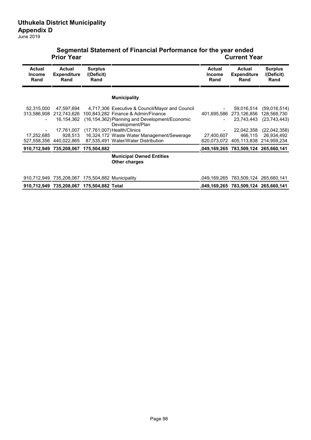|                                                                                       | Prior Year                                       |                                      |                                                                    | <b>Current Year</b>                    |                                             |                                      |  |  |  |  |
|---------------------------------------------------------------------------------------|--------------------------------------------------|--------------------------------------|--------------------------------------------------------------------|----------------------------------------|---------------------------------------------|--------------------------------------|--|--|--|--|
| <b>Actual</b><br><b>Actual</b><br><b>Expenditure</b><br><b>Income</b><br>Rand<br>Rand |                                                  | <b>Surplus</b><br>I(Deficit)<br>Rand |                                                                    | <b>Actual</b><br><b>Income</b><br>Rand | <b>Actual</b><br><b>Expenditure</b><br>Rand | <b>Surplus</b><br>/(Deficit)<br>Rand |  |  |  |  |
|                                                                                       |                                                  |                                      | <b>Municipality</b>                                                |                                        |                                             |                                      |  |  |  |  |
| 52,315,000                                                                            | 47,597,694                                       |                                      | 4,717,306 Executive & Council/Mayor and Council                    |                                        | 59,016,514                                  | (59,016,514)                         |  |  |  |  |
| 313,586,908                                                                           | 212,743,626                                      |                                      | 100,843,282 Finance & Admin/Finance                                |                                        |                                             | 401,695,586 273,126,856 128,568,730  |  |  |  |  |
|                                                                                       | 16,154,362                                       |                                      | (16,154,362) Planning and Development/Economic<br>Development/Plan |                                        |                                             | 23,743,443 (23,743,443)              |  |  |  |  |
|                                                                                       | 17,761,007                                       |                                      | (17,761,007) Health/Clinics                                        |                                        | 22,042,358                                  | (22,042,358)                         |  |  |  |  |
| 17,252,685                                                                            | 928,513                                          |                                      | 16,324,172 Waste Water Management/Sewerage                         | 27,400,607                             | 466.115                                     | 26,934,492                           |  |  |  |  |
| 527,558,356                                                                           | 440,022,865                                      |                                      | 87,535,491 Water/Water Distribution                                | 620.073.072                            |                                             | 405,113,838 214,959,234              |  |  |  |  |
|                                                                                       | 910,712,949 735,208,067 175,504,882              |                                      |                                                                    |                                        | .049,169,265 783,509,124 265,660,141        |                                      |  |  |  |  |
|                                                                                       |                                                  |                                      | <b>Municipal Owned Entities</b><br><b>Other charges</b>            |                                        |                                             |                                      |  |  |  |  |
|                                                                                       | 910,712,949 735,208,067 175,504,882 Municipality |                                      |                                                                    |                                        | .049,169,265 783,509,124 265,660,141        |                                      |  |  |  |  |
|                                                                                       | 910,712,949 735,208,067 175,504,882 Total        |                                      |                                                                    |                                        | ,049,169,265 783,509,124 265,660,141        |                                      |  |  |  |  |

### **Segmental Statement of Financial Performance for the year ended Prior Year Current Year**